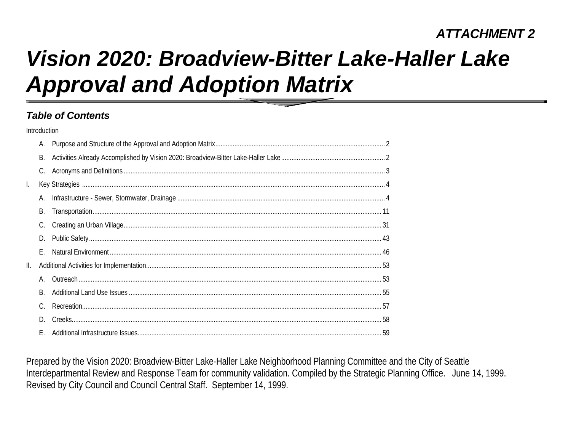# **ATTACHMENT 2**

# Vision 2020: Broadview-Bitter Lake-Haller Lake **Approval and Adoption Matrix**

# **Table of Contents**

Introduction

|     | <u>inu vuutuvit</u> |  |
|-----|---------------------|--|
|     | А.                  |  |
|     | В.                  |  |
|     | C.                  |  |
| I.  |                     |  |
|     |                     |  |
|     | В.                  |  |
|     | C.                  |  |
|     | D.                  |  |
|     | Е.                  |  |
| II. |                     |  |
|     | $A_{\cdot}$         |  |
|     | B.                  |  |
|     |                     |  |
|     | D.                  |  |
|     | F.                  |  |

Prepared by the Vision 2020: Broadview-Bitter Lake-Haller Lake Neighborhood Planning Committee and the City of Seattle Interdepartmental Review and Response Team for community validation. Compiled by the Strategic Planning Office. June 14, 1999. Revised by City Council and Council Central Staff. September 14, 1999.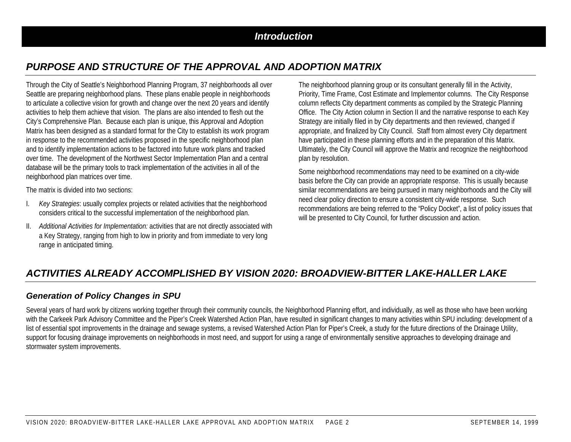# *PURPOSE AND STRUCTURE OF THE APPROVAL AND ADOPTION MATRIX*

Through the City of Seattle's Neighborhood Planning Program, 37 neighborhoods all over Seattle are preparing neighborhood plans. These plans enable people in neighborhoods to articulate a collective vision for growth and change over the next 20 years and identify activities to help them achieve that vision. The plans are also intended to flesh out the City's Comprehensive Plan. Because each plan is unique, this Approval and Adoption Matrix has been designed as a standard format for the City to establish its work program in response to the recommended activities proposed in the specific neighborhood plan and to identify implementation actions to be factored into future work plans and tracked over time. The development of the Northwest Sector Implementation Plan and a central database will be the primary tools to track implementation of the activities in all of the neighborhood plan matrices over time.

The matrix is divided into two sections:

- I. *Key Strategies*: usually complex projects or related activities that the neighborhood considers critical to the successful implementation of the neighborhood plan.
- II. *Additional Activities for Implementation:* activities that are not directly associated with a Key Strategy, ranging from high to low in priority and from immediate to very long range in anticipated timing.

The neighborhood planning group or its consultant generally fill in the Activity, Priority, Time Frame, Cost Estimate and Implementor columns. The City Response column reflects City department comments as compiled by the Strategic Planning Office. The City Action column in Section II and the narrative response to each Key Strategy are initially filed in by City departments and then reviewed, changed if appropriate, and finalized by City Council. Staff from almost every City department have participated in these planning efforts and in the preparation of this Matrix. Ultimately, the City Council will approve the Matrix and recognize the neighborhood plan by resolution.

Some neighborhood recommendations may need to be examined on a city-wide basis before the City can provide an appropriate response. This is usually because similar recommendations are being pursued in many neighborhoods and the City will need clear policy direction to ensure a consistent city-wide response. Such recommendations are being referred to the "Policy Docket", a list of policy issues that will be presented to City Council, for further discussion and action.

# *ACTIVITIES ALREADY ACCOMPLISHED BY VISION 2020: BROADVIEW-BITTER LAKE-HALLER LAKE*

#### *Generation of Policy Changes in SPU*

Several years of hard work by citizens working together through their community councils, the Neighborhood Planning effort, and individually, as well as those who have been working with the Carkeek Park Advisory Committee and the Piper's Creek Watershed Action Plan, have resulted in significant changes to many activities within SPU including: development of a list of essential spot improvements in the drainage and sewage systems, a revised Watershed Action Plan for Piper's Creek, a study for the future directions of the Drainage Utility, support for focusing drainage improvements on neighborhoods in most need, and support for using a range of environmentally sensitive approaches to developing drainage and stormwater system improvements.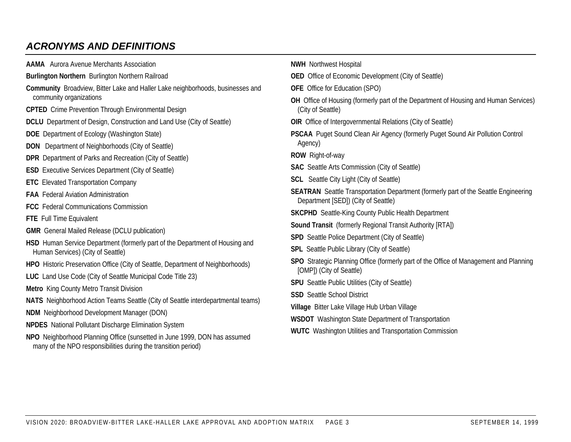# *ACRONYMS AND DEFINITIONS*

| <b>AAMA</b> Aurora Avenue Merchants Association                                                                                                                                                                                                                                                                                                                                                                                                                                                                                                                                                                                                                                                                                                                                                                                                                                                                                                                                                                                                                               | <b>NWH</b> Northwest Hospital                                                                                                                                                                                                                                                                                                                                                                                                                                                                                                                                                                                                                                                                                                                                                                                                                                                                                                                                                                                                                                    |
|-------------------------------------------------------------------------------------------------------------------------------------------------------------------------------------------------------------------------------------------------------------------------------------------------------------------------------------------------------------------------------------------------------------------------------------------------------------------------------------------------------------------------------------------------------------------------------------------------------------------------------------------------------------------------------------------------------------------------------------------------------------------------------------------------------------------------------------------------------------------------------------------------------------------------------------------------------------------------------------------------------------------------------------------------------------------------------|------------------------------------------------------------------------------------------------------------------------------------------------------------------------------------------------------------------------------------------------------------------------------------------------------------------------------------------------------------------------------------------------------------------------------------------------------------------------------------------------------------------------------------------------------------------------------------------------------------------------------------------------------------------------------------------------------------------------------------------------------------------------------------------------------------------------------------------------------------------------------------------------------------------------------------------------------------------------------------------------------------------------------------------------------------------|
| Burlington Northern Burlington Northern Railroad                                                                                                                                                                                                                                                                                                                                                                                                                                                                                                                                                                                                                                                                                                                                                                                                                                                                                                                                                                                                                              | <b>OED</b> Office of Economic Development (City of Seattle)                                                                                                                                                                                                                                                                                                                                                                                                                                                                                                                                                                                                                                                                                                                                                                                                                                                                                                                                                                                                      |
| <b>Community</b> Broadview, Bitter Lake and Haller Lake neighborhoods, businesses and<br>community organizations<br><b>CPTED</b> Crime Prevention Through Environmental Design<br><b>DCLU</b> Department of Design, Construction and Land Use (City of Seattle)<br><b>DOE</b> Department of Ecology (Washington State)<br><b>DON</b> Department of Neighborhoods (City of Seattle)<br><b>DPR</b> Department of Parks and Recreation (City of Seattle)<br><b>ESD</b> Executive Services Department (City of Seattle)<br><b>ETC</b> Elevated Transportation Company<br><b>FAA</b> Federal Aviation Administration<br><b>FCC</b> Federal Communications Commission<br>FTE Full Time Equivalent<br><b>GMR</b> General Mailed Release (DCLU publication)<br>HSD Human Service Department (formerly part of the Department of Housing and<br>Human Services) (City of Seattle)<br>HPO Historic Preservation Office (City of Seattle, Department of Neighborhoods)<br>LUC Land Use Code (City of Seattle Municipal Code Title 23)<br><b>Metro</b> King County Metro Transit Division | <b>OFE</b> Office for Education (SPO)<br>OH Office of Housing (formerly part of the Department of Housing and Human Services)<br>(City of Seattle)<br><b>OIR</b> Office of Intergovernmental Relations (City of Seattle)<br>PSCAA Puget Sound Clean Air Agency (formerly Puget Sound Air Pollution Control<br>Agency)<br><b>ROW</b> Right-of-way<br><b>SAC</b> Seattle Arts Commission (City of Seattle)<br><b>SCL</b> Seattle City Light (City of Seattle)<br><b>SEATRAN</b> Seattle Transportation Department (formerly part of the Seattle Engineering<br>Department [SED]) (City of Seattle)<br><b>SKCPHD</b> Seattle-King County Public Health Department<br>Sound Transit (formerly Regional Transit Authority [RTA])<br><b>SPD</b> Seattle Police Department (City of Seattle)<br><b>SPL</b> Seattle Public Library (City of Seattle)<br>SPO Strategic Planning Office (formerly part of the Office of Management and Planning<br>[OMP]) (City of Seattle)<br><b>SPU</b> Seattle Public Utilities (City of Seattle)<br><b>SSD</b> Seattle School District |
| <b>NATS</b> Neighborhood Action Teams Seattle (City of Seattle interdepartmental teams)<br><b>NDM</b> Neighborhood Development Manager (DON)<br><b>NPDES</b> National Pollutant Discharge Elimination System<br>NPO Neighborhood Planning Office (sunsetted in June 1999, DON has assumed<br>many of the NPO responsibilities during the transition period)                                                                                                                                                                                                                                                                                                                                                                                                                                                                                                                                                                                                                                                                                                                   | Village Bitter Lake Village Hub Urban Village<br><b>WSDOT</b> Washington State Department of Transportation<br><b>WUTC</b> Washington Utilities and Transportation Commission                                                                                                                                                                                                                                                                                                                                                                                                                                                                                                                                                                                                                                                                                                                                                                                                                                                                                    |
|                                                                                                                                                                                                                                                                                                                                                                                                                                                                                                                                                                                                                                                                                                                                                                                                                                                                                                                                                                                                                                                                               |                                                                                                                                                                                                                                                                                                                                                                                                                                                                                                                                                                                                                                                                                                                                                                                                                                                                                                                                                                                                                                                                  |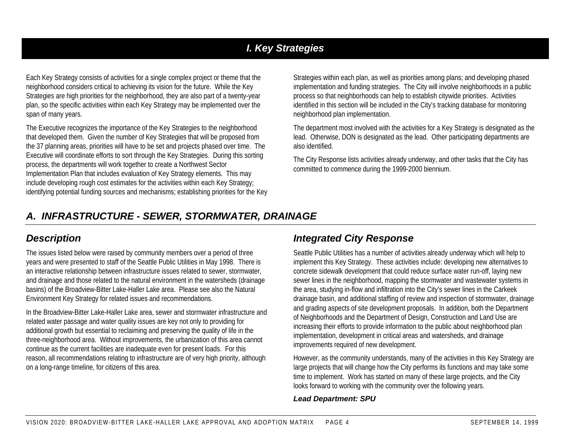# *I. Key Strategies*

Each Key Strategy consists of activities for a single complex project or theme that the neighborhood considers critical to achieving its vision for the future. While the Key Strategies are high priorities for the neighborhood, they are also part of a twenty-year plan, so the specific activities within each Key Strategy may be implemented over the span of many years.

The Executive recognizes the importance of the Key Strategies to the neighborhood that developed them. Given the number of Key Strategies that will be proposed from the 37 planning areas, priorities will have to be set and projects phased over time. The Executive will coordinate efforts to sort through the Key Strategies. During this sorting process, the departments will work together to create a Northwest Sector Implementation Plan that includes evaluation of Key Strategy elements. This may include developing rough cost estimates for the activities within each Key Strategy; identifying potential funding sources and mechanisms; establishing priorities for the Key Strategies within each plan, as well as priorities among plans; and developing phased implementation and funding strategies. The City will involve neighborhoods in a public process so that neighborhoods can help to establish citywide priorities. Activities identified in this section will be included in the City's tracking database for monitoring neighborhood plan implementation.

The department most involved with the activities for a Key Strategy is designated as the lead. Otherwise, DON is designated as the lead. Other participating departments are also identified.

The City Response lists activities already underway, and other tasks that the City has committed to commence during the 1999-2000 biennium.

## *A. INFRASTRUCTURE - SEWER, STORMWATER, DRAINAGE*

# *Description*

The issues listed below were raised by community members over a period of three years and were presented to staff of the Seattle Public Utilities in May 1998. There is an interactive relationship between infrastructure issues related to sewer, stormwater, and drainage and those related to the natural environment in the watersheds (drainage basins) of the Broadview-Bitter Lake-Haller Lake area. Please see also the Natural Environment Key Strategy for related issues and recommendations.

In the Broadview-Bitter Lake-Haller Lake area, sewer and stormwater infrastructure and related water passage and water quality issues are key not only to providing for additional growth but essential to reclaiming and preserving the quality of life in the three-neighborhood area. Without improvements, the urbanization of this area cannot continue as the current facilities are inadequate even for present loads. For this reason, all recommendations relating to infrastructure are of very high priority, although on a long-range timeline, for citizens of this area.

# *Integrated City Response*

Seattle Public Utilities has a number of activities already underway which will help to implement this Key Strategy. These activities include: developing new alternatives to concrete sidewalk development that could reduce surface water run-off, laying new sewer lines in the neighborhood, mapping the stormwater and wastewater systems in the area, studying in-flow and infiltration into the City's sewer lines in the Carkeek drainage basin, and additional staffing of review and inspection of stormwater, drainage and grading aspects of site development proposals. In addition, both the Department of Neighborhoods and the Department of Design, Construction and Land Use are increasing their efforts to provide information to the public about neighborhood plan implementation, development in critical areas and watersheds, and drainage improvements required of new development.

However, as the community understands, many of the activities in this Key Strategy are large projects that will change how the City performs its functions and may take some time to implement. Work has started on many of these large projects, and the City looks forward to working with the community over the following years.

#### *Lead Department: SPU*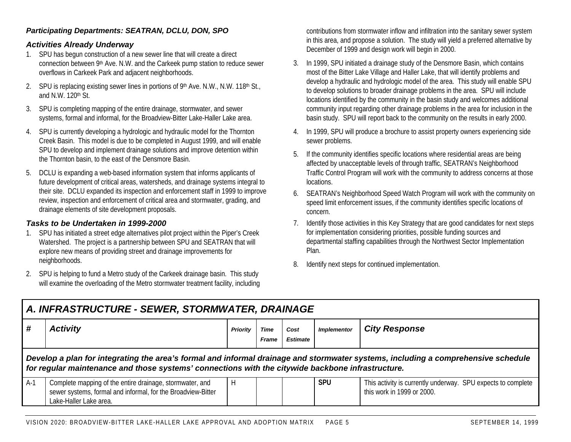### *Activities Already Underway*

- 1. SPU has begun construction of a new sewer line that will create a direct connection between 9th Ave. N.W. and the Carkeek pump station to reduce sewer overflows in Carkeek Park and adjacent neighborhoods.
- 2. SPU is replacing existing sewer lines in portions of 9th Ave. N.W., N.W. 118th St., and N.W. 120th St.
- 3. SPU is completing mapping of the entire drainage, stormwater, and sewer systems, formal and informal, for the Broadview-Bitter Lake-Haller Lake area.
- 4. SPU is currently developing a hydrologic and hydraulic model for the Thornton Creek Basin. This model is due to be completed in August 1999, and will enable SPU to develop and implement drainage solutions and improve detention within the Thornton basin, to the east of the Densmore Basin.
- 5. DCLU is expanding a web-based information system that informs applicants of future development of critical areas, watersheds, and drainage systems integral to their site. DCLU expanded its inspection and enforcement staff in 1999 to improve review, inspection and enforcement of critical area and stormwater, grading, and drainage elements of site development proposals.

### *Tasks to be Undertaken in 1999-2000*

- 1. SPU has initiated a street edge alternatives pilot project within the Piper's Creek Watershed. The project is a partnership between SPU and SEATRAN that will explore new means of providing street and drainage improvements for neighborhoods.
- 2. SPU is helping to fund a Metro study of the Carkeek drainage basin. This study will examine the overloading of the Metro stormwater treatment facility, including

contributions from stormwater inflow and infiltration into the sanitary sewer system in this area, and propose a solution. The study will yield a preferred alternative by December of 1999 and design work will begin in 2000.

- 3. In 1999, SPU initiated a drainage study of the Densmore Basin, which contains most of the Bitter Lake Village and Haller Lake, that will identify problems and develop a hydraulic and hydrologic model of the area. This study will enable SPU to develop solutions to broader drainage problems in the area. SPU will include locations identified by the community in the basin study and welcomes additional community input regarding other drainage problems in the area for inclusion in the basin study. SPU will report back to the community on the results in early 2000.
- 4. In 1999, SPU will produce a brochure to assist property owners experiencing side sewer problems.
- 5. If the community identifies specific locations where residential areas are being affected by unacceptable levels of through traffic, SEATRAN's Neighborhood Traffic Control Program will work with the community to address concerns at those locations.
- 6. SEATRAN's Neighborhood Speed Watch Program will work with the community on speed limit enforcement issues, if the community identifies specific locations of concern.
- 7. Identify those activities in this Key Strategy that are good candidates for next steps for implementation considering priorities, possible funding sources and departmental staffing capabilities through the Northwest Sector Implementation Plan.
- 8. Identify next steps for continued implementation.

|       | A. INFRASTRUCTURE - SEWER, STORMWATER, DRAINAGE                                                                                                                                                                                                                     |  |  |  |  |  |  |  |  |
|-------|---------------------------------------------------------------------------------------------------------------------------------------------------------------------------------------------------------------------------------------------------------------------|--|--|--|--|--|--|--|--|
| #     | <b>Activity</b><br><b>City Response</b><br><b>Priority</b><br>Cost<br><b>Implementor</b><br>Time<br><b>Estimate</b><br><b>Frame</b>                                                                                                                                 |  |  |  |  |  |  |  |  |
|       | Develop a plan for integrating the area's formal and informal drainage and stormwater systems, including a comprehensive schedule<br>for regular maintenance and those systems' connections with the citywide backbone infrastructure.                              |  |  |  |  |  |  |  |  |
| $A-1$ | <b>SPU</b><br>Complete mapping of the entire drainage, stormwater, and<br>This activity is currently underway. SPU expects to complete<br>H<br>sewer systems, formal and informal, for the Broadview-Bitter<br>this work in 1999 or 2000.<br>Lake-Haller Lake area. |  |  |  |  |  |  |  |  |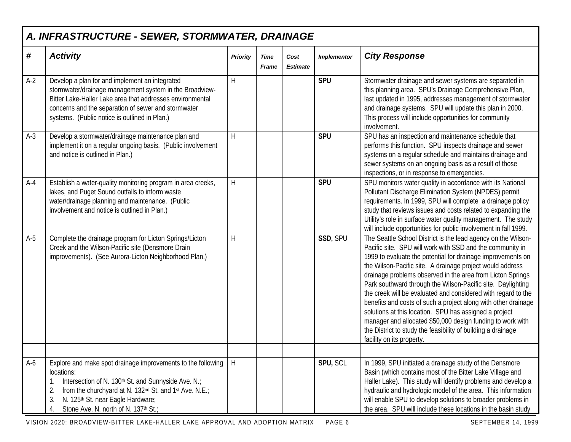|       | A. INFRASTRUCTURE - SEWER, STORMWATER, DRAINAGE                                                                                                                                                                                                                                                              |                 |               |                         |             |                                                                                                                                                                                                                                                                                                                                                                                                                                                                                                                                                                                                                                                                                                                                             |  |  |  |
|-------|--------------------------------------------------------------------------------------------------------------------------------------------------------------------------------------------------------------------------------------------------------------------------------------------------------------|-----------------|---------------|-------------------------|-------------|---------------------------------------------------------------------------------------------------------------------------------------------------------------------------------------------------------------------------------------------------------------------------------------------------------------------------------------------------------------------------------------------------------------------------------------------------------------------------------------------------------------------------------------------------------------------------------------------------------------------------------------------------------------------------------------------------------------------------------------------|--|--|--|
| #     | <b>Activity</b>                                                                                                                                                                                                                                                                                              | <b>Priority</b> | Time<br>Frame | Cost<br><b>Estimate</b> | Implementor | <b>City Response</b>                                                                                                                                                                                                                                                                                                                                                                                                                                                                                                                                                                                                                                                                                                                        |  |  |  |
| $A-2$ | Develop a plan for and implement an integrated<br>stormwater/drainage management system in the Broadview-<br>Bitter Lake-Haller Lake area that addresses environmental<br>concerns and the separation of sewer and stormwater<br>systems. (Public notice is outlined in Plan.)                               | H               |               |                         | <b>SPU</b>  | Stormwater drainage and sewer systems are separated in<br>this planning area. SPU's Drainage Comprehensive Plan,<br>last updated in 1995, addresses management of stormwater<br>and drainage systems. SPU will update this plan in 2000.<br>This process will include opportunities for community<br>involvement.                                                                                                                                                                                                                                                                                                                                                                                                                           |  |  |  |
| $A-3$ | Develop a stormwater/drainage maintenance plan and<br>implement it on a regular ongoing basis. (Public involvement<br>and notice is outlined in Plan.)                                                                                                                                                       | H               |               |                         | <b>SPU</b>  | SPU has an inspection and maintenance schedule that<br>performs this function. SPU inspects drainage and sewer<br>systems on a regular schedule and maintains drainage and<br>sewer systems on an ongoing basis as a result of those<br>inspections, or in response to emergencies.                                                                                                                                                                                                                                                                                                                                                                                                                                                         |  |  |  |
| $A-4$ | Establish a water-quality monitoring program in area creeks,<br>lakes, and Puget Sound outfalls to inform waste<br>water/drainage planning and maintenance. (Public<br>involvement and notice is outlined in Plan.)                                                                                          | H               |               |                         | <b>SPU</b>  | SPU monitors water quality in accordance with its National<br>Pollutant Discharge Elimination System (NPDES) permit<br>requirements. In 1999, SPU will complete a drainage policy<br>study that reviews issues and costs related to expanding the<br>Utility's role in surface water quality management. The study<br>will include opportunities for public involvement in fall 1999.                                                                                                                                                                                                                                                                                                                                                       |  |  |  |
| $A-5$ | Complete the drainage program for Licton Springs/Licton<br>Creek and the Wilson-Pacific site (Densmore Drain<br>improvements). (See Aurora-Licton Neighborhood Plan.)                                                                                                                                        | H               |               |                         | SSD, SPU    | The Seattle School District is the lead agency on the Wilson-<br>Pacific site. SPU will work with SSD and the community in<br>1999 to evaluate the potential for drainage improvements on<br>the Wilson-Pacific site. A drainage project would address<br>drainage problems observed in the area from Licton Springs<br>Park southward through the Wilson-Pacific site. Daylighting<br>the creek will be evaluated and considered with regard to the<br>benefits and costs of such a project along with other drainage<br>solutions at this location. SPU has assigned a project<br>manager and allocated \$50,000 design funding to work with<br>the District to study the feasibility of building a drainage<br>facility on its property. |  |  |  |
|       |                                                                                                                                                                                                                                                                                                              |                 |               |                         |             |                                                                                                                                                                                                                                                                                                                                                                                                                                                                                                                                                                                                                                                                                                                                             |  |  |  |
| $A-6$ | Explore and make spot drainage improvements to the following<br>locations:<br>Intersection of N. 130 <sup>th</sup> St. and Sunnyside Ave. N.;<br>1.<br>from the churchyard at N. 132nd St. and 1st Ave. N.E.;<br>2.<br>N. 125th St. near Eagle Hardware;<br>3.<br>Stone Ave. N. north of N. 137th St.;<br>4. | H               |               |                         | SPU, SCL    | In 1999, SPU initiated a drainage study of the Densmore<br>Basin (which contains most of the Bitter Lake Village and<br>Haller Lake). This study will identify problems and develop a<br>hydraulic and hydrologic model of the area. This information<br>will enable SPU to develop solutions to broader problems in<br>the area. SPU will include these locations in the basin study                                                                                                                                                                                                                                                                                                                                                       |  |  |  |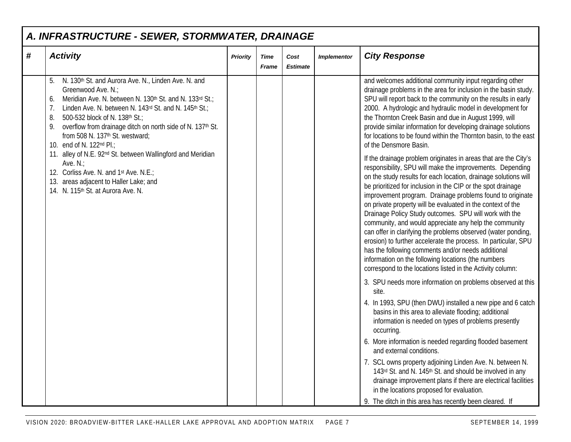|            | A. INFRASTRUCTURE - SEWER, STORMWATER, DRAINAGE                                                                                                                                                                                                                                                                                                                                            |                 |               |                         |                    |                                                                                                                                                                                                                                                                                                                                                                                                                                                                                                                                                                                                                                                                                                                                                                                                                               |  |  |  |
|------------|--------------------------------------------------------------------------------------------------------------------------------------------------------------------------------------------------------------------------------------------------------------------------------------------------------------------------------------------------------------------------------------------|-----------------|---------------|-------------------------|--------------------|-------------------------------------------------------------------------------------------------------------------------------------------------------------------------------------------------------------------------------------------------------------------------------------------------------------------------------------------------------------------------------------------------------------------------------------------------------------------------------------------------------------------------------------------------------------------------------------------------------------------------------------------------------------------------------------------------------------------------------------------------------------------------------------------------------------------------------|--|--|--|
| $\pmb{\#}$ | <b>Activity</b>                                                                                                                                                                                                                                                                                                                                                                            | <b>Priority</b> | Time<br>Frame | Cost<br><b>Estimate</b> | <b>Implementor</b> | <b>City Response</b>                                                                                                                                                                                                                                                                                                                                                                                                                                                                                                                                                                                                                                                                                                                                                                                                          |  |  |  |
|            | N. 130th St. and Aurora Ave. N., Linden Ave. N. and<br>5.<br>Greenwood Ave. N.;<br>Meridian Ave. N. between N. 130th St. and N. 133rd St.;<br>6.<br>Linden Ave. N. between N. 143rd St. and N. 145th St.;<br>7.<br>500-532 block of N. 138th St.;<br>8.<br>overflow from drainage ditch on north side of N. 137th St.<br>9.<br>from 508 N. 137th St. westward;<br>10. end of N. 122nd Pl.; |                 |               |                         |                    | and welcomes additional community input regarding other<br>drainage problems in the area for inclusion in the basin study.<br>SPU will report back to the community on the results in early<br>2000. A hydrologic and hydraulic model in development for<br>the Thornton Creek Basin and due in August 1999, will<br>provide similar information for developing drainage solutions<br>for locations to be found within the Thornton basin, to the east<br>of the Densmore Basin.                                                                                                                                                                                                                                                                                                                                              |  |  |  |
|            | alley of N.E. 92 <sup>nd</sup> St. between Wallingford and Meridian<br>11.<br>Ave. $N$ .;<br>12. Corliss Ave. N. and 1st Ave. N.E.:<br>13. areas adjacent to Haller Lake; and<br>14. N. 115 <sup>th</sup> St. at Aurora Ave. N.                                                                                                                                                            |                 |               |                         |                    | If the drainage problem originates in areas that are the City's<br>responsibility, SPU will make the improvements. Depending<br>on the study results for each location, drainage solutions will<br>be prioritized for inclusion in the CIP or the spot drainage<br>improvement program. Drainage problems found to originate<br>on private property will be evaluated in the context of the<br>Drainage Policy Study outcomes. SPU will work with the<br>community, and would appreciate any help the community<br>can offer in clarifying the problems observed (water ponding,<br>erosion) to further accelerate the process. In particular, SPU<br>has the following comments and/or needs additional<br>information on the following locations (the numbers<br>correspond to the locations listed in the Activity column: |  |  |  |
|            |                                                                                                                                                                                                                                                                                                                                                                                            |                 |               |                         |                    | 3. SPU needs more information on problems observed at this<br>site.<br>4. In 1993, SPU (then DWU) installed a new pipe and 6 catch<br>basins in this area to alleviate flooding; additional<br>information is needed on types of problems presently<br>occurring.                                                                                                                                                                                                                                                                                                                                                                                                                                                                                                                                                             |  |  |  |
|            |                                                                                                                                                                                                                                                                                                                                                                                            |                 |               |                         |                    | 6. More information is needed regarding flooded basement<br>and external conditions.                                                                                                                                                                                                                                                                                                                                                                                                                                                                                                                                                                                                                                                                                                                                          |  |  |  |
|            |                                                                                                                                                                                                                                                                                                                                                                                            |                 |               |                         |                    | 7. SCL owns property adjoining Linden Ave. N. between N.<br>143rd St. and N. 145 <sup>th</sup> St. and should be involved in any<br>drainage improvement plans if there are electrical facilities<br>in the locations proposed for evaluation.                                                                                                                                                                                                                                                                                                                                                                                                                                                                                                                                                                                |  |  |  |
|            |                                                                                                                                                                                                                                                                                                                                                                                            |                 |               |                         |                    | 9. The ditch in this area has recently been cleared. If                                                                                                                                                                                                                                                                                                                                                                                                                                                                                                                                                                                                                                                                                                                                                                       |  |  |  |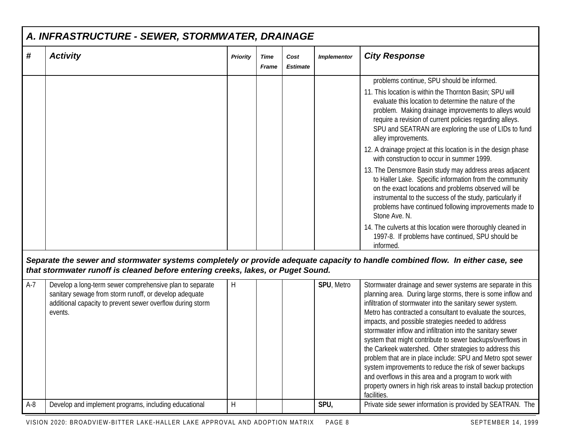|       | A. INFRASTRUCTURE - SEWER, STORMWATER, DRAINAGE                                                                                                                                                                    |                 |               |                         |             |                                                                                                                                                                                                                                                                                                                                                                                                                                                                                                                                                                                                                                                                                                                                                                                                                                                                                                                                 |
|-------|--------------------------------------------------------------------------------------------------------------------------------------------------------------------------------------------------------------------|-----------------|---------------|-------------------------|-------------|---------------------------------------------------------------------------------------------------------------------------------------------------------------------------------------------------------------------------------------------------------------------------------------------------------------------------------------------------------------------------------------------------------------------------------------------------------------------------------------------------------------------------------------------------------------------------------------------------------------------------------------------------------------------------------------------------------------------------------------------------------------------------------------------------------------------------------------------------------------------------------------------------------------------------------|
| #     | <b>Activity</b>                                                                                                                                                                                                    | <b>Priority</b> | Time<br>Frame | Cost<br><b>Estimate</b> | Implementor | <b>City Response</b>                                                                                                                                                                                                                                                                                                                                                                                                                                                                                                                                                                                                                                                                                                                                                                                                                                                                                                            |
|       |                                                                                                                                                                                                                    |                 |               |                         |             | problems continue, SPU should be informed.<br>11. This location is within the Thornton Basin; SPU will<br>evaluate this location to determine the nature of the<br>problem. Making drainage improvements to alleys would<br>require a revision of current policies regarding alleys.<br>SPU and SEATRAN are exploring the use of LIDs to fund<br>alley improvements.<br>12. A drainage project at this location is in the design phase<br>with construction to occur in summer 1999.<br>13. The Densmore Basin study may address areas adjacent<br>to Haller Lake. Specific information from the community<br>on the exact locations and problems observed will be<br>instrumental to the success of the study, particularly if<br>problems have continued following improvements made to<br>Stone Ave. N.<br>14. The culverts at this location were thoroughly cleaned in<br>1997-8. If problems have continued, SPU should be |
|       | Separate the sewer and stormwater systems completely or provide adequate capacity to handle combined flow. In either case, see<br>that stormwater runoff is cleaned before entering creeks, lakes, or Puget Sound. |                 |               |                         |             | informed.                                                                                                                                                                                                                                                                                                                                                                                                                                                                                                                                                                                                                                                                                                                                                                                                                                                                                                                       |
| $A-7$ | Develop a long-term sewer comprehensive plan to separate<br>sanitary sewage from storm runoff, or develop adequate<br>additional capacity to prevent sewer overflow during storm<br>events.                        | $\mathsf{H}$    |               |                         | SPU, Metro  | Stormwater drainage and sewer systems are separate in this<br>planning area. During large storms, there is some inflow and<br>infiltration of stormwater into the sanitary sewer system.<br>Metro has contracted a consultant to evaluate the sources,<br>impacts, and possible strategies needed to address<br>stormwater inflow and infiltration into the sanitary sewer<br>system that might contribute to sewer backups/overflows in<br>the Carkeek watershed. Other strategies to address this<br>problem that are in place include: SPU and Metro spot sewer<br>system improvements to reduce the risk of sewer backups<br>and overflows in this area and a program to work with<br>property owners in high risk areas to install backup protection<br>facilities.                                                                                                                                                        |
| $A-8$ | Develop and implement programs, including educational                                                                                                                                                              | H               |               |                         | SPU,        | Private side sewer information is provided by SEATRAN. The                                                                                                                                                                                                                                                                                                                                                                                                                                                                                                                                                                                                                                                                                                                                                                                                                                                                      |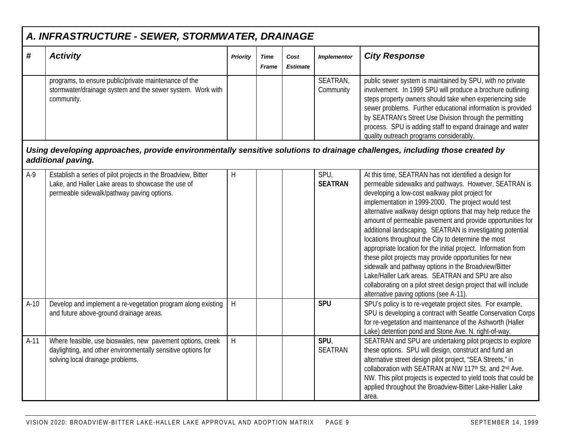|   | A. INFRASTRUCTURE - SEWER, STORMWATER, DRAINAGE                                                                                   |                 |                      |                         |                       |                                                                                                                                                                                                                                                                                                                                                                                                                       |  |  |
|---|-----------------------------------------------------------------------------------------------------------------------------------|-----------------|----------------------|-------------------------|-----------------------|-----------------------------------------------------------------------------------------------------------------------------------------------------------------------------------------------------------------------------------------------------------------------------------------------------------------------------------------------------------------------------------------------------------------------|--|--|
| # | <b>Activity</b>                                                                                                                   | <b>Priority</b> | Time<br><b>Frame</b> | Cost<br><b>Estimate</b> | <b>Implementor</b>    | <b>City Response</b>                                                                                                                                                                                                                                                                                                                                                                                                  |  |  |
|   | programs, to ensure public/private maintenance of the<br>stormwater/drainage system and the sewer system. Work with<br>community. |                 |                      |                         | SEATRAN,<br>Community | public sewer system is maintained by SPU, with no private<br>involvement. In 1999 SPU will produce a brochure outlining<br>steps property owners should take when experiencing side<br>sewer problems. Further educational information is provided<br>by SEATRAN's Street Use Division through the permitting<br>process. SPU is adding staff to expand drainage and water<br>quality outreach programs considerably. |  |  |

*Using developing approaches, provide environmentally sensitive solutions to drainage challenges, including those created by additional paving.*

| $A-9$  | Establish a series of pilot projects in the Broadview, Bitter<br>Lake, and Haller Lake areas to showcase the use of<br>permeable sidewalk/pathway paving options. | $\overline{H}$ |  | SPU,<br><b>SEATRAN</b> | At this time, SEATRAN has not identified a design for<br>permeable sidewalks and pathways. However, SEATRAN is<br>developing a low-cost walkway pilot project for<br>implementation in 1999-2000. The project would test<br>alternative walkway design options that may help reduce the<br>amount of permeable pavement and provide opportunities for<br>additional landscaping. SEATRAN is investigating potential<br>locations throughout the City to determine the most<br>appropriate location for the initial project. Information from<br>these pilot projects may provide opportunities for new<br>sidewalk and pathway options in the Broadview/Bitter<br>Lake/Haller Lark areas. SEATRAN and SPU are also<br>collaborating on a pilot street design project that will include<br>alternative paving options (see A-11). |
|--------|-------------------------------------------------------------------------------------------------------------------------------------------------------------------|----------------|--|------------------------|----------------------------------------------------------------------------------------------------------------------------------------------------------------------------------------------------------------------------------------------------------------------------------------------------------------------------------------------------------------------------------------------------------------------------------------------------------------------------------------------------------------------------------------------------------------------------------------------------------------------------------------------------------------------------------------------------------------------------------------------------------------------------------------------------------------------------------|
| $A-10$ | Develop and implement a re-vegetation program along existing<br>and future above-ground drainage areas.                                                           | H              |  | <b>SPU</b>             | SPU's policy is to re-vegetate project sites. For example,<br>SPU is developing a contract with Seattle Conservation Corps<br>for re-vegetation and maintenance of the Ashworth (Haller<br>Lake) detention pond and Stone Ave. N. right-of-way.                                                                                                                                                                                                                                                                                                                                                                                                                                                                                                                                                                                  |
| $A-11$ | Where feasible, use bioswales, new pavement options, creek<br>daylighting, and other environmentally sensitive options for<br>solving local drainage problems.    | H              |  | SPU,<br><b>SEATRAN</b> | SEATRAN and SPU are undertaking pilot projects to explore<br>these options. SPU will design, construct and fund an<br>alternative street design pilot project, "SEA Streets," in<br>collaboration with SEATRAN at NW 117th St. and 2nd Ave.<br>NW. This pilot projects is expected to yield tools that could be<br>applied throughout the Broadview-Bitter Lake-Haller Lake<br>area.                                                                                                                                                                                                                                                                                                                                                                                                                                             |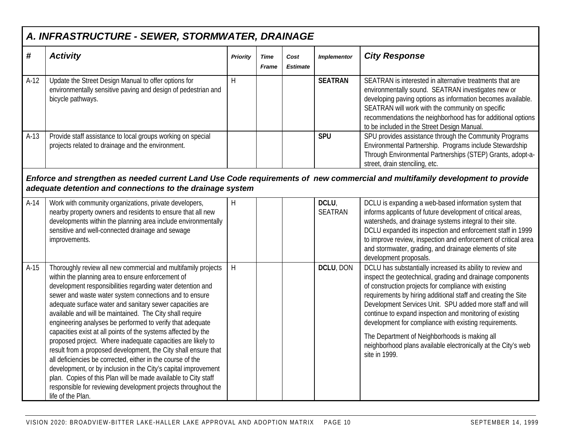|        | A. INFRASTRUCTURE - SEWER, STORMWATER, DRAINAGE                                                                                                                                                                                                                                                                                                                                                                                                                                                                                                                                                                                                                                                                                                                                                                                                                                                                           |                 |                      |                         |                         |                                                                                                                                                                                                                                                                                                                                                                                                                                                                                                                                                                        |  |  |  |
|--------|---------------------------------------------------------------------------------------------------------------------------------------------------------------------------------------------------------------------------------------------------------------------------------------------------------------------------------------------------------------------------------------------------------------------------------------------------------------------------------------------------------------------------------------------------------------------------------------------------------------------------------------------------------------------------------------------------------------------------------------------------------------------------------------------------------------------------------------------------------------------------------------------------------------------------|-----------------|----------------------|-------------------------|-------------------------|------------------------------------------------------------------------------------------------------------------------------------------------------------------------------------------------------------------------------------------------------------------------------------------------------------------------------------------------------------------------------------------------------------------------------------------------------------------------------------------------------------------------------------------------------------------------|--|--|--|
| #      | <b>Activity</b>                                                                                                                                                                                                                                                                                                                                                                                                                                                                                                                                                                                                                                                                                                                                                                                                                                                                                                           | <b>Priority</b> | <b>Time</b><br>Frame | Cost<br><b>Estimate</b> | Implementor             | <b>City Response</b>                                                                                                                                                                                                                                                                                                                                                                                                                                                                                                                                                   |  |  |  |
| $A-12$ | Update the Street Design Manual to offer options for<br>environmentally sensitive paving and design of pedestrian and<br>bicycle pathways.                                                                                                                                                                                                                                                                                                                                                                                                                                                                                                                                                                                                                                                                                                                                                                                | H               |                      |                         | <b>SEATRAN</b>          | SEATRAN is interested in alternative treatments that are<br>environmentally sound. SEATRAN investigates new or<br>developing paving options as information becomes available.<br>SEATRAN will work with the community on specific<br>recommendations the neighborhood has for additional options<br>to be included in the Street Design Manual.                                                                                                                                                                                                                        |  |  |  |
| $A-13$ | Provide staff assistance to local groups working on special<br>projects related to drainage and the environment.                                                                                                                                                                                                                                                                                                                                                                                                                                                                                                                                                                                                                                                                                                                                                                                                          |                 |                      |                         | <b>SPU</b>              | SPU provides assistance through the Community Programs<br>Environmental Partnership. Programs include Stewardship<br>Through Environmental Partnerships (STEP) Grants, adopt-a-<br>street, drain stenciling, etc.                                                                                                                                                                                                                                                                                                                                                      |  |  |  |
|        | Enforce and strengthen as needed current Land Use Code requirements of new commercial and multifamily development to provide<br>adequate detention and connections to the drainage system                                                                                                                                                                                                                                                                                                                                                                                                                                                                                                                                                                                                                                                                                                                                 |                 |                      |                         |                         |                                                                                                                                                                                                                                                                                                                                                                                                                                                                                                                                                                        |  |  |  |
| $A-14$ | Work with community organizations, private developers,<br>nearby property owners and residents to ensure that all new<br>developments within the planning area include environmentally<br>sensitive and well-connected drainage and sewage<br>improvements.                                                                                                                                                                                                                                                                                                                                                                                                                                                                                                                                                                                                                                                               | H               |                      |                         | DCLU,<br><b>SEATRAN</b> | DCLU is expanding a web-based information system that<br>informs applicants of future development of critical areas,<br>watersheds, and drainage systems integral to their site.<br>DCLU expanded its inspection and enforcement staff in 1999<br>to improve review, inspection and enforcement of critical area<br>and stormwater, grading, and drainage elements of site<br>development proposals.                                                                                                                                                                   |  |  |  |
| $A-15$ | Thoroughly review all new commercial and multifamily projects<br>within the planning area to ensure enforcement of<br>development responsibilities regarding water detention and<br>sewer and waste water system connections and to ensure<br>adequate surface water and sanitary sewer capacities are<br>available and will be maintained. The City shall require<br>engineering analyses be performed to verify that adequate<br>capacities exist at all points of the systems affected by the<br>proposed project. Where inadequate capacities are likely to<br>result from a proposed development, the City shall ensure that<br>all deficiencies be corrected, either in the course of the<br>development, or by inclusion in the City's capital improvement<br>plan. Copies of this Plan will be made available to City staff<br>responsible for reviewing development projects throughout the<br>life of the Plan. | H               |                      |                         | DCLU, DON               | DCLU has substantially increased its ability to review and<br>inspect the geotechnical, grading and drainage components<br>of construction projects for compliance with existing<br>requirements by hiring additional staff and creating the Site<br>Development Services Unit. SPU added more staff and will<br>continue to expand inspection and monitoring of existing<br>development for compliance with existing requirements.<br>The Department of Neighborhoods is making all<br>neighborhood plans available electronically at the City's web<br>site in 1999. |  |  |  |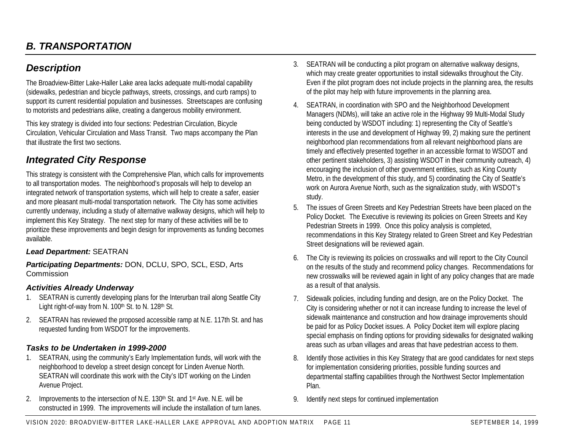# *B. TRANSPORTATION*

## *Description*

The Broadview-Bitter Lake-Haller Lake area lacks adequate multi-modal capability (sidewalks, pedestrian and bicycle pathways, streets, crossings, and curb ramps) to support its current residential population and businesses. Streetscapes are confusing to motorists and pedestrians alike, creating a dangerous mobility environment.

This key strategy is divided into four sections: Pedestrian Circulation, Bicycle Circulation, Vehicular Circulation and Mass Transit. Two maps accompany the Plan that illustrate the first two sections.

# *Integrated City Response*

This strategy is consistent with the Comprehensive Plan, which calls for improvements to all transportation modes. The neighborhood's proposals will help to develop an integrated network of transportation systems, which will help to create a safer, easier and more pleasant multi-modal transportation network. The City has some activities currently underway, including a study of alternative walkway designs, which will help to implement this Key Strategy. The next step for many of these activities will be to prioritize these improvements and begin design for improvements as funding becomes available.

### *Lead Department:* SEATRAN

*Participating Departments:* DON, DCLU, SPO, SCL, ESD, Arts **Commission** 

### *Activities Already Underway*

- 1. SEATRAN is currently developing plans for the Interurban trail along Seattle City Light right-of-way from N. 100<sup>th</sup> St. to N. 128<sup>th</sup> St.
- 2. SEATRAN has reviewed the proposed accessible ramp at N.E. 117th St. and has requested funding from WSDOT for the improvements.

- 1. SEATRAN, using the community's Early Implementation funds, will work with the neighborhood to develop a street design concept for Linden Avenue North. SEATRAN will coordinate this work with the City's IDT working on the Linden Avenue Project.
- 2. Improvements to the intersection of N.E. 130<sup>th</sup> St. and 1<sup>st</sup> Ave. N.E. will be constructed in 1999. The improvements will include the installation of turn lanes.
- 3. SEATRAN will be conducting a pilot program on alternative walkway designs, which may create greater opportunities to install sidewalks throughout the City. Even if the pilot program does not include projects in the planning area, the results of the pilot may help with future improvements in the planning area.
- 4. SEATRAN, in coordination with SPO and the Neighborhood Development Managers (NDMs), will take an active role in the Highway 99 Multi-Modal Study being conducted by WSDOT including: 1) representing the City of Seattle's interests in the use and development of Highway 99, 2) making sure the pertinent neighborhood plan recommendations from all relevant neighborhood plans are timely and effectively presented together in an accessible format to WSDOT and other pertinent stakeholders, 3) assisting WSDOT in their community outreach, 4) encouraging the inclusion of other government entities, such as King County Metro, in the development of this study, and 5) coordinating the City of Seattle's work on Aurora Avenue North, such as the signalization study, with WSDOT's study.
- 5. The issues of Green Streets and Key Pedestrian Streets have been placed on the Policy Docket. The Executive is reviewing its policies on Green Streets and Key Pedestrian Streets in 1999. Once this policy analysis is completed, recommendations in this Key Strategy related to Green Street and Key Pedestrian Street designations will be reviewed again.
- 6. The City is reviewing its policies on crosswalks and will report to the City Council on the results of the study and recommend policy changes. Recommendations for new crosswalks will be reviewed again in light of any policy changes that are made as a result of that analysis.
- 7. Sidewalk policies, including funding and design, are on the Policy Docket. The City is considering whether or not it can increase funding to increase the level of sidewalk maintenance and construction and how drainage improvements should be paid for as Policy Docket issues. A Policy Docket item will explore placing special emphasis on finding options for providing sidewalks for designated walking areas such as urban villages and areas that have pedestrian access to them.
- 8. Identify those activities in this Key Strategy that are good candidates for next steps for implementation considering priorities, possible funding sources and departmental staffing capabilities through the Northwest Sector Implementation Plan.
- 9. Identify next steps for continued implementation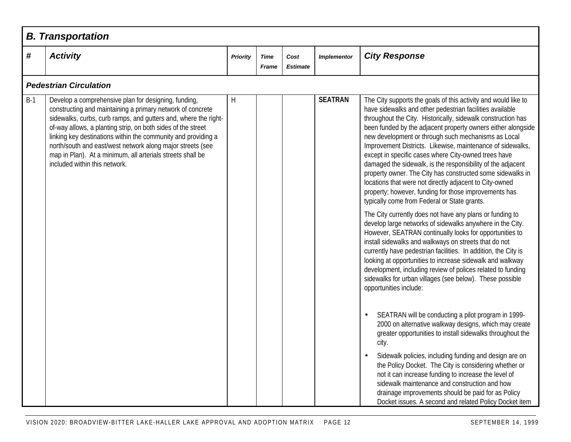|       | <b>B.</b> Transportation                                                                                                                                                                                                                                                                                                                                                                                                                                                            |                 |                      |                         |                    |                                                                                                                                                                                                                                                                                                                                                                                                                                                                                                                                                                                                                                                                                                                                                                                                                                                                                                                                                                                                                                                                                                                                                                                                                                                                                                                                                                                                                                                                                                                                                                                                                                                                                                                                                                                                                          |
|-------|-------------------------------------------------------------------------------------------------------------------------------------------------------------------------------------------------------------------------------------------------------------------------------------------------------------------------------------------------------------------------------------------------------------------------------------------------------------------------------------|-----------------|----------------------|-------------------------|--------------------|--------------------------------------------------------------------------------------------------------------------------------------------------------------------------------------------------------------------------------------------------------------------------------------------------------------------------------------------------------------------------------------------------------------------------------------------------------------------------------------------------------------------------------------------------------------------------------------------------------------------------------------------------------------------------------------------------------------------------------------------------------------------------------------------------------------------------------------------------------------------------------------------------------------------------------------------------------------------------------------------------------------------------------------------------------------------------------------------------------------------------------------------------------------------------------------------------------------------------------------------------------------------------------------------------------------------------------------------------------------------------------------------------------------------------------------------------------------------------------------------------------------------------------------------------------------------------------------------------------------------------------------------------------------------------------------------------------------------------------------------------------------------------------------------------------------------------|
| #     | <b>Activity</b>                                                                                                                                                                                                                                                                                                                                                                                                                                                                     | <b>Priority</b> | Time<br><b>Frame</b> | Cost<br><b>Estimate</b> | <b>Implementor</b> | <b>City Response</b>                                                                                                                                                                                                                                                                                                                                                                                                                                                                                                                                                                                                                                                                                                                                                                                                                                                                                                                                                                                                                                                                                                                                                                                                                                                                                                                                                                                                                                                                                                                                                                                                                                                                                                                                                                                                     |
|       | <b>Pedestrian Circulation</b>                                                                                                                                                                                                                                                                                                                                                                                                                                                       |                 |                      |                         |                    |                                                                                                                                                                                                                                                                                                                                                                                                                                                                                                                                                                                                                                                                                                                                                                                                                                                                                                                                                                                                                                                                                                                                                                                                                                                                                                                                                                                                                                                                                                                                                                                                                                                                                                                                                                                                                          |
| $B-1$ | Develop a comprehensive plan for designing, funding,<br>constructing and maintaining a primary network of concrete<br>sidewalks, curbs, curb ramps, and gutters and, where the right-<br>of-way allows, a planting strip, on both sides of the street<br>linking key destinations within the community and providing a<br>north/south and east/west network along major streets (see<br>map in Plan). At a minimum, all arterials streets shall be<br>included within this network. | H               |                      |                         | <b>SEATRAN</b>     | The City supports the goals of this activity and would like to<br>have sidewalks and other pedestrian facilities available<br>throughout the City. Historically, sidewalk construction has<br>been funded by the adjacent property owners either alongside<br>new development or through such mechanisms as Local<br>Improvement Districts. Likewise, maintenance of sidewalks,<br>except in specific cases where City-owned trees have<br>damaged the sidewalk, is the responsibility of the adjacent<br>property owner. The City has constructed some sidewalks in<br>locations that were not directly adjacent to City-owned<br>property; however, funding for those improvements has<br>typically come from Federal or State grants.<br>The City currently does not have any plans or funding to<br>develop large networks of sidewalks anywhere in the City.<br>However, SEATRAN continually looks for opportunities to<br>install sidewalks and walkways on streets that do not<br>currently have pedestrian facilities. In addition, the City is<br>looking at opportunities to increase sidewalk and walkway<br>development, including review of polices related to funding<br>sidewalks for urban villages (see below). These possible<br>opportunities include:<br>SEATRAN will be conducting a pilot program in 1999-<br>$\bullet$<br>2000 on alternative walkway designs, which may create<br>greater opportunities to install sidewalks throughout the<br>city.<br>Sidewalk policies, including funding and design are on<br>the Policy Docket. The City is considering whether or<br>not it can increase funding to increase the level of<br>sidewalk maintenance and construction and how<br>drainage improvements should be paid for as Policy<br>Docket issues. A second and related Policy Docket item |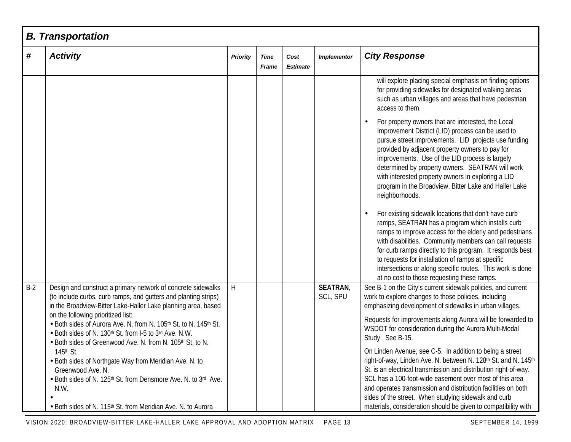|       | <b>B. Transportation</b>                                                                                                                                                                                                           |                 |                      |                         |                            |                                                                                                                                                                                                                                                                                                                                                                                                                                                                                                                    |  |  |  |  |
|-------|------------------------------------------------------------------------------------------------------------------------------------------------------------------------------------------------------------------------------------|-----------------|----------------------|-------------------------|----------------------------|--------------------------------------------------------------------------------------------------------------------------------------------------------------------------------------------------------------------------------------------------------------------------------------------------------------------------------------------------------------------------------------------------------------------------------------------------------------------------------------------------------------------|--|--|--|--|
| #     | <b>Activity</b>                                                                                                                                                                                                                    | <b>Priority</b> | <b>Time</b><br>Frame | Cost<br><b>Estimate</b> | Implementor                | <b>City Response</b>                                                                                                                                                                                                                                                                                                                                                                                                                                                                                               |  |  |  |  |
|       |                                                                                                                                                                                                                                    |                 |                      |                         |                            | will explore placing special emphasis on finding options<br>for providing sidewalks for designated walking areas<br>such as urban villages and areas that have pedestrian<br>access to them.                                                                                                                                                                                                                                                                                                                       |  |  |  |  |
|       |                                                                                                                                                                                                                                    |                 |                      |                         |                            | For property owners that are interested, the Local<br>Improvement District (LID) process can be used to<br>pursue street improvements. LID projects use funding<br>provided by adjacent property owners to pay for<br>improvements. Use of the LID process is largely<br>determined by property owners. SEATRAN will work<br>with interested property owners in exploring a LID<br>program in the Broadview, Bitter Lake and Haller Lake<br>neighborhoods.<br>For existing sidewalk locations that don't have curb |  |  |  |  |
|       |                                                                                                                                                                                                                                    |                 |                      |                         |                            | ramps, SEATRAN has a program which installs curb<br>ramps to improve access for the elderly and pedestrians<br>with disabilities. Community members can call requests<br>for curb ramps directly to this program. It responds best<br>to requests for installation of ramps at specific<br>intersections or along specific routes. This work is done<br>at no cost to those requesting these ramps.                                                                                                                |  |  |  |  |
| $B-2$ | Design and construct a primary network of concrete sidewalks<br>(to include curbs, curb ramps, and gutters and planting strips)<br>in the Broadview-Bitter Lake-Haller Lake planning area, based                                   | $\mathsf{H}$    |                      |                         | <b>SEATRAN</b><br>SCL, SPU | See B-1 on the City's current sidewalk policies, and current<br>work to explore changes to those policies, including<br>emphasizing development of sidewalks in urban villages.                                                                                                                                                                                                                                                                                                                                    |  |  |  |  |
|       | on the following prioritized list:<br>• Both sides of Aurora Ave. N. from N. 105th St. to N. 145th St.<br>. Both sides of N. 130th St. from I-5 to 3rd Ave. N.W.<br>• Both sides of Greenwood Ave. N. from N. 105th St. to N.      |                 |                      |                         |                            | Requests for improvements along Aurora will be forwarded to<br>WSDOT for consideration during the Aurora Multi-Modal<br>Study. See B-15.                                                                                                                                                                                                                                                                                                                                                                           |  |  |  |  |
|       | 145th St.<br>• Both sides of Northgate Way from Meridian Ave. N. to<br>Greenwood Ave. N.<br>. Both sides of N. 125th St. from Densmore Ave. N. to 3rd Ave.<br>N.W.<br>. Both sides of N. 115th St. from Meridian Ave. N. to Aurora |                 |                      |                         |                            | On Linden Avenue, see C-5. In addition to being a street<br>right-of-way, Linden Ave. N. between N. 128th St. and N. 145th<br>St. is an electrical transmission and distribution right-of-way.<br>SCL has a 100-foot-wide easement over most of this area<br>and operates transmission and distribution facilities on both<br>sides of the street. When studying sidewalk and curb<br>materials, consideration should be given to compatibility with                                                               |  |  |  |  |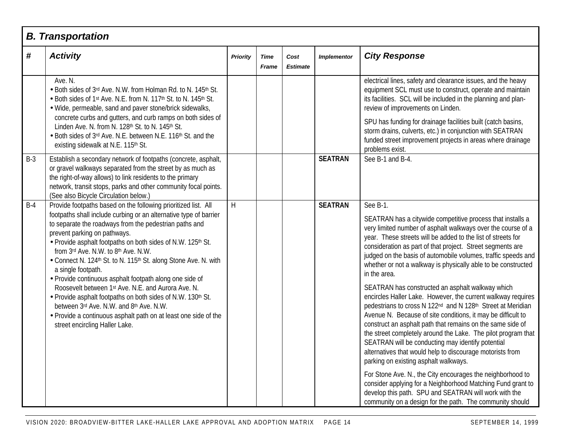|       | <b>B. Transportation</b>                                                                                                                                                                                                                                                                                                                                                                                                                                                                                                                                                                                                                                                                                                                                                             |                 |                      |                         |                |                                                                                                                                                                                                                                                                                                                                                                                                                                                                                                                                                                                                                                                                                                                                                                                                                                                                                                                                                                                                                                                                                                                                                                                                                                               |  |  |  |
|-------|--------------------------------------------------------------------------------------------------------------------------------------------------------------------------------------------------------------------------------------------------------------------------------------------------------------------------------------------------------------------------------------------------------------------------------------------------------------------------------------------------------------------------------------------------------------------------------------------------------------------------------------------------------------------------------------------------------------------------------------------------------------------------------------|-----------------|----------------------|-------------------------|----------------|-----------------------------------------------------------------------------------------------------------------------------------------------------------------------------------------------------------------------------------------------------------------------------------------------------------------------------------------------------------------------------------------------------------------------------------------------------------------------------------------------------------------------------------------------------------------------------------------------------------------------------------------------------------------------------------------------------------------------------------------------------------------------------------------------------------------------------------------------------------------------------------------------------------------------------------------------------------------------------------------------------------------------------------------------------------------------------------------------------------------------------------------------------------------------------------------------------------------------------------------------|--|--|--|
| #     | <b>Activity</b>                                                                                                                                                                                                                                                                                                                                                                                                                                                                                                                                                                                                                                                                                                                                                                      | <b>Priority</b> | Time<br><b>Frame</b> | Cost<br><b>Estimate</b> | Implementor    | <b>City Response</b>                                                                                                                                                                                                                                                                                                                                                                                                                                                                                                                                                                                                                                                                                                                                                                                                                                                                                                                                                                                                                                                                                                                                                                                                                          |  |  |  |
|       | Ave. N.<br>• Both sides of 3rd Ave. N.W. from Holman Rd. to N. 145th St.<br>• Both sides of 1st Ave. N.E. from N. 117th St. to N. 145th St.<br>· Wide, permeable, sand and paver stone/brick sidewalks,<br>concrete curbs and gutters, and curb ramps on both sides of<br>Linden Ave. N. from N. 128th St. to N. 145th St.<br>• Both sides of 3rd Ave. N.E. between N.E. 116th St. and the<br>existing sidewalk at N.E. 115th St.                                                                                                                                                                                                                                                                                                                                                    |                 |                      |                         |                | electrical lines, safety and clearance issues, and the heavy<br>equipment SCL must use to construct, operate and maintain<br>its facilities. SCL will be included in the planning and plan-<br>review of improvements on Linden.<br>SPU has funding for drainage facilities built (catch basins,<br>storm drains, culverts, etc.) in conjunction with SEATRAN<br>funded street improvement projects in areas where drainage<br>problems exist.                                                                                                                                                                                                                                                                                                                                                                                                                                                                                                                                                                                                                                                                                                                                                                                                |  |  |  |
| $B-3$ | Establish a secondary network of footpaths (concrete, asphalt,<br>or gravel walkways separated from the street by as much as<br>the right-of-way allows) to link residents to the primary<br>network, transit stops, parks and other community focal points.<br>(See also Bicycle Circulation below.)                                                                                                                                                                                                                                                                                                                                                                                                                                                                                |                 |                      |                         | <b>SEATRAN</b> | See B-1 and B-4.                                                                                                                                                                                                                                                                                                                                                                                                                                                                                                                                                                                                                                                                                                                                                                                                                                                                                                                                                                                                                                                                                                                                                                                                                              |  |  |  |
| $B-4$ | Provide footpaths based on the following prioritized list. All<br>footpaths shall include curbing or an alternative type of barrier<br>to separate the roadways from the pedestrian paths and<br>prevent parking on pathways.<br>• Provide asphalt footpaths on both sides of N.W. 125th St.<br>from 3rd Ave. N.W. to 8th Ave. N.W.<br>• Connect N. 124 <sup>th</sup> St. to N. 115 <sup>th</sup> St. along Stone Ave. N. with<br>a single footpath.<br>• Provide continuous asphalt footpath along one side of<br>Roosevelt between 1st Ave. N.E. and Aurora Ave. N.<br>• Provide asphalt footpaths on both sides of N.W. 130th St.<br>between 3rd Ave. N.W. and 8th Ave. N.W.<br>. Provide a continuous asphalt path on at least one side of the<br>street encircling Haller Lake. | H               |                      |                         | <b>SEATRAN</b> | See B-1.<br>SEATRAN has a citywide competitive process that installs a<br>very limited number of asphalt walkways over the course of a<br>year. These streets will be added to the list of streets for<br>consideration as part of that project. Street segments are<br>judged on the basis of automobile volumes, traffic speeds and<br>whether or not a walkway is physically able to be constructed<br>in the area.<br>SEATRAN has constructed an asphalt walkway which<br>encircles Haller Lake. However, the current walkway requires<br>pedestrians to cross N 122 <sup>nd</sup> and N 128 <sup>th</sup> Street at Meridian<br>Avenue N. Because of site conditions, it may be difficult to<br>construct an asphalt path that remains on the same side of<br>the street completely around the Lake. The pilot program that<br>SEATRAN will be conducting may identify potential<br>alternatives that would help to discourage motorists from<br>parking on existing asphalt walkways.<br>For Stone Ave. N., the City encourages the neighborhood to<br>consider applying for a Neighborhood Matching Fund grant to<br>develop this path. SPU and SEATRAN will work with the<br>community on a design for the path. The community should |  |  |  |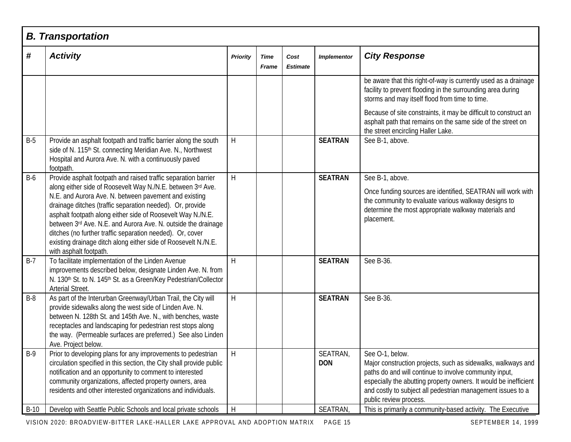| #               | <b>Activity</b>                                                                                                                                                                                                                                                                                                                                                                                                                                                                                                                              |                 |                      |                         |                                    |                                                                                                                                                                                                                                                                                                                                                                       |
|-----------------|----------------------------------------------------------------------------------------------------------------------------------------------------------------------------------------------------------------------------------------------------------------------------------------------------------------------------------------------------------------------------------------------------------------------------------------------------------------------------------------------------------------------------------------------|-----------------|----------------------|-------------------------|------------------------------------|-----------------------------------------------------------------------------------------------------------------------------------------------------------------------------------------------------------------------------------------------------------------------------------------------------------------------------------------------------------------------|
|                 |                                                                                                                                                                                                                                                                                                                                                                                                                                                                                                                                              | <b>Priority</b> | Time<br><b>Frame</b> | Cost<br><b>Estimate</b> | <b>Implementor</b>                 | <b>City Response</b>                                                                                                                                                                                                                                                                                                                                                  |
|                 |                                                                                                                                                                                                                                                                                                                                                                                                                                                                                                                                              |                 |                      |                         |                                    | be aware that this right-of-way is currently used as a drainage<br>facility to prevent flooding in the surrounding area during<br>storms and may itself flood from time to time.                                                                                                                                                                                      |
|                 |                                                                                                                                                                                                                                                                                                                                                                                                                                                                                                                                              |                 |                      |                         |                                    | Because of site constraints, it may be difficult to construct an<br>asphalt path that remains on the same side of the street on<br>the street encircling Haller Lake.                                                                                                                                                                                                 |
| $B-5$           | Provide an asphalt footpath and traffic barrier along the south<br>side of N. 115 <sup>th</sup> St. connecting Meridian Ave. N., Northwest<br>Hospital and Aurora Ave. N. with a continuously paved<br>footpath.                                                                                                                                                                                                                                                                                                                             | H               |                      |                         | <b>SEATRAN</b>                     | See B-1, above.                                                                                                                                                                                                                                                                                                                                                       |
| $B-6$           | Provide asphalt footpath and raised traffic separation barrier<br>along either side of Roosevelt Way N./N.E. between 3rd Ave.<br>N.E. and Aurora Ave. N. between pavement and existing<br>drainage ditches (traffic separation needed). Or, provide<br>asphalt footpath along either side of Roosevelt Way N./N.E.<br>between 3rd Ave. N.E. and Aurora Ave. N. outside the drainage<br>ditches (no further traffic separation needed). Or, cover<br>existing drainage ditch along either side of Roosevelt N./N.E.<br>with asphalt footpath. | H               |                      |                         | <b>SEATRAN</b>                     | See B-1, above.<br>Once funding sources are identified, SEATRAN will work with<br>the community to evaluate various walkway designs to<br>determine the most appropriate walkway materials and<br>placement.                                                                                                                                                          |
| $B-7$           | To facilitate implementation of the Linden Avenue<br>improvements described below, designate Linden Ave. N. from<br>N. 130th St. to N. 145th St. as a Green/Key Pedestrian/Collector<br>Arterial Street.                                                                                                                                                                                                                                                                                                                                     | H               |                      |                         | <b>SEATRAN</b>                     | See B-36.                                                                                                                                                                                                                                                                                                                                                             |
| $B-8$           | As part of the Interurban Greenway/Urban Trail, the City will<br>provide sidewalks along the west side of Linden Ave. N.<br>between N. 128th St. and 145th Ave. N., with benches, waste<br>receptacles and landscaping for pedestrian rest stops along<br>the way. (Permeable surfaces are preferred.) See also Linden<br>Ave. Project below.                                                                                                                                                                                                | H               |                      |                         | <b>SEATRAN</b>                     | See B-36.                                                                                                                                                                                                                                                                                                                                                             |
| $B-9$<br>$B-10$ | Prior to developing plans for any improvements to pedestrian<br>circulation specified in this section, the City shall provide public<br>notification and an opportunity to comment to interested<br>community organizations, affected property owners, area<br>residents and other interested organizations and individuals.<br>Develop with Seattle Public Schools and local private schools                                                                                                                                                | H<br>H          |                      |                         | SEATRAN,<br><b>DON</b><br>SEATRAN, | See O-1, below.<br>Major construction projects, such as sidewalks, walkways and<br>paths do and will continue to involve community input,<br>especially the abutting property owners. It would be inefficient<br>and costly to subject all pedestrian management issues to a<br>public review process.<br>This is primarily a community-based activity. The Executive |

VISION 2020: BROADVIEW-BITTER LAKE-HALLER LAKE APPROVAL AND ADOPTION MATRIX PAGE 15 SEPTEMBER 14, 1999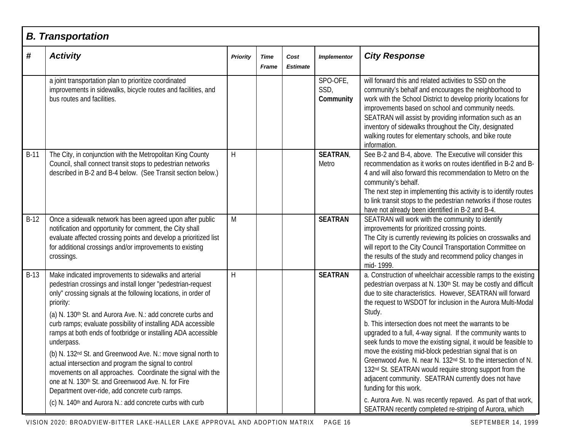|             | <b>B. Transportation</b>                                                                                                                                                                                                                                                                                                                                                                                                                                                                                                                                                                                                                                                                                                                                                                                                       |                 |               |                         |                               |                                                                                                                                                                                                                                                                                                                                                                                                                                                                                                                                                                                                                                                                                                                                                                                                                                                                                       |  |  |  |  |
|-------------|--------------------------------------------------------------------------------------------------------------------------------------------------------------------------------------------------------------------------------------------------------------------------------------------------------------------------------------------------------------------------------------------------------------------------------------------------------------------------------------------------------------------------------------------------------------------------------------------------------------------------------------------------------------------------------------------------------------------------------------------------------------------------------------------------------------------------------|-----------------|---------------|-------------------------|-------------------------------|---------------------------------------------------------------------------------------------------------------------------------------------------------------------------------------------------------------------------------------------------------------------------------------------------------------------------------------------------------------------------------------------------------------------------------------------------------------------------------------------------------------------------------------------------------------------------------------------------------------------------------------------------------------------------------------------------------------------------------------------------------------------------------------------------------------------------------------------------------------------------------------|--|--|--|--|
| #           | <b>Activity</b>                                                                                                                                                                                                                                                                                                                                                                                                                                                                                                                                                                                                                                                                                                                                                                                                                | <b>Priority</b> | Time<br>Frame | Cost<br><b>Estimate</b> | Implementor                   | <b>City Response</b>                                                                                                                                                                                                                                                                                                                                                                                                                                                                                                                                                                                                                                                                                                                                                                                                                                                                  |  |  |  |  |
|             | a joint transportation plan to prioritize coordinated<br>improvements in sidewalks, bicycle routes and facilities, and<br>bus routes and facilities.                                                                                                                                                                                                                                                                                                                                                                                                                                                                                                                                                                                                                                                                           |                 |               |                         | SPO-OFE,<br>SSD,<br>Community | will forward this and related activities to SSD on the<br>community's behalf and encourages the neighborhood to<br>work with the School District to develop priority locations for<br>improvements based on school and community needs.<br>SEATRAN will assist by providing information such as an<br>inventory of sidewalks throughout the City, designated<br>walking routes for elementary schools, and bike route<br>information.                                                                                                                                                                                                                                                                                                                                                                                                                                                 |  |  |  |  |
| $B-11$      | The City, in conjunction with the Metropolitan King County<br>Council, shall connect transit stops to pedestrian networks<br>described in B-2 and B-4 below. (See Transit section below.)                                                                                                                                                                                                                                                                                                                                                                                                                                                                                                                                                                                                                                      | H               |               |                         | <b>SEATRAN</b><br>Metro       | See B-2 and B-4, above. The Executive will consider this<br>recommendation as it works on routes identified in B-2 and B-<br>4 and will also forward this recommendation to Metro on the<br>community's behalf.<br>The next step in implementing this activity is to identify routes<br>to link transit stops to the pedestrian networks if those routes<br>have not already been identified in B-2 and B-4.                                                                                                                                                                                                                                                                                                                                                                                                                                                                          |  |  |  |  |
| $B-12$      | Once a sidewalk network has been agreed upon after public<br>notification and opportunity for comment, the City shall<br>evaluate affected crossing points and develop a prioritized list<br>for additional crossings and/or improvements to existing<br>crossings.                                                                                                                                                                                                                                                                                                                                                                                                                                                                                                                                                            | M               |               |                         | <b>SEATRAN</b>                | SEATRAN will work with the community to identify<br>improvements for prioritized crossing points.<br>The City is currently reviewing its policies on crosswalks and<br>will report to the City Council Transportation Committee on<br>the results of the study and recommend policy changes in<br>mid- 1999.                                                                                                                                                                                                                                                                                                                                                                                                                                                                                                                                                                          |  |  |  |  |
| <b>B-13</b> | Make indicated improvements to sidewalks and arterial<br>pedestrian crossings and install longer "pedestrian-request<br>only" crossing signals at the following locations, in order of<br>priority:<br>(a) N. 130 <sup>th</sup> St. and Aurora Ave. N.: add concrete curbs and<br>curb ramps; evaluate possibility of installing ADA accessible<br>ramps at both ends of footbridge or installing ADA accessible<br>underpass.<br>(b) N. 132 <sup>nd</sup> St. and Greenwood Ave. N.: move signal north to<br>actual intersection and program the signal to control<br>movements on all approaches. Coordinate the signal with the<br>one at N. 130 <sup>th</sup> St. and Greenwood Ave. N. for Fire<br>Department over-ride, add concrete curb ramps.<br>(c) N. 140 <sup>th</sup> and Aurora N.: add concrete curbs with curb | H               |               |                         | <b>SEATRAN</b>                | a. Construction of wheelchair accessible ramps to the existing<br>pedestrian overpass at N. 130th St. may be costly and difficult<br>due to site characteristics. However, SEATRAN will forward<br>the request to WSDOT for inclusion in the Aurora Multi-Modal<br>Study.<br>b. This intersection does not meet the warrants to be<br>upgraded to a full, 4-way signal. If the community wants to<br>seek funds to move the existing signal, it would be feasible to<br>move the existing mid-block pedestrian signal that is on<br>Greenwood Ave. N. near N. 132 <sup>nd</sup> St. to the intersection of N.<br>132nd St. SEATRAN would require strong support from the<br>adjacent community. SEATRAN currently does not have<br>funding for this work.<br>c. Aurora Ave. N. was recently repaved. As part of that work,<br>SEATRAN recently completed re-striping of Aurora, which |  |  |  |  |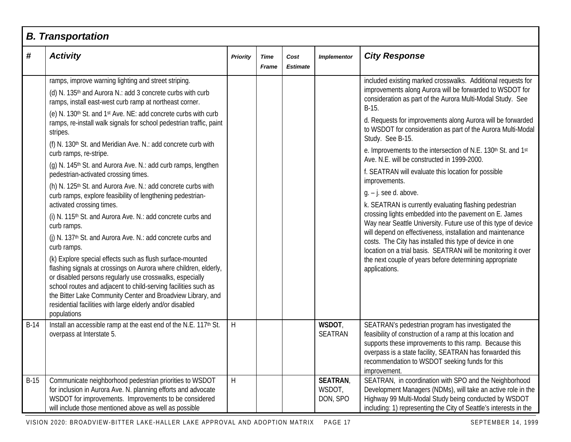|        | <b>B. Transportation</b>                                                                                                                                                                                                                                                                                                                                                                                                                                                                                                                                                                                                                                                                                                                                                                                                                                                                                                                                                                                                                                                                                                                                                                                                                                                                                                                                                |                 |                      |                         |                                       |                                                                                                                                                                                                                                                                                                                                                                                                                                                                                                                                                                                                                                                                                                                                                                                                                                                                                                                                                                                                                                    |  |  |  |  |
|--------|-------------------------------------------------------------------------------------------------------------------------------------------------------------------------------------------------------------------------------------------------------------------------------------------------------------------------------------------------------------------------------------------------------------------------------------------------------------------------------------------------------------------------------------------------------------------------------------------------------------------------------------------------------------------------------------------------------------------------------------------------------------------------------------------------------------------------------------------------------------------------------------------------------------------------------------------------------------------------------------------------------------------------------------------------------------------------------------------------------------------------------------------------------------------------------------------------------------------------------------------------------------------------------------------------------------------------------------------------------------------------|-----------------|----------------------|-------------------------|---------------------------------------|------------------------------------------------------------------------------------------------------------------------------------------------------------------------------------------------------------------------------------------------------------------------------------------------------------------------------------------------------------------------------------------------------------------------------------------------------------------------------------------------------------------------------------------------------------------------------------------------------------------------------------------------------------------------------------------------------------------------------------------------------------------------------------------------------------------------------------------------------------------------------------------------------------------------------------------------------------------------------------------------------------------------------------|--|--|--|--|
| #      | <b>Activity</b>                                                                                                                                                                                                                                                                                                                                                                                                                                                                                                                                                                                                                                                                                                                                                                                                                                                                                                                                                                                                                                                                                                                                                                                                                                                                                                                                                         | <b>Priority</b> | Time<br><b>Frame</b> | Cost<br><b>Estimate</b> | Implementor                           | <b>City Response</b>                                                                                                                                                                                                                                                                                                                                                                                                                                                                                                                                                                                                                                                                                                                                                                                                                                                                                                                                                                                                               |  |  |  |  |
|        | ramps, improve warning lighting and street striping.<br>(d) N. 135 <sup>th</sup> and Aurora N.: add 3 concrete curbs with curb<br>ramps, install east-west curb ramp at northeast corner.<br>(e) N. 130 <sup>th</sup> St. and 1 <sup>st</sup> Ave. NE: add concrete curbs with curb<br>ramps, re-install walk signals for school pedestrian traffic, paint<br>stripes.<br>(f) N. 130 <sup>th</sup> St. and Meridian Ave. N.: add concrete curb with<br>curb ramps, re-stripe.<br>(g) N. 145 <sup>th</sup> St. and Aurora Ave. N.: add curb ramps, lengthen<br>pedestrian-activated crossing times.<br>(h) N. 125 <sup>th</sup> St. and Aurora Ave. N.: add concrete curbs with<br>curb ramps, explore feasibility of lengthening pedestrian-<br>activated crossing times.<br>(i) N. 115 <sup>th</sup> St. and Aurora Ave. N.: add concrete curbs and<br>curb ramps.<br>(j) N. 137 <sup>th</sup> St. and Aurora Ave. N.: add concrete curbs and<br>curb ramps.<br>(k) Explore special effects such as flush surface-mounted<br>flashing signals at crossings on Aurora where children, elderly,<br>or disabled persons regularly use crosswalks, especially<br>school routes and adjacent to child-serving facilities such as<br>the Bitter Lake Community Center and Broadview Library, and<br>residential facilities with large elderly and/or disabled<br>populations |                 |                      |                         |                                       | included existing marked crosswalks. Additional requests for<br>improvements along Aurora will be forwarded to WSDOT for<br>consideration as part of the Aurora Multi-Modal Study. See<br>B-15.<br>d. Requests for improvements along Aurora will be forwarded<br>to WSDOT for consideration as part of the Aurora Multi-Modal<br>Study. See B-15.<br>e. Improvements to the intersection of N.E. 130th St. and 1st<br>Ave. N.E. will be constructed in 1999-2000.<br>f. SEATRAN will evaluate this location for possible<br>improvements.<br>$q - j$ . see d. above.<br>k. SEATRAN is currently evaluating flashing pedestrian<br>crossing lights embedded into the pavement on E. James<br>Way near Seattle University. Future use of this type of device<br>will depend on effectiveness, installation and maintenance<br>costs. The City has installed this type of device in one<br>location on a trial basis. SEATRAN will be monitoring it over<br>the next couple of years before determining appropriate<br>applications. |  |  |  |  |
| $B-14$ | Install an accessible ramp at the east end of the N.E. 117th St.<br>overpass at Interstate 5.                                                                                                                                                                                                                                                                                                                                                                                                                                                                                                                                                                                                                                                                                                                                                                                                                                                                                                                                                                                                                                                                                                                                                                                                                                                                           | H               |                      |                         | WSDOT,<br><b>SEATRAN</b>              | SEATRAN's pedestrian program has investigated the<br>feasibility of construction of a ramp at this location and<br>supports these improvements to this ramp. Because this<br>overpass is a state facility, SEATRAN has forwarded this<br>recommendation to WSDOT seeking funds for this<br>improvement.                                                                                                                                                                                                                                                                                                                                                                                                                                                                                                                                                                                                                                                                                                                            |  |  |  |  |
| $B-15$ | Communicate neighborhood pedestrian priorities to WSDOT<br>for inclusion in Aurora Ave. N. planning efforts and advocate<br>WSDOT for improvements. Improvements to be considered<br>will include those mentioned above as well as possible                                                                                                                                                                                                                                                                                                                                                                                                                                                                                                                                                                                                                                                                                                                                                                                                                                                                                                                                                                                                                                                                                                                             | H               |                      |                         | <b>SEATRAN,</b><br>WSDOT,<br>DON, SPO | SEATRAN, in coordination with SPO and the Neighborhood<br>Development Managers (NDMs), will take an active role in the<br>Highway 99 Multi-Modal Study being conducted by WSDOT<br>including: 1) representing the City of Seattle's interests in the                                                                                                                                                                                                                                                                                                                                                                                                                                                                                                                                                                                                                                                                                                                                                                               |  |  |  |  |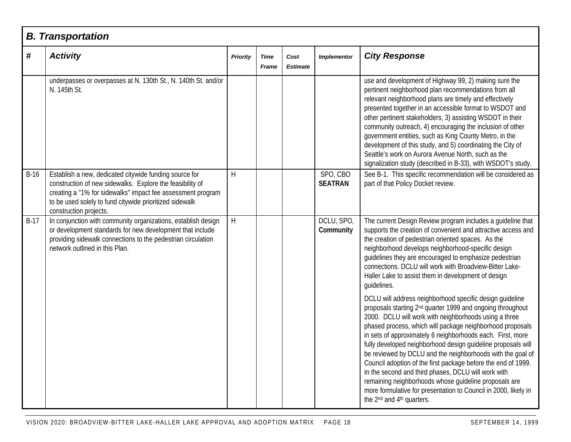|        | <b>B.</b> Transportation                                                                                                                                                                                                                                                |                 |               |                         |                            |                                                                                                                                                                                                                                                                                                                                                                                                                                                                                                                                                                                                                                                                                                                                                               |  |  |  |
|--------|-------------------------------------------------------------------------------------------------------------------------------------------------------------------------------------------------------------------------------------------------------------------------|-----------------|---------------|-------------------------|----------------------------|---------------------------------------------------------------------------------------------------------------------------------------------------------------------------------------------------------------------------------------------------------------------------------------------------------------------------------------------------------------------------------------------------------------------------------------------------------------------------------------------------------------------------------------------------------------------------------------------------------------------------------------------------------------------------------------------------------------------------------------------------------------|--|--|--|
| #      | <b>Activity</b>                                                                                                                                                                                                                                                         | <b>Priority</b> | Time<br>Frame | Cost<br><b>Estimate</b> | <b>Implementor</b>         | <b>City Response</b>                                                                                                                                                                                                                                                                                                                                                                                                                                                                                                                                                                                                                                                                                                                                          |  |  |  |
|        | underpasses or overpasses at N. 130th St., N. 140th St. and/or<br>N. 145th St.                                                                                                                                                                                          |                 |               |                         |                            | use and development of Highway 99, 2) making sure the<br>pertinent neighborhood plan recommendations from all<br>relevant neighborhood plans are timely and effectively<br>presented together in an accessible format to WSDOT and<br>other pertinent stakeholders, 3) assisting WSDOT in their<br>community outreach, 4) encouraging the inclusion of other<br>government entities, such as King County Metro, in the<br>development of this study, and 5) coordinating the City of<br>Seattle's work on Aurora Avenue North, such as the<br>signalization study (described in B-33), with WSDOT's study.                                                                                                                                                    |  |  |  |
| $B-16$ | Establish a new, dedicated citywide funding source for<br>construction of new sidewalks. Explore the feasibility of<br>creating a "1% for sidewalks" impact fee assessment program<br>to be used solely to fund citywide prioritized sidewalk<br>construction projects. | H               |               |                         | SPO, CBO<br><b>SEATRAN</b> | See B-1. This specific recommendation will be considered as<br>part of that Policy Docket review.                                                                                                                                                                                                                                                                                                                                                                                                                                                                                                                                                                                                                                                             |  |  |  |
| $B-17$ | In conjunction with community organizations, establish design<br>or development standards for new development that include<br>providing sidewalk connections to the pedestrian circulation<br>network outlined in this Plan.                                            | H               |               |                         | DCLU, SPO,<br>Community    | The current Design Review program includes a quideline that<br>supports the creation of convenient and attractive access and<br>the creation of pedestrian oriented spaces. As the<br>neighborhood develops neighborhood-specific design<br>guidelines they are encouraged to emphasize pedestrian<br>connections. DCLU will work with Broadview-Bitter Lake-<br>Haller Lake to assist them in development of design<br>guidelines.                                                                                                                                                                                                                                                                                                                           |  |  |  |
|        |                                                                                                                                                                                                                                                                         |                 |               |                         |                            | DCLU will address neighborhood specific design guideline<br>proposals starting 2 <sup>nd</sup> quarter 1999 and ongoing throughout<br>2000. DCLU will work with neighborhoods using a three<br>phased process, which will package neighborhood proposals<br>in sets of approximately 6 neighborhoods each. First, more<br>fully developed neighborhood design quideline proposals will<br>be reviewed by DCLU and the neighborhoods with the goal of<br>Council adoption of the first package before the end of 1999.<br>In the second and third phases, DCLU will work with<br>remaining neighborhoods whose guideline proposals are<br>more formulative for presentation to Council in 2000, likely in<br>the 2 <sup>nd</sup> and 4 <sup>th</sup> quarters. |  |  |  |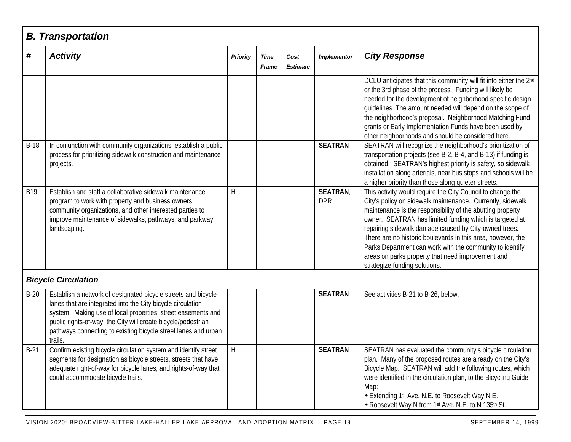|             | <b>B.</b> Transportation                                                                                                                                                                                                                                                                                                                   |                 |               |                         |                              |                                                                                                                                                                                                                                                                                                                                                                                                                                                                                                                             |  |  |  |  |
|-------------|--------------------------------------------------------------------------------------------------------------------------------------------------------------------------------------------------------------------------------------------------------------------------------------------------------------------------------------------|-----------------|---------------|-------------------------|------------------------------|-----------------------------------------------------------------------------------------------------------------------------------------------------------------------------------------------------------------------------------------------------------------------------------------------------------------------------------------------------------------------------------------------------------------------------------------------------------------------------------------------------------------------------|--|--|--|--|
| #           | <b>Activity</b>                                                                                                                                                                                                                                                                                                                            | <b>Priority</b> | Time<br>Frame | Cost<br><b>Estimate</b> | Implementor                  | <b>City Response</b>                                                                                                                                                                                                                                                                                                                                                                                                                                                                                                        |  |  |  |  |
|             |                                                                                                                                                                                                                                                                                                                                            |                 |               |                         |                              | DCLU anticipates that this community will fit into either the 2nd<br>or the 3rd phase of the process. Funding will likely be<br>needed for the development of neighborhood specific design<br>guidelines. The amount needed will depend on the scope of<br>the neighborhood's proposal. Neighborhood Matching Fund<br>grants or Early Implementation Funds have been used by<br>other neighborhoods and should be considered here.                                                                                          |  |  |  |  |
| <b>B-18</b> | In conjunction with community organizations, establish a public<br>process for prioritizing sidewalk construction and maintenance<br>projects.                                                                                                                                                                                             |                 |               |                         | <b>SEATRAN</b>               | SEATRAN will recognize the neighborhood's prioritization of<br>transportation projects (see B-2, B-4, and B-13) if funding is<br>obtained. SEATRAN's highest priority is safety, so sidewalk<br>installation along arterials, near bus stops and schools will be<br>a higher priority than those along quieter streets.                                                                                                                                                                                                     |  |  |  |  |
| <b>B19</b>  | Establish and staff a collaborative sidewalk maintenance<br>program to work with property and business owners,<br>community organizations, and other interested parties to<br>improve maintenance of sidewalks, pathways, and parkway<br>landscaping.                                                                                      | $\mathsf{H}$    |               |                         | <b>SEATRAN</b><br><b>DPR</b> | This activity would require the City Council to change the<br>City's policy on sidewalk maintenance. Currently, sidewalk<br>maintenance is the responsibility of the abutting property<br>owner. SEATRAN has limited funding which is targeted at<br>repairing sidewalk damage caused by City-owned trees.<br>There are no historic boulevards in this area, however, the<br>Parks Department can work with the community to identify<br>areas on parks property that need improvement and<br>strategize funding solutions. |  |  |  |  |
|             | <b>Bicycle Circulation</b>                                                                                                                                                                                                                                                                                                                 |                 |               |                         |                              |                                                                                                                                                                                                                                                                                                                                                                                                                                                                                                                             |  |  |  |  |
| $B-20$      | Establish a network of designated bicycle streets and bicycle<br>lanes that are integrated into the City bicycle circulation<br>system. Making use of local properties, street easements and<br>public rights-of-way, the City will create bicycle/pedestrian<br>pathways connecting to existing bicycle street lanes and urban<br>trails. |                 |               |                         | <b>SEATRAN</b>               | See activities B-21 to B-26, below.                                                                                                                                                                                                                                                                                                                                                                                                                                                                                         |  |  |  |  |
| $B-21$      | Confirm existing bicycle circulation system and identify street<br>segments for designation as bicycle streets, streets that have<br>adequate right-of-way for bicycle lanes, and rights-of-way that<br>could accommodate bicycle trails.                                                                                                  | H               |               |                         | <b>SEATRAN</b>               | SEATRAN has evaluated the community's bicycle circulation<br>plan. Many of the proposed routes are already on the City's<br>Bicycle Map. SEATRAN will add the following routes, which<br>were identified in the circulation plan, to the Bicycling Guide<br>Map:<br>• Extending 1st Ave. N.E. to Roosevelt Way N.E.<br>. Roosevelt Way N from 1st Ave. N.E. to N 135th St.                                                                                                                                                  |  |  |  |  |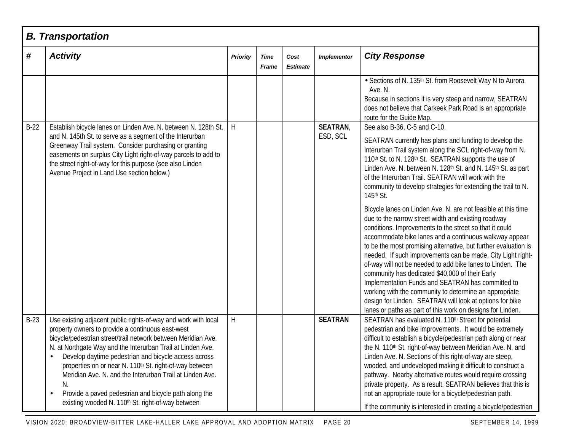|        | <b>B. Transportation</b>                                                                                                                                                                                                                                                                                                                                                                                                                                                                                                                                            |                           |                      |                         |                            |                                                                                                                                                                                                                                                                                                                                                                                                                                                                                                                                                                                                                                                                                                                                                                                                                                                                                                                                                                                                                                                                                                                                                             |  |  |  |  |
|--------|---------------------------------------------------------------------------------------------------------------------------------------------------------------------------------------------------------------------------------------------------------------------------------------------------------------------------------------------------------------------------------------------------------------------------------------------------------------------------------------------------------------------------------------------------------------------|---------------------------|----------------------|-------------------------|----------------------------|-------------------------------------------------------------------------------------------------------------------------------------------------------------------------------------------------------------------------------------------------------------------------------------------------------------------------------------------------------------------------------------------------------------------------------------------------------------------------------------------------------------------------------------------------------------------------------------------------------------------------------------------------------------------------------------------------------------------------------------------------------------------------------------------------------------------------------------------------------------------------------------------------------------------------------------------------------------------------------------------------------------------------------------------------------------------------------------------------------------------------------------------------------------|--|--|--|--|
| #      | <b>Activity</b>                                                                                                                                                                                                                                                                                                                                                                                                                                                                                                                                                     | <b>Priority</b>           | <b>Time</b><br>Frame | Cost<br><b>Estimate</b> | <b>Implementor</b>         | <b>City Response</b>                                                                                                                                                                                                                                                                                                                                                                                                                                                                                                                                                                                                                                                                                                                                                                                                                                                                                                                                                                                                                                                                                                                                        |  |  |  |  |
|        |                                                                                                                                                                                                                                                                                                                                                                                                                                                                                                                                                                     |                           |                      |                         |                            | • Sections of N. 135 <sup>th</sup> St. from Roosevelt Way N to Aurora<br>Ave. N.<br>Because in sections it is very steep and narrow, SEATRAN<br>does not believe that Carkeek Park Road is an appropriate<br>route for the Guide Map.                                                                                                                                                                                                                                                                                                                                                                                                                                                                                                                                                                                                                                                                                                                                                                                                                                                                                                                       |  |  |  |  |
| $B-22$ | Establish bicycle lanes on Linden Ave. N. between N. 128th St.<br>and N. 145th St. to serve as a segment of the Interurban<br>Greenway Trail system. Consider purchasing or granting<br>easements on surplus City Light right-of-way parcels to add to<br>the street right-of-way for this purpose (see also Linden<br>Avenue Project in Land Use section below.)                                                                                                                                                                                                   | H                         |                      |                         | <b>SEATRAN</b><br>ESD, SCL | See also B-36, C-5 and C-10.<br>SEATRAN currently has plans and funding to develop the<br>Interurban Trail system along the SCL right-of-way from N.<br>110th St. to N. 128th St. SEATRAN supports the use of<br>Linden Ave. N. between N. 128th St. and N. 145th St. as part<br>of the Interurban Trail. SEATRAN will work with the<br>community to develop strategies for extending the trail to N.<br>145th St.<br>Bicycle lanes on Linden Ave. N. are not feasible at this time<br>due to the narrow street width and existing roadway<br>conditions. Improvements to the street so that it could<br>accommodate bike lanes and a continuous walkway appear<br>to be the most promising alternative, but further evaluation is<br>needed. If such improvements can be made, City Light right-<br>of-way will not be needed to add bike lanes to Linden. The<br>community has dedicated \$40,000 of their Early<br>Implementation Funds and SEATRAN has committed to<br>working with the community to determine an appropriate<br>design for Linden. SEATRAN will look at options for bike<br>lanes or paths as part of this work on designs for Linden. |  |  |  |  |
| $B-23$ | Use existing adjacent public rights-of-way and work with local<br>property owners to provide a continuous east-west<br>bicycle/pedestrian street/trail network between Meridian Ave.<br>N. at Northgate Way and the Interurban Trail at Linden Ave.<br>Develop daytime pedestrian and bicycle access across<br>properties on or near N. 110th St. right-of-way between<br>Meridian Ave. N. and the Interurban Trail at Linden Ave.<br>N.<br>Provide a paved pedestrian and bicycle path along the<br>$\bullet$<br>existing wooded N. 110th St. right-of-way between | $\boldsymbol{\mathsf{H}}$ |                      |                         | <b>SEATRAN</b>             | SEATRAN has evaluated N. 110th Street for potential<br>pedestrian and bike improvements. It would be extremely<br>difficult to establish a bicycle/pedestrian path along or near<br>the N. 110 <sup>th</sup> St. right-of-way between Meridian Ave. N. and<br>Linden Ave. N. Sections of this right-of-way are steep,<br>wooded, and undeveloped making it difficult to construct a<br>pathway. Nearby alternative routes would require crossing<br>private property. As a result, SEATRAN believes that this is<br>not an appropriate route for a bicycle/pedestrian path.<br>If the community is interested in creating a bicycle/pedestrian                                                                                                                                                                                                                                                                                                                                                                                                                                                                                                              |  |  |  |  |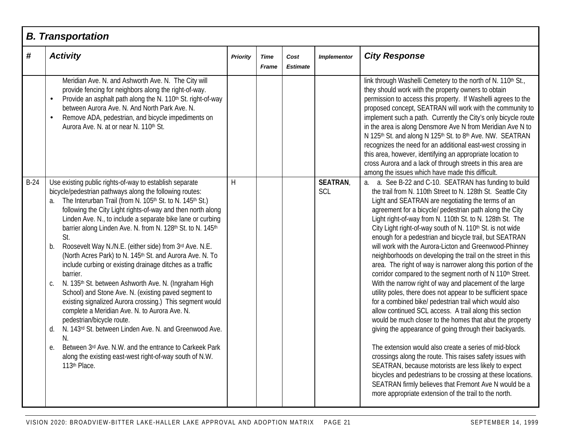|        | <b>B. Transportation</b>                                                                                                                                                                                                                                                                                                                                                                                                                                                                                                                                                                                                                                                                                                                                                                                                                                                                                                                                                                                                                                                                       |                 |                      |                         |                       |                                                                                                                                                                                                                                                                                                                                                                                                                                                                                                                                                                                                                                                                                                                                                                                                                                                                                                                                                                                                                                                                                                                                                                                                                                                                                                                                                                                                                   |  |  |  |
|--------|------------------------------------------------------------------------------------------------------------------------------------------------------------------------------------------------------------------------------------------------------------------------------------------------------------------------------------------------------------------------------------------------------------------------------------------------------------------------------------------------------------------------------------------------------------------------------------------------------------------------------------------------------------------------------------------------------------------------------------------------------------------------------------------------------------------------------------------------------------------------------------------------------------------------------------------------------------------------------------------------------------------------------------------------------------------------------------------------|-----------------|----------------------|-------------------------|-----------------------|-------------------------------------------------------------------------------------------------------------------------------------------------------------------------------------------------------------------------------------------------------------------------------------------------------------------------------------------------------------------------------------------------------------------------------------------------------------------------------------------------------------------------------------------------------------------------------------------------------------------------------------------------------------------------------------------------------------------------------------------------------------------------------------------------------------------------------------------------------------------------------------------------------------------------------------------------------------------------------------------------------------------------------------------------------------------------------------------------------------------------------------------------------------------------------------------------------------------------------------------------------------------------------------------------------------------------------------------------------------------------------------------------------------------|--|--|--|
| #      | <b>Activity</b>                                                                                                                                                                                                                                                                                                                                                                                                                                                                                                                                                                                                                                                                                                                                                                                                                                                                                                                                                                                                                                                                                | <b>Priority</b> | Time<br><b>Frame</b> | Cost<br><b>Estimate</b> | <b>Implementor</b>    | <b>City Response</b>                                                                                                                                                                                                                                                                                                                                                                                                                                                                                                                                                                                                                                                                                                                                                                                                                                                                                                                                                                                                                                                                                                                                                                                                                                                                                                                                                                                              |  |  |  |
|        | Meridian Ave. N. and Ashworth Ave. N. The City will<br>provide fencing for neighbors along the right-of-way.<br>Provide an asphalt path along the N. 110th St. right-of-way<br>$\bullet$<br>between Aurora Ave. N. And North Park Ave. N.<br>Remove ADA, pedestrian, and bicycle impediments on<br>$\bullet$<br>Aurora Ave. N. at or near N. 110th St.                                                                                                                                                                                                                                                                                                                                                                                                                                                                                                                                                                                                                                                                                                                                         |                 |                      |                         |                       | link through Washelli Cemetery to the north of N. 110 <sup>th</sup> St.,<br>they should work with the property owners to obtain<br>permission to access this property. If Washelli agrees to the<br>proposed concept, SEATRAN will work with the community to<br>implement such a path. Currently the City's only bicycle route<br>in the area is along Densmore Ave N from Meridian Ave N to<br>N 125th St. and along N 125th St. to 8th Ave. NW. SEATRAN<br>recognizes the need for an additional east-west crossing in<br>this area, however, identifying an appropriate location to<br>cross Aurora and a lack of through streets in this area are<br>among the issues which have made this difficult.                                                                                                                                                                                                                                                                                                                                                                                                                                                                                                                                                                                                                                                                                                        |  |  |  |
| $B-24$ | Use existing public rights-of-way to establish separate<br>bicycle/pedestrian pathways along the following routes:<br>The Interurban Trail (from N. 105 <sup>th</sup> St. to N. 145 <sup>th</sup> St.)<br>following the City Light rights-of-way and then north along<br>Linden Ave. N., to include a separate bike lane or curbing<br>barrier along Linden Ave. N. from N. 128th St. to N. 145th<br>St.<br>Roosevelt Way N./N.E. (either side) from 3rd Ave. N.E.<br>b.<br>(North Acres Park) to N. 145th St. and Aurora Ave. N. To<br>include curbing or existing drainage ditches as a traffic<br>barrier.<br>N. 135th St. between Ashworth Ave. N. (Ingraham High<br>C.<br>School) and Stone Ave. N. (existing paved segment to<br>existing signalized Aurora crossing.) This segment would<br>complete a Meridian Ave. N. to Aurora Ave. N.<br>pedestrian/bicycle route.<br>N. 143rd St. between Linden Ave. N. and Greenwood Ave.<br>d.<br>N.<br>Between 3rd Ave. N.W. and the entrance to Carkeek Park<br>е.<br>along the existing east-west right-of-way south of N.W.<br>113th Place. | $\mathsf{H}$    |                      |                         | <b>SEATRAN</b><br>SCL | a. a. See B-22 and C-10. SEATRAN has funding to build<br>the trail from N. 110th Street to N. 128th St. Seattle City<br>Light and SEATRAN are negotiating the terms of an<br>agreement for a bicycle/ pedestrian path along the City<br>Light right-of-way from N. 110th St. to N. 128th St. The<br>City Light right-of-way south of N. 110th St. is not wide<br>enough for a pedestrian and bicycle trail, but SEATRAN<br>will work with the Aurora-Licton and Greenwood-Phinney<br>neighborhoods on developing the trail on the street in this<br>area. The right of way is narrower along this portion of the<br>corridor compared to the segment north of N 110th Street.<br>With the narrow right of way and placement of the large<br>utility poles, there does not appear to be sufficient space<br>for a combined bike/ pedestrian trail which would also<br>allow continued SCL access. A trail along this section<br>would be much closer to the homes that abut the property<br>giving the appearance of going through their backyards.<br>The extension would also create a series of mid-block<br>crossings along the route. This raises safety issues with<br>SEATRAN, because motorists are less likely to expect<br>bicycles and pedestrians to be crossing at these locations.<br>SEATRAN firmly believes that Fremont Ave N would be a<br>more appropriate extension of the trail to the north. |  |  |  |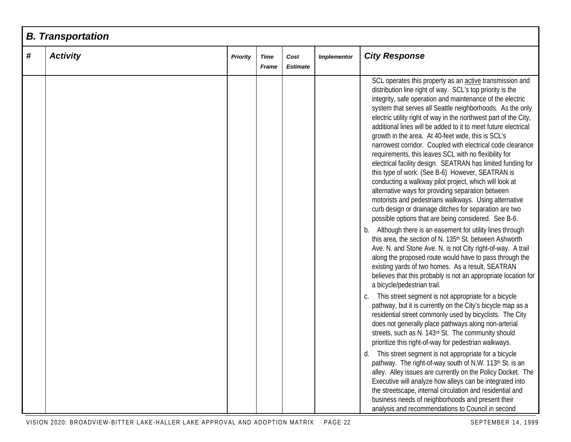|   | <b>B. Transportation</b> |                 |                             |                         |                    |                                                                                                                                                                                                                                                                                                                                                                                                                                                                                                                                                                                                                                                                                                                                                                                                                                                                                                                                                                                                                                                                                                                                                                                                                                                                                                                                                                                                                                                                                                                                                                                                                                                                                                                                                                                                                                                                                                                                                                                                                                                                                                                                                                                              |  |  |  |  |
|---|--------------------------|-----------------|-----------------------------|-------------------------|--------------------|----------------------------------------------------------------------------------------------------------------------------------------------------------------------------------------------------------------------------------------------------------------------------------------------------------------------------------------------------------------------------------------------------------------------------------------------------------------------------------------------------------------------------------------------------------------------------------------------------------------------------------------------------------------------------------------------------------------------------------------------------------------------------------------------------------------------------------------------------------------------------------------------------------------------------------------------------------------------------------------------------------------------------------------------------------------------------------------------------------------------------------------------------------------------------------------------------------------------------------------------------------------------------------------------------------------------------------------------------------------------------------------------------------------------------------------------------------------------------------------------------------------------------------------------------------------------------------------------------------------------------------------------------------------------------------------------------------------------------------------------------------------------------------------------------------------------------------------------------------------------------------------------------------------------------------------------------------------------------------------------------------------------------------------------------------------------------------------------------------------------------------------------------------------------------------------------|--|--|--|--|
| # | <b>Activity</b>          | <b>Priority</b> | <b>Time</b><br><b>Frame</b> | Cost<br><b>Estimate</b> | <b>Implementor</b> | <b>City Response</b>                                                                                                                                                                                                                                                                                                                                                                                                                                                                                                                                                                                                                                                                                                                                                                                                                                                                                                                                                                                                                                                                                                                                                                                                                                                                                                                                                                                                                                                                                                                                                                                                                                                                                                                                                                                                                                                                                                                                                                                                                                                                                                                                                                         |  |  |  |  |
|   |                          |                 |                             |                         |                    | SCL operates this property as an active transmission and<br>distribution line right of way. SCL's top priority is the<br>integrity, safe operation and maintenance of the electric<br>system that serves all Seattle neighborhoods. As the only<br>electric utility right of way in the northwest part of the City,<br>additional lines will be added to it to meet future electrical<br>growth in the area. At 40-feet wide, this is SCL's<br>narrowest corridor. Coupled with electrical code clearance<br>requirements, this leaves SCL with no flexibility for<br>electrical facility design. SEATRAN has limited funding for<br>this type of work. (See B-6) However, SEATRAN is<br>conducting a walkway pilot project, which will look at<br>alternative ways for providing separation between<br>motorists and pedestrians walkways. Using alternative<br>curb design or drainage ditches for separation are two<br>possible options that are being considered. See B-6.<br>Although there is an easement for utility lines through<br>b.<br>this area, the section of N. 135 <sup>th</sup> St. between Ashworth<br>Ave. N. and Stone Ave. N. is not City right-of-way. A trail<br>along the proposed route would have to pass through the<br>existing yards of two homes. As a result, SEATRAN<br>believes that this probably is not an appropriate location for<br>a bicycle/pedestrian trail.<br>This street segment is not appropriate for a bicycle<br>C.<br>pathway, but it is currently on the City's bicycle map as a<br>residential street commonly used by bicyclists. The City<br>does not generally place pathways along non-arterial<br>streets, such as N. 143rd St. The community should<br>prioritize this right-of-way for pedestrian walkways.<br>This street segment is not appropriate for a bicycle<br>pathway. The right-of-way south of N.W. 113th St. is an<br>alley. Alley issues are currently on the Policy Docket. The<br>Executive will analyze how alleys can be integrated into<br>the streetscape, internal circulation and residential and<br>business needs of neighborhoods and present their<br>analysis and recommendations to Council in second |  |  |  |  |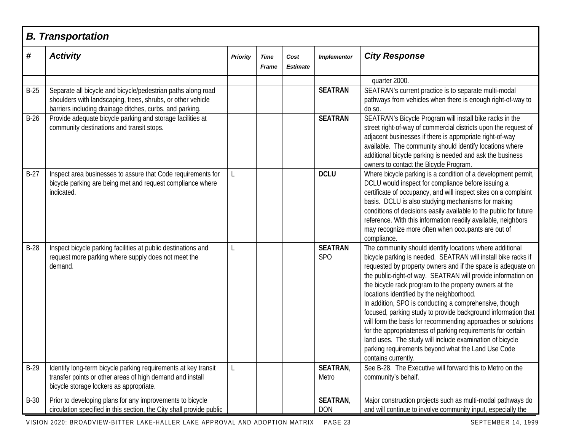|             | <b>B. Transportation</b>                                                                                                                                                                |                 |                             |                         |                                   |                                                                                                                                                                                                                                                                                                                                                                                                                                                                                                                                                                                                                                                                                                                                                                     |  |  |  |
|-------------|-----------------------------------------------------------------------------------------------------------------------------------------------------------------------------------------|-----------------|-----------------------------|-------------------------|-----------------------------------|---------------------------------------------------------------------------------------------------------------------------------------------------------------------------------------------------------------------------------------------------------------------------------------------------------------------------------------------------------------------------------------------------------------------------------------------------------------------------------------------------------------------------------------------------------------------------------------------------------------------------------------------------------------------------------------------------------------------------------------------------------------------|--|--|--|
| $\pmb{\#}$  | <b>Activity</b>                                                                                                                                                                         | <b>Priority</b> | <b>Time</b><br><b>Frame</b> | Cost<br><b>Estimate</b> | <b>Implementor</b>                | <b>City Response</b>                                                                                                                                                                                                                                                                                                                                                                                                                                                                                                                                                                                                                                                                                                                                                |  |  |  |
|             |                                                                                                                                                                                         |                 |                             |                         |                                   | quarter 2000.                                                                                                                                                                                                                                                                                                                                                                                                                                                                                                                                                                                                                                                                                                                                                       |  |  |  |
| $B-25$      | Separate all bicycle and bicycle/pedestrian paths along road<br>shoulders with landscaping, trees, shrubs, or other vehicle<br>barriers including drainage ditches, curbs, and parking. |                 |                             |                         | <b>SEATRAN</b>                    | SEATRAN's current practice is to separate multi-modal<br>pathways from vehicles when there is enough right-of-way to<br>do so.                                                                                                                                                                                                                                                                                                                                                                                                                                                                                                                                                                                                                                      |  |  |  |
| $B-26$      | Provide adequate bicycle parking and storage facilities at<br>community destinations and transit stops.                                                                                 |                 |                             |                         | <b>SEATRAN</b>                    | SEATRAN's Bicycle Program will install bike racks in the<br>street right-of-way of commercial districts upon the request of<br>adjacent businesses if there is appropriate right-of-way<br>available. The community should identify locations where<br>additional bicycle parking is needed and ask the business<br>owners to contact the Bicycle Program.                                                                                                                                                                                                                                                                                                                                                                                                          |  |  |  |
| $B-27$      | Inspect area businesses to assure that Code requirements for<br>bicycle parking are being met and request compliance where<br>indicated.                                                | L               |                             |                         | <b>DCLU</b>                       | Where bicycle parking is a condition of a development permit,<br>DCLU would inspect for compliance before issuing a<br>certificate of occupancy, and will inspect sites on a complaint<br>basis. DCLU is also studying mechanisms for making<br>conditions of decisions easily available to the public for future<br>reference. With this information readily available, neighbors<br>may recognize more often when occupants are out of<br>compliance.                                                                                                                                                                                                                                                                                                             |  |  |  |
| <b>B-28</b> | Inspect bicycle parking facilities at public destinations and<br>request more parking where supply does not meet the<br>demand.                                                         | L               |                             |                         | <b>SEATRAN</b><br>SP <sub>O</sub> | The community should identify locations where additional<br>bicycle parking is needed. SEATRAN will install bike racks if<br>requested by property owners and if the space is adequate on<br>the public-right-of way. SEATRAN will provide information on<br>the bicycle rack program to the property owners at the<br>locations identified by the neighborhood.<br>In addition, SPO is conducting a comprehensive, though<br>focused, parking study to provide background information that<br>will form the basis for recommending approaches or solutions<br>for the appropriateness of parking requirements for certain<br>land uses. The study will include examination of bicycle<br>parking requirements beyond what the Land Use Code<br>contains currently. |  |  |  |
| $B-29$      | Identify long-term bicycle parking requirements at key transit<br>transfer points or other areas of high demand and install<br>bicycle storage lockers as appropriate.                  | L               |                             |                         | <b>SEATRAN</b><br>Metro           | See B-28. The Executive will forward this to Metro on the<br>community's behalf.                                                                                                                                                                                                                                                                                                                                                                                                                                                                                                                                                                                                                                                                                    |  |  |  |
| <b>B-30</b> | Prior to developing plans for any improvements to bicycle<br>circulation specified in this section, the City shall provide public                                                       |                 |                             |                         | SEATRAN,<br><b>DON</b>            | Major construction projects such as multi-modal pathways do<br>and will continue to involve community input, especially the                                                                                                                                                                                                                                                                                                                                                                                                                                                                                                                                                                                                                                         |  |  |  |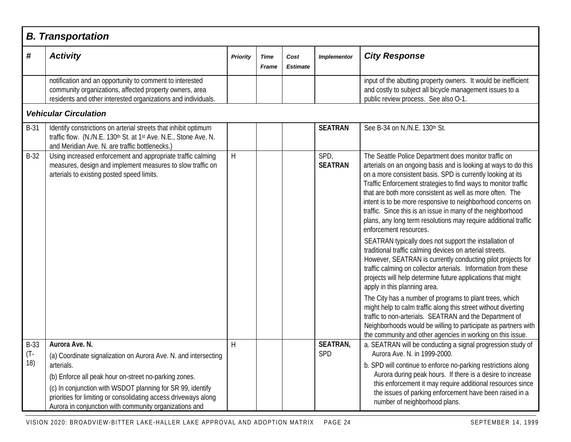|               | <b>B. Transportation</b>                                                                                                                                                                                                                                                                                                          |                           |                      |                         |                        |                                                                                                                                                                                                                                                                                                                                                                                                                                                                                                                                                                                                                                                                                                                                                                                                                                                                                                                                                                                                                                                                                                                                                                                                                                |  |  |  |  |
|---------------|-----------------------------------------------------------------------------------------------------------------------------------------------------------------------------------------------------------------------------------------------------------------------------------------------------------------------------------|---------------------------|----------------------|-------------------------|------------------------|--------------------------------------------------------------------------------------------------------------------------------------------------------------------------------------------------------------------------------------------------------------------------------------------------------------------------------------------------------------------------------------------------------------------------------------------------------------------------------------------------------------------------------------------------------------------------------------------------------------------------------------------------------------------------------------------------------------------------------------------------------------------------------------------------------------------------------------------------------------------------------------------------------------------------------------------------------------------------------------------------------------------------------------------------------------------------------------------------------------------------------------------------------------------------------------------------------------------------------|--|--|--|--|
| #             | <b>Activity</b>                                                                                                                                                                                                                                                                                                                   | <b>Priority</b>           | Time<br><b>Frame</b> | Cost<br><b>Estimate</b> | Implementor            | <b>City Response</b>                                                                                                                                                                                                                                                                                                                                                                                                                                                                                                                                                                                                                                                                                                                                                                                                                                                                                                                                                                                                                                                                                                                                                                                                           |  |  |  |  |
|               | notification and an opportunity to comment to interested<br>community organizations, affected property owners, area<br>residents and other interested organizations and individuals.                                                                                                                                              |                           |                      |                         |                        | input of the abutting property owners. It would be inefficient<br>and costly to subject all bicycle management issues to a<br>public review process. See also O-1.                                                                                                                                                                                                                                                                                                                                                                                                                                                                                                                                                                                                                                                                                                                                                                                                                                                                                                                                                                                                                                                             |  |  |  |  |
|               | <b>Vehicular Circulation</b>                                                                                                                                                                                                                                                                                                      |                           |                      |                         |                        |                                                                                                                                                                                                                                                                                                                                                                                                                                                                                                                                                                                                                                                                                                                                                                                                                                                                                                                                                                                                                                                                                                                                                                                                                                |  |  |  |  |
| $B-31$        | Identify constrictions on arterial streets that inhibit optimum<br>traffic flow. (N./N.E. 130 <sup>th</sup> St. at 1 <sup>st</sup> Ave. N.E., Stone Ave. N.<br>and Meridian Ave. N. are traffic bottlenecks.)                                                                                                                     |                           |                      |                         | <b>SEATRAN</b>         | See B-34 on N./N.E. 130th St.                                                                                                                                                                                                                                                                                                                                                                                                                                                                                                                                                                                                                                                                                                                                                                                                                                                                                                                                                                                                                                                                                                                                                                                                  |  |  |  |  |
| $B-32$        | Using increased enforcement and appropriate traffic calming<br>measures, design and implement measures to slow traffic on<br>arterials to existing posted speed limits.                                                                                                                                                           | $\boldsymbol{\mathsf{H}}$ |                      |                         | SPD,<br><b>SEATRAN</b> | The Seattle Police Department does monitor traffic on<br>arterials on an ongoing basis and is looking at ways to do this<br>on a more consistent basis. SPD is currently looking at its<br>Traffic Enforcement strategies to find ways to monitor traffic<br>that are both more consistent as well as more often. The<br>intent is to be more responsive to neighborhood concerns on<br>traffic. Since this is an issue in many of the neighborhood<br>plans, any long term resolutions may require additional traffic<br>enforcement resources.<br>SEATRAN typically does not support the installation of<br>traditional traffic calming devices on arterial streets.<br>However, SEATRAN is currently conducting pilot projects for<br>traffic calming on collector arterials. Information from these<br>projects will help determine future applications that might<br>apply in this planning area.<br>The City has a number of programs to plant trees, which<br>might help to calm traffic along this street without diverting<br>traffic to non-arterials. SEATRAN and the Department of<br>Neighborhoods would be willing to participate as partners with<br>the community and other agencies in working on this issue. |  |  |  |  |
| <b>B-33</b>   | Aurora Ave. N.                                                                                                                                                                                                                                                                                                                    | H                         |                      |                         | <b>SEATRAN,</b>        | a. SEATRAN will be conducting a signal progression study of                                                                                                                                                                                                                                                                                                                                                                                                                                                                                                                                                                                                                                                                                                                                                                                                                                                                                                                                                                                                                                                                                                                                                                    |  |  |  |  |
| $(T -$<br>18) | (a) Coordinate signalization on Aurora Ave. N. and intersecting<br>arterials.<br>(b) Enforce all peak hour on-street no-parking zones.<br>(c) In conjunction with WSDOT planning for SR 99, identify<br>priorities for limiting or consolidating access driveways along<br>Aurora in conjunction with community organizations and |                           |                      |                         | <b>SPD</b>             | Aurora Ave. N. in 1999-2000.<br>b. SPD will continue to enforce no-parking restrictions along<br>Aurora during peak hours. If there is a desire to increase<br>this enforcement it may require additional resources since<br>the issues of parking enforcement have been raised in a<br>number of neighborhood plans.                                                                                                                                                                                                                                                                                                                                                                                                                                                                                                                                                                                                                                                                                                                                                                                                                                                                                                          |  |  |  |  |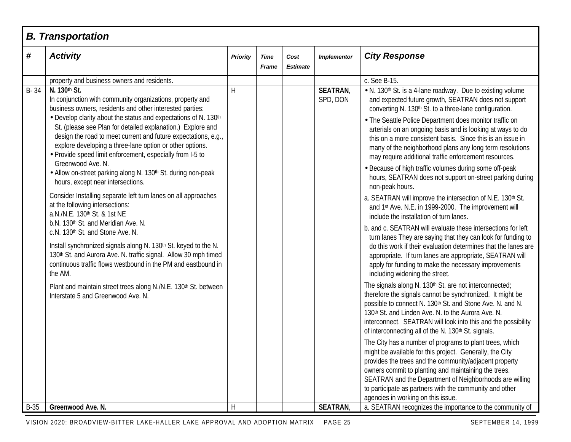|             | <b>B. Transportation</b>                                                                                                                                                                                                                                                                                                                                                                                                                                                                                                                                                                                                                                                                                                                                                                                                                                                                                                                                                                                                                                                                                                                                                                |                 |                      |                         |                            |                                                                                                                                                                                                                                                                                                                                                                                                                                                                                                                                                                                                                                                                                                                                                                                                                                                                                                                                                                                                                                                                                                                                                                                                                                                                                                                                                                                                                                                                                                                                                                                                                                                                                                                                                                                                                                                                                                                                 |  |  |  |  |
|-------------|-----------------------------------------------------------------------------------------------------------------------------------------------------------------------------------------------------------------------------------------------------------------------------------------------------------------------------------------------------------------------------------------------------------------------------------------------------------------------------------------------------------------------------------------------------------------------------------------------------------------------------------------------------------------------------------------------------------------------------------------------------------------------------------------------------------------------------------------------------------------------------------------------------------------------------------------------------------------------------------------------------------------------------------------------------------------------------------------------------------------------------------------------------------------------------------------|-----------------|----------------------|-------------------------|----------------------------|---------------------------------------------------------------------------------------------------------------------------------------------------------------------------------------------------------------------------------------------------------------------------------------------------------------------------------------------------------------------------------------------------------------------------------------------------------------------------------------------------------------------------------------------------------------------------------------------------------------------------------------------------------------------------------------------------------------------------------------------------------------------------------------------------------------------------------------------------------------------------------------------------------------------------------------------------------------------------------------------------------------------------------------------------------------------------------------------------------------------------------------------------------------------------------------------------------------------------------------------------------------------------------------------------------------------------------------------------------------------------------------------------------------------------------------------------------------------------------------------------------------------------------------------------------------------------------------------------------------------------------------------------------------------------------------------------------------------------------------------------------------------------------------------------------------------------------------------------------------------------------------------------------------------------------|--|--|--|--|
| #           | <b>Activity</b>                                                                                                                                                                                                                                                                                                                                                                                                                                                                                                                                                                                                                                                                                                                                                                                                                                                                                                                                                                                                                                                                                                                                                                         | <b>Priority</b> | <b>Time</b><br>Frame | Cost<br><b>Estimate</b> | <b>Implementor</b>         | <b>City Response</b>                                                                                                                                                                                                                                                                                                                                                                                                                                                                                                                                                                                                                                                                                                                                                                                                                                                                                                                                                                                                                                                                                                                                                                                                                                                                                                                                                                                                                                                                                                                                                                                                                                                                                                                                                                                                                                                                                                            |  |  |  |  |
|             | property and business owners and residents.                                                                                                                                                                                                                                                                                                                                                                                                                                                                                                                                                                                                                                                                                                                                                                                                                                                                                                                                                                                                                                                                                                                                             |                 |                      |                         |                            | c. See B-15.                                                                                                                                                                                                                                                                                                                                                                                                                                                                                                                                                                                                                                                                                                                                                                                                                                                                                                                                                                                                                                                                                                                                                                                                                                                                                                                                                                                                                                                                                                                                                                                                                                                                                                                                                                                                                                                                                                                    |  |  |  |  |
| B-34        | N. 130th St.<br>In conjunction with community organizations, property and<br>business owners, residents and other interested parties:<br>• Develop clarity about the status and expectations of N. 130th<br>St. (please see Plan for detailed explanation.) Explore and<br>design the road to meet current and future expectations, e.g.,<br>explore developing a three-lane option or other options.<br>. Provide speed limit enforcement, especially from I-5 to<br>Greenwood Ave. N.<br>• Allow on-street parking along N. 130 <sup>th</sup> St. during non-peak<br>hours, except near intersections.<br>Consider Installing separate left turn lanes on all approaches<br>at the following intersections:<br>a.N./N.E. 130th St. & 1st NE<br>b.N. 130th St. and Meridian Ave. N.<br>c.N. 130 <sup>th</sup> St. and Stone Ave. N.<br>Install synchronized signals along N. 130 <sup>th</sup> St. keyed to the N.<br>130th St. and Aurora Ave. N. traffic signal. Allow 30 mph timed<br>continuous traffic flows westbound in the PM and eastbound in<br>the AM.<br>Plant and maintain street trees along N./N.E. 130 <sup>th</sup> St. between<br>Interstate 5 and Greenwood Ave. N. | H               |                      |                         | <b>SEATRAN</b><br>SPD, DON | • N. 130 <sup>th</sup> St. is a 4-lane roadway. Due to existing volume<br>and expected future growth, SEATRAN does not support<br>converting N. 130 <sup>th</sup> St. to a three-lane configuration.<br>• The Seattle Police Department does monitor traffic on<br>arterials on an ongoing basis and is looking at ways to do<br>this on a more consistent basis. Since this is an issue in<br>many of the neighborhood plans any long term resolutions<br>may require additional traffic enforcement resources.<br>• Because of high traffic volumes during some off-peak<br>hours, SEATRAN does not support on-street parking during<br>non-peak hours.<br>a. SEATRAN will improve the intersection of N.E. 130th St.<br>and 1st Ave. N.E. in 1999-2000. The improvement will<br>include the installation of turn lanes.<br>b. and c. SEATRAN will evaluate these intersections for left<br>turn lanes They are saying that they can look for funding to<br>do this work if their evaluation determines that the lanes are<br>appropriate. If turn lanes are appropriate, SEATRAN will<br>apply for funding to make the necessary improvements<br>including widening the street.<br>The signals along N. 130 <sup>th</sup> St. are not interconnected;<br>therefore the signals cannot be synchronized. It might be<br>possible to connect N. 130th St. and Stone Ave. N. and N.<br>130th St. and Linden Ave. N. to the Aurora Ave. N.<br>interconnect. SEATRAN will look into this and the possibility<br>of interconnecting all of the N. 130th St. signals.<br>The City has a number of programs to plant trees, which<br>might be available for this project. Generally, the City<br>provides the trees and the community/adjacent property<br>owners commit to planting and maintaining the trees.<br>SEATRAN and the Department of Neighborhoods are willing<br>to participate as partners with the community and other |  |  |  |  |
| <b>B-35</b> | Greenwood Ave. N.                                                                                                                                                                                                                                                                                                                                                                                                                                                                                                                                                                                                                                                                                                                                                                                                                                                                                                                                                                                                                                                                                                                                                                       | H               |                      |                         | <b>SEATRAN</b>             | agencies in working on this issue.<br>a. SEATRAN recognizes the importance to the community of                                                                                                                                                                                                                                                                                                                                                                                                                                                                                                                                                                                                                                                                                                                                                                                                                                                                                                                                                                                                                                                                                                                                                                                                                                                                                                                                                                                                                                                                                                                                                                                                                                                                                                                                                                                                                                  |  |  |  |  |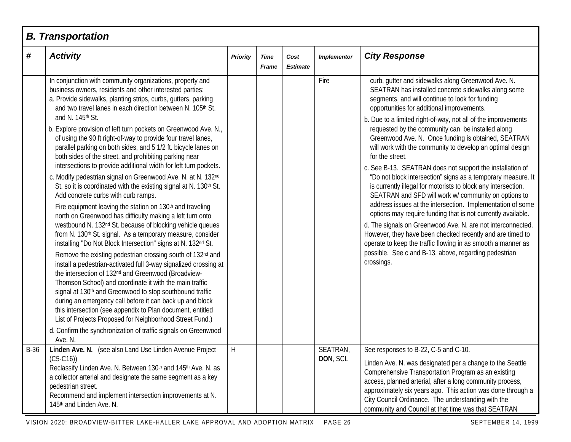|             | <b>B. Transportation</b>                                                                                                                                                                                                                                                                                                                                                                                                                                                                                       |                 |                      |                         |                            |                                                                                                                                                                                                                                                                                                                                                                                                   |  |  |  |  |
|-------------|----------------------------------------------------------------------------------------------------------------------------------------------------------------------------------------------------------------------------------------------------------------------------------------------------------------------------------------------------------------------------------------------------------------------------------------------------------------------------------------------------------------|-----------------|----------------------|-------------------------|----------------------------|---------------------------------------------------------------------------------------------------------------------------------------------------------------------------------------------------------------------------------------------------------------------------------------------------------------------------------------------------------------------------------------------------|--|--|--|--|
| #           | <b>Activity</b>                                                                                                                                                                                                                                                                                                                                                                                                                                                                                                | <b>Priority</b> | <b>Time</b><br>Frame | Cost<br><b>Estimate</b> | Implementor                | <b>City Response</b>                                                                                                                                                                                                                                                                                                                                                                              |  |  |  |  |
|             | In conjunction with community organizations, property and<br>business owners, residents and other interested parties:<br>a. Provide sidewalks, planting strips, curbs, gutters, parking<br>and two travel lanes in each direction between N. 105th St.<br>and N. 145th St.<br>b. Explore provision of left turn pockets on Greenwood Ave. N.,<br>of using the 90 ft right-of-way to provide four travel lanes,                                                                                                 |                 |                      |                         | Fire                       | curb, gutter and sidewalks along Greenwood Ave. N.<br>SEATRAN has installed concrete sidewalks along some<br>segments, and will continue to look for funding<br>opportunities for additional improvements.<br>b. Due to a limited right-of-way, not all of the improvements<br>requested by the community can be installed along<br>Greenwood Ave. N. Once funding is obtained, SEATRAN           |  |  |  |  |
|             | parallel parking on both sides, and 5 1/2 ft. bicycle lanes on<br>both sides of the street, and prohibiting parking near<br>intersections to provide additional width for left turn pockets.                                                                                                                                                                                                                                                                                                                   |                 |                      |                         |                            | will work with the community to develop an optimal design<br>for the street.<br>c. See B-13. SEATRAN does not support the installation of                                                                                                                                                                                                                                                         |  |  |  |  |
|             | c. Modify pedestrian signal on Greenwood Ave. N. at N. 132nd<br>St. so it is coordinated with the existing signal at N. 130 <sup>th</sup> St.<br>Add concrete curbs with curb ramps.                                                                                                                                                                                                                                                                                                                           |                 |                      |                         |                            | "Do not block intersection" signs as a temporary measure. It<br>is currently illegal for motorists to block any intersection.<br>SEATRAN and SFD will work w/ community on options to                                                                                                                                                                                                             |  |  |  |  |
|             | Fire equipment leaving the station on 130 <sup>th</sup> and traveling<br>north on Greenwood has difficulty making a left turn onto<br>westbound N. 132 <sup>nd</sup> St. because of blocking vehicle queues<br>from N. 130 <sup>th</sup> St. signal. As a temporary measure, consider<br>installing "Do Not Block Intersection" signs at N. 132nd St.                                                                                                                                                          |                 |                      |                         |                            | address issues at the intersection. Implementation of some<br>options may require funding that is not currently available.<br>d. The signals on Greenwood Ave. N. are not interconnected.<br>However, they have been checked recently and are timed to<br>operate to keep the traffic flowing in as smooth a manner as                                                                            |  |  |  |  |
|             | Remove the existing pedestrian crossing south of 132nd and<br>install a pedestrian-activated full 3-way signalized crossing at<br>the intersection of 132 <sup>nd</sup> and Greenwood (Broadview-<br>Thomson School) and coordinate it with the main traffic<br>signal at 130th and Greenwood to stop southbound traffic<br>during an emergency call before it can back up and block<br>this intersection (see appendix to Plan document, entitled<br>List of Projects Proposed for Neighborhood Street Fund.) |                 |                      |                         |                            | possible. See c and B-13, above, regarding pedestrian<br>crossings.                                                                                                                                                                                                                                                                                                                               |  |  |  |  |
|             | d. Confirm the synchronization of traffic signals on Greenwood<br>Ave. N.                                                                                                                                                                                                                                                                                                                                                                                                                                      |                 |                      |                         |                            |                                                                                                                                                                                                                                                                                                                                                                                                   |  |  |  |  |
| <b>B-36</b> | Linden Ave. N. (see also Land Use Linden Avenue Project<br>$(C5-C16)$<br>Reclassify Linden Ave. N. Between 130th and 145th Ave. N. as<br>a collector arterial and designate the same segment as a key<br>pedestrian street.<br>Recommend and implement intersection improvements at N.<br>145th and Linden Ave. N.                                                                                                                                                                                             | H               |                      |                         | <b>SEATRAN</b><br>DON, SCL | See responses to B-22, C-5 and C-10.<br>Linden Ave. N. was designated per a change to the Seattle<br>Comprehensive Transportation Program as an existing<br>access, planned arterial, after a long community process,<br>approximately six years ago. This action was done through a<br>City Council Ordinance. The understanding with the<br>community and Council at that time was that SEATRAN |  |  |  |  |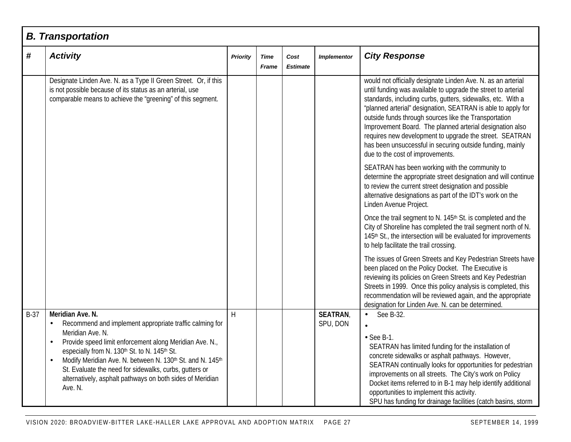|        | <b>B. Transportation</b>                                                                                                                                                                                                                                                                                                                                                                                                     |                 |                      |                         |                    |                                                                                                                                                                                                                                                                                                                                                                                                                                                                                                                                               |  |  |  |
|--------|------------------------------------------------------------------------------------------------------------------------------------------------------------------------------------------------------------------------------------------------------------------------------------------------------------------------------------------------------------------------------------------------------------------------------|-----------------|----------------------|-------------------------|--------------------|-----------------------------------------------------------------------------------------------------------------------------------------------------------------------------------------------------------------------------------------------------------------------------------------------------------------------------------------------------------------------------------------------------------------------------------------------------------------------------------------------------------------------------------------------|--|--|--|
| #      | <b>Activity</b>                                                                                                                                                                                                                                                                                                                                                                                                              | <b>Priority</b> | <b>Time</b><br>Frame | Cost<br><b>Estimate</b> | <b>Implementor</b> | <b>City Response</b>                                                                                                                                                                                                                                                                                                                                                                                                                                                                                                                          |  |  |  |
|        | Designate Linden Ave. N. as a Type II Green Street. Or, if this<br>is not possible because of its status as an arterial, use<br>comparable means to achieve the "greening" of this segment.                                                                                                                                                                                                                                  |                 |                      |                         |                    | would not officially designate Linden Ave. N. as an arterial<br>until funding was available to upgrade the street to arterial<br>standards, including curbs, gutters, sidewalks, etc. With a<br>"planned arterial" designation, SEATRAN is able to apply for<br>outside funds through sources like the Transportation<br>Improvement Board. The planned arterial designation also<br>requires new development to upgrade the street. SEATRAN<br>has been unsuccessful in securing outside funding, mainly<br>due to the cost of improvements. |  |  |  |
|        |                                                                                                                                                                                                                                                                                                                                                                                                                              |                 |                      |                         |                    | SEATRAN has been working with the community to<br>determine the appropriate street designation and will continue<br>to review the current street designation and possible<br>alternative designations as part of the IDT's work on the<br>Linden Avenue Project.                                                                                                                                                                                                                                                                              |  |  |  |
|        |                                                                                                                                                                                                                                                                                                                                                                                                                              |                 |                      |                         |                    | Once the trail segment to N. 145 <sup>th</sup> St. is completed and the<br>City of Shoreline has completed the trail segment north of N.<br>145th St., the intersection will be evaluated for improvements<br>to help facilitate the trail crossing.                                                                                                                                                                                                                                                                                          |  |  |  |
|        |                                                                                                                                                                                                                                                                                                                                                                                                                              |                 |                      |                         |                    | The issues of Green Streets and Key Pedestrian Streets have<br>been placed on the Policy Docket. The Executive is<br>reviewing its policies on Green Streets and Key Pedestrian<br>Streets in 1999. Once this policy analysis is completed, this<br>recommendation will be reviewed again, and the appropriate<br>designation for Linden Ave. N. can be determined                                                                                                                                                                            |  |  |  |
| $B-37$ | Meridian Ave. N.                                                                                                                                                                                                                                                                                                                                                                                                             | $\mathsf{H}$    |                      |                         | <b>SEATRAN</b>     | See B-32.<br>$\bullet$                                                                                                                                                                                                                                                                                                                                                                                                                                                                                                                        |  |  |  |
|        | Recommend and implement appropriate traffic calming for<br>$\bullet$<br>Meridian Ave. N.<br>Provide speed limit enforcement along Meridian Ave. N.,<br>$\bullet$<br>especially from N. 130th St. to N. 145th St.<br>Modify Meridian Ave. N. between N. 130th St. and N. 145th<br>$\bullet$<br>St. Evaluate the need for sidewalks, curbs, gutters or<br>alternatively, asphalt pathways on both sides of Meridian<br>Ave. N. |                 |                      |                         | SPU, DON           | $\bullet$ See B-1.<br>SEATRAN has limited funding for the installation of<br>concrete sidewalks or asphalt pathways. However,<br>SEATRAN continually looks for opportunities for pedestrian<br>improvements on all streets. The City's work on Policy<br>Docket items referred to in B-1 may help identify additional<br>opportunities to implement this activity.<br>SPU has funding for drainage facilities (catch basins, storm                                                                                                            |  |  |  |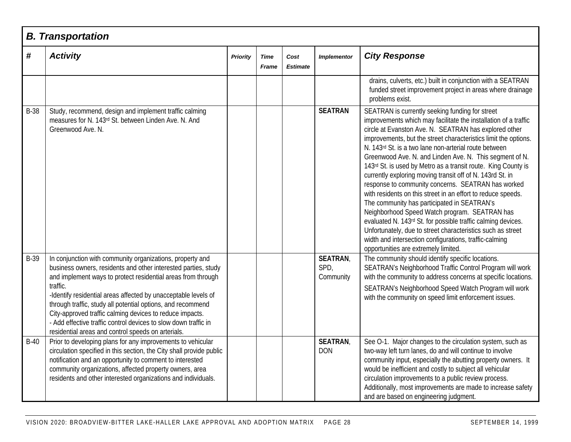|             | <b>B.</b> Transportation                                                                                                                                                                                                                                                                                                                                                                                                                                                                                                      |                 |                      |                         |                                     |                                                                                                                                                                                                                                                                                                                                                                                                                                                                                                                                                                                                                                                                                                                                                                                                                                                                                                                                                                     |  |  |  |
|-------------|-------------------------------------------------------------------------------------------------------------------------------------------------------------------------------------------------------------------------------------------------------------------------------------------------------------------------------------------------------------------------------------------------------------------------------------------------------------------------------------------------------------------------------|-----------------|----------------------|-------------------------|-------------------------------------|---------------------------------------------------------------------------------------------------------------------------------------------------------------------------------------------------------------------------------------------------------------------------------------------------------------------------------------------------------------------------------------------------------------------------------------------------------------------------------------------------------------------------------------------------------------------------------------------------------------------------------------------------------------------------------------------------------------------------------------------------------------------------------------------------------------------------------------------------------------------------------------------------------------------------------------------------------------------|--|--|--|
| #           | <b>Activity</b>                                                                                                                                                                                                                                                                                                                                                                                                                                                                                                               | <b>Priority</b> | <b>Time</b><br>Frame | Cost<br><b>Estimate</b> | <b>Implementor</b>                  | <b>City Response</b>                                                                                                                                                                                                                                                                                                                                                                                                                                                                                                                                                                                                                                                                                                                                                                                                                                                                                                                                                |  |  |  |
|             |                                                                                                                                                                                                                                                                                                                                                                                                                                                                                                                               |                 |                      |                         |                                     | drains, culverts, etc.) built in conjunction with a SEATRAN<br>funded street improvement project in areas where drainage<br>problems exist.                                                                                                                                                                                                                                                                                                                                                                                                                                                                                                                                                                                                                                                                                                                                                                                                                         |  |  |  |
| <b>B-38</b> | Study, recommend, design and implement traffic calming<br>measures for N. 143rd St. between Linden Ave. N. And<br>Greenwood Ave. N.                                                                                                                                                                                                                                                                                                                                                                                           |                 |                      |                         | <b>SEATRAN</b>                      | SEATRAN is currently seeking funding for street<br>improvements which may facilitate the installation of a traffic<br>circle at Evanston Ave. N. SEATRAN has explored other<br>improvements, but the street characteristics limit the options.<br>N. 143 <sup>rd</sup> St. is a two lane non-arterial route between<br>Greenwood Ave. N. and Linden Ave. N. This segment of N.<br>143rd St. is used by Metro as a transit route. King County is<br>currently exploring moving transit off of N. 143rd St. in<br>response to community concerns. SEATRAN has worked<br>with residents on this street in an effort to reduce speeds.<br>The community has participated in SEATRAN's<br>Neighborhood Speed Watch program. SEATRAN has<br>evaluated N. 143rd St. for possible traffic calming devices.<br>Unfortunately, due to street characteristics such as street<br>width and intersection configurations, traffic-calming<br>opportunities are extremely limited. |  |  |  |
| <b>B-39</b> | In conjunction with community organizations, property and<br>business owners, residents and other interested parties, study<br>and implement ways to protect residential areas from through<br>traffic.<br>-Identify residential areas affected by unacceptable levels of<br>through traffic, study all potential options, and recommend<br>City-approved traffic calming devices to reduce impacts.<br>- Add effective traffic control devices to slow down traffic in<br>residential areas and control speeds on arterials. |                 |                      |                         | <b>SEATRAN</b><br>SPD,<br>Community | The community should identify specific locations.<br>SEATRAN's Neighborhood Traffic Control Program will work<br>with the community to address concerns at specific locations.<br>SEATRAN's Neighborhood Speed Watch Program will work<br>with the community on speed limit enforcement issues.                                                                                                                                                                                                                                                                                                                                                                                                                                                                                                                                                                                                                                                                     |  |  |  |
| $B-40$      | Prior to developing plans for any improvements to vehicular<br>circulation specified in this section, the City shall provide public<br>notification and an opportunity to comment to interested<br>community organizations, affected property owners, area<br>residents and other interested organizations and individuals.                                                                                                                                                                                                   |                 |                      |                         | <b>SEATRAN</b><br><b>DON</b>        | See O-1. Major changes to the circulation system, such as<br>two-way left turn lanes, do and will continue to involve<br>community input, especially the abutting property owners. It<br>would be inefficient and costly to subject all vehicular<br>circulation improvements to a public review process.<br>Additionally, most improvements are made to increase safety<br>and are based on engineering judgment.                                                                                                                                                                                                                                                                                                                                                                                                                                                                                                                                                  |  |  |  |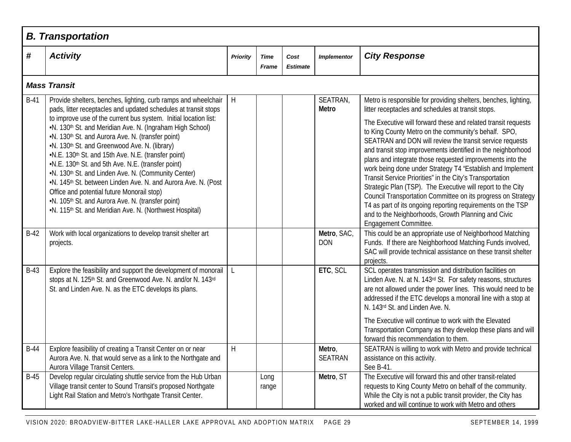|            | <b>B. Transportation</b>                                                                                                                                                                                                                                                                                                                                                                                                                                                                                                                                                                                                                                                                                                                                                                    |                 |                      |                         |                           |                                                                                                                                                                                                                                                                                                                                                                                                                                                                                                                                                                                                                                                                                                                                                                                                                                                 |  |  |  |  |
|------------|---------------------------------------------------------------------------------------------------------------------------------------------------------------------------------------------------------------------------------------------------------------------------------------------------------------------------------------------------------------------------------------------------------------------------------------------------------------------------------------------------------------------------------------------------------------------------------------------------------------------------------------------------------------------------------------------------------------------------------------------------------------------------------------------|-----------------|----------------------|-------------------------|---------------------------|-------------------------------------------------------------------------------------------------------------------------------------------------------------------------------------------------------------------------------------------------------------------------------------------------------------------------------------------------------------------------------------------------------------------------------------------------------------------------------------------------------------------------------------------------------------------------------------------------------------------------------------------------------------------------------------------------------------------------------------------------------------------------------------------------------------------------------------------------|--|--|--|--|
| $\pmb{\#}$ | <b>Activity</b>                                                                                                                                                                                                                                                                                                                                                                                                                                                                                                                                                                                                                                                                                                                                                                             | <b>Priority</b> | Time<br><b>Frame</b> | Cost<br><b>Estimate</b> | Implementor               | <b>City Response</b>                                                                                                                                                                                                                                                                                                                                                                                                                                                                                                                                                                                                                                                                                                                                                                                                                            |  |  |  |  |
|            | <b>Mass Transit</b>                                                                                                                                                                                                                                                                                                                                                                                                                                                                                                                                                                                                                                                                                                                                                                         |                 |                      |                         |                           |                                                                                                                                                                                                                                                                                                                                                                                                                                                                                                                                                                                                                                                                                                                                                                                                                                                 |  |  |  |  |
| $B-41$     | Provide shelters, benches, lighting, curb ramps and wheelchair<br>pads, litter receptacles and updated schedules at transit stops<br>to improve use of the current bus system. Initial location list:<br>N. 130th St. and Meridian Ave. N. (Ingraham High School)<br>N. 130 <sup>th</sup> St. and Aurora Ave. N. (transfer point)<br>N. 130th St. and Greenwood Ave. N. (library)<br>N.E. 130th St. and 15th Ave. N.E. (transfer point)<br>N.E. 130th St. and 5th Ave. N.E. (transfer point)<br>•N. 130 <sup>th</sup> St. and Linden Ave. N. (Community Center)<br>N. 145th St. between Linden Ave. N. and Aurora Ave. N. (Post<br>Office and potential future Monorail stop)<br>N. 105th St. and Aurora Ave. N. (transfer point)<br>N. 115th St. and Meridian Ave. N. (Northwest Hospital) | H               |                      |                         | SEATRAN,<br><b>Metro</b>  | Metro is responsible for providing shelters, benches, lighting,<br>litter receptacles and schedules at transit stops.<br>The Executive will forward these and related transit requests<br>to King County Metro on the community's behalf. SPO,<br>SEATRAN and DON will review the transit service requests<br>and transit stop improvements identified in the neighborhood<br>plans and integrate those requested improvements into the<br>work being done under Strategy T4 "Establish and Implement<br>Transit Service Priorities" in the City's Transportation<br>Strategic Plan (TSP). The Executive will report to the City<br>Council Transportation Committee on its progress on Strategy<br>T4 as part of its ongoing reporting requirements on the TSP<br>and to the Neighborhoods, Growth Planning and Civic<br>Engagement Committee. |  |  |  |  |
| $B-42$     | Work with local organizations to develop transit shelter art<br>projects.                                                                                                                                                                                                                                                                                                                                                                                                                                                                                                                                                                                                                                                                                                                   |                 |                      |                         | Metro, SAC,<br><b>DON</b> | This could be an appropriate use of Neighborhood Matching<br>Funds. If there are Neighborhood Matching Funds involved,<br>SAC will provide technical assistance on these transit shelter<br>projects.                                                                                                                                                                                                                                                                                                                                                                                                                                                                                                                                                                                                                                           |  |  |  |  |
| $B-43$     | Explore the feasibility and support the development of monorail<br>stops at N. 125th St. and Greenwood Ave. N. and/or N. 143rd<br>St. and Linden Ave. N. as the ETC develops its plans.                                                                                                                                                                                                                                                                                                                                                                                                                                                                                                                                                                                                     | L               |                      |                         | ETC, SCL                  | SCL operates transmission and distribution facilities on<br>Linden Ave. N. at N. 143rd St. For safety reasons, structures<br>are not allowed under the power lines. This would need to be<br>addressed if the ETC develops a monorail line with a stop at<br>N. 143rd St. and Linden Ave. N.<br>The Executive will continue to work with the Elevated<br>Transportation Company as they develop these plans and will<br>forward this recommendation to them.                                                                                                                                                                                                                                                                                                                                                                                    |  |  |  |  |
| $B-44$     | Explore feasibility of creating a Transit Center on or near<br>Aurora Ave. N. that would serve as a link to the Northgate and<br>Aurora Village Transit Centers.                                                                                                                                                                                                                                                                                                                                                                                                                                                                                                                                                                                                                            | $\mathsf{H}$    |                      |                         | Metro,<br>SEATRAN         | SEATRAN is willing to work with Metro and provide technical<br>assistance on this activity.<br>See B-41.                                                                                                                                                                                                                                                                                                                                                                                                                                                                                                                                                                                                                                                                                                                                        |  |  |  |  |
| $B-45$     | Develop regular circulating shuttle service from the Hub Urban<br>Village transit center to Sound Transit's proposed Northgate<br>Light Rail Station and Metro's Northgate Transit Center.                                                                                                                                                                                                                                                                                                                                                                                                                                                                                                                                                                                                  |                 | Long<br>range        |                         | Metro, ST                 | The Executive will forward this and other transit-related<br>requests to King County Metro on behalf of the community.<br>While the City is not a public transit provider, the City has<br>worked and will continue to work with Metro and others                                                                                                                                                                                                                                                                                                                                                                                                                                                                                                                                                                                               |  |  |  |  |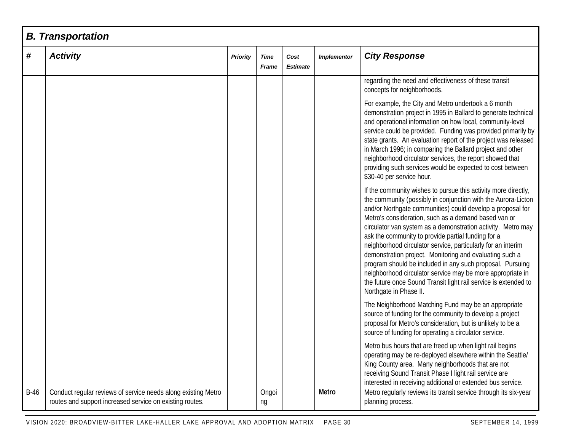|        | <b>B. Transportation</b>                                                                                                  |                 |                      |                         |                    |                                                                                                                                                                                                                                                                                                                                                                                                                                                                                                                                                                                                                                                                                                                                |  |  |  |  |
|--------|---------------------------------------------------------------------------------------------------------------------------|-----------------|----------------------|-------------------------|--------------------|--------------------------------------------------------------------------------------------------------------------------------------------------------------------------------------------------------------------------------------------------------------------------------------------------------------------------------------------------------------------------------------------------------------------------------------------------------------------------------------------------------------------------------------------------------------------------------------------------------------------------------------------------------------------------------------------------------------------------------|--|--|--|--|
| #      | <b>Activity</b>                                                                                                           | <b>Priority</b> | Time<br><b>Frame</b> | Cost<br><b>Estimate</b> | <b>Implementor</b> | <b>City Response</b>                                                                                                                                                                                                                                                                                                                                                                                                                                                                                                                                                                                                                                                                                                           |  |  |  |  |
|        |                                                                                                                           |                 |                      |                         |                    | regarding the need and effectiveness of these transit<br>concepts for neighborhoods.                                                                                                                                                                                                                                                                                                                                                                                                                                                                                                                                                                                                                                           |  |  |  |  |
|        |                                                                                                                           |                 |                      |                         |                    | For example, the City and Metro undertook a 6 month<br>demonstration project in 1995 in Ballard to generate technical<br>and operational information on how local, community-level<br>service could be provided. Funding was provided primarily by<br>state grants. An evaluation report of the project was released<br>in March 1996; in comparing the Ballard project and other<br>neighborhood circulator services, the report showed that<br>providing such services would be expected to cost between<br>\$30-40 per service hour.                                                                                                                                                                                        |  |  |  |  |
|        |                                                                                                                           |                 |                      |                         |                    | If the community wishes to pursue this activity more directly,<br>the community (possibly in conjunction with the Aurora-Licton<br>and/or Northgate communities) could develop a proposal for<br>Metro's consideration, such as a demand based van or<br>circulator van system as a demonstration activity. Metro may<br>ask the community to provide partial funding for a<br>neighborhood circulator service, particularly for an interim<br>demonstration project. Monitoring and evaluating such a<br>program should be included in any such proposal. Pursuing<br>neighborhood circulator service may be more appropriate in<br>the future once Sound Transit light rail service is extended to<br>Northgate in Phase II. |  |  |  |  |
|        |                                                                                                                           |                 |                      |                         |                    | The Neighborhood Matching Fund may be an appropriate<br>source of funding for the community to develop a project<br>proposal for Metro's consideration, but is unlikely to be a<br>source of funding for operating a circulator service.                                                                                                                                                                                                                                                                                                                                                                                                                                                                                       |  |  |  |  |
|        |                                                                                                                           |                 |                      |                         |                    | Metro bus hours that are freed up when light rail begins<br>operating may be re-deployed elsewhere within the Seattle/<br>King County area. Many neighborhoods that are not<br>receiving Sound Transit Phase I light rail service are<br>interested in receiving additional or extended bus service.                                                                                                                                                                                                                                                                                                                                                                                                                           |  |  |  |  |
| $B-46$ | Conduct regular reviews of service needs along existing Metro<br>routes and support increased service on existing routes. |                 | Ongoi<br>ng          |                         | Metro              | Metro regularly reviews its transit service through its six-year<br>planning process.                                                                                                                                                                                                                                                                                                                                                                                                                                                                                                                                                                                                                                          |  |  |  |  |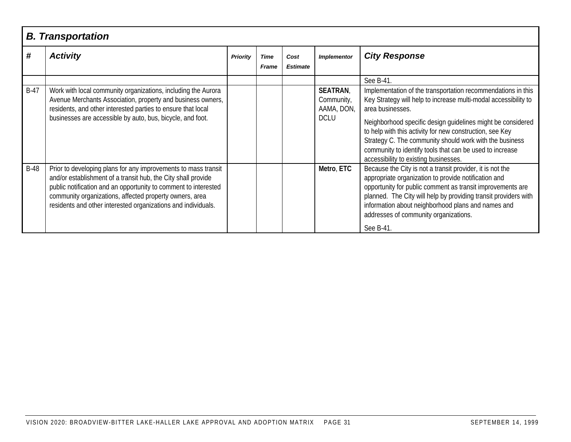|             | <b>B.</b> Transportation                                                                                                                                                                                                                                                                                                       |                 |                             |                         |                                                           |                                                                                                                                                                                                                                                                                                                                                                                                                                                |  |  |  |  |
|-------------|--------------------------------------------------------------------------------------------------------------------------------------------------------------------------------------------------------------------------------------------------------------------------------------------------------------------------------|-----------------|-----------------------------|-------------------------|-----------------------------------------------------------|------------------------------------------------------------------------------------------------------------------------------------------------------------------------------------------------------------------------------------------------------------------------------------------------------------------------------------------------------------------------------------------------------------------------------------------------|--|--|--|--|
| #           | <b>Activity</b>                                                                                                                                                                                                                                                                                                                | <b>Priority</b> | <b>Time</b><br><b>Frame</b> | Cost<br><b>Estimate</b> | <b>Implementor</b>                                        | <b>City Response</b>                                                                                                                                                                                                                                                                                                                                                                                                                           |  |  |  |  |
|             |                                                                                                                                                                                                                                                                                                                                |                 |                             |                         |                                                           | See B-41.                                                                                                                                                                                                                                                                                                                                                                                                                                      |  |  |  |  |
| $B-47$      | Work with local community organizations, including the Aurora<br>Avenue Merchants Association, property and business owners,<br>residents, and other interested parties to ensure that local<br>businesses are accessible by auto, bus, bicycle, and foot.                                                                     |                 |                             |                         | <b>SEATRAN</b><br>Community,<br>AAMA, DON,<br><b>DCLU</b> | Implementation of the transportation recommendations in this<br>Key Strategy will help to increase multi-modal accessibility to<br>area businesses.<br>Neighborhood specific design guidelines might be considered<br>to help with this activity for new construction, see Key<br>Strategy C. The community should work with the business<br>community to identify tools that can be used to increase<br>accessibility to existing businesses. |  |  |  |  |
| <b>B-48</b> | Prior to developing plans for any improvements to mass transit<br>and/or establishment of a transit hub, the City shall provide<br>public notification and an opportunity to comment to interested<br>community organizations, affected property owners, area<br>residents and other interested organizations and individuals. |                 |                             |                         | Metro, ETC                                                | Because the City is not a transit provider, it is not the<br>appropriate organization to provide notification and<br>opportunity for public comment as transit improvements are<br>planned. The City will help by providing transit providers with<br>information about neighborhood plans and names and<br>addresses of community organizations.<br>See B-41                                                                                  |  |  |  |  |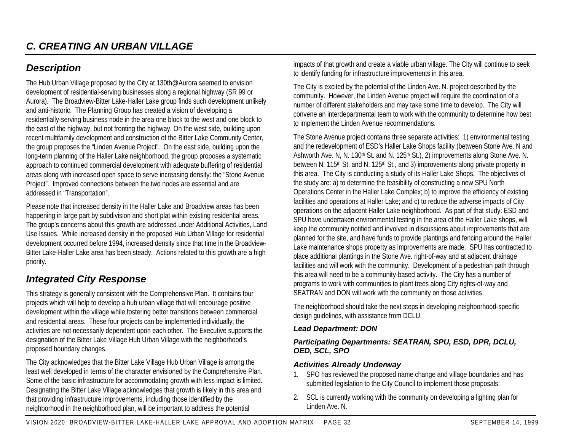# *Description*

The Hub Urban Village proposed by the City at 130th@Aurora seemed to envision development of residential-serving businesses along a regional highway (SR 99 or Aurora). The Broadview-Bitter Lake-Haller Lake group finds such development unlikely and anti-historic. The Planning Group has created a vision of developing a residentially-serving business node in the area one block to the west and one block to the east of the highway, but not fronting the highway. On the west side, building upon recent multifamily development and construction of the Bitter Lake Community Center, the group proposes the "Linden Avenue Project". On the east side, building upon the long-term planning of the Haller Lake neighborhood, the group proposes a systematic approach to continued commercial development with adequate buffering of residential areas along with increased open space to serve increasing density: the "Stone Avenue Project". Improved connections between the two nodes are essential and are addressed in "Transportation".

Please note that increased density in the Haller Lake and Broadview areas has been happening in large part by subdivision and short plat within existing residential areas. The group's concerns about this growth are addressed under Additional Activities, Land Use Issues. While increased density in the proposed Hub Urban Village for residential development occurred before 1994, increased density since that time in the Broadview-Bitter Lake-Haller Lake area has been steady. Actions related to this growth are a high priority.

# *Integrated City Response*

This strategy is generally consistent with the Comprehensive Plan. It contains four projects which will help to develop a hub urban village that will encourage positive development within the village while fostering better transitions between commercial and residential areas. These four projects can be implemented individually; the activities are not necessarily dependent upon each other. The Executive supports the designation of the Bitter Lake Village Hub Urban Village with the neighborhood's proposed boundary changes.

The City acknowledges that the Bitter Lake Village Hub Urban Village is among the least well developed in terms of the character envisioned by the Comprehensive Plan. Some of the basic infrastructure for accommodating growth with less impact is limited. Designating the Bitter Lake Village acknowledges that growth is likely in this area and that providing infrastructure improvements, including those identified by the neighborhood in the neighborhood plan, will be important to address the potential

impacts of that growth and create a viable urban village. The City will continue to seek to identify funding for infrastructure improvements in this area.

The City is excited by the potential of the Linden Ave. N. project described by the community. However, the Linden Avenue project will require the coordination of a number of different stakeholders and may take some time to develop. The City will convene an interdepartmental team to work with the community to determine how best to implement the Linden Avenue recommendations.

The Stone Avenue project contains three separate activities: 1) environmental testing and the redevelopment of ESD's Haller Lake Shops facility (between Stone Ave. N and Ashworth Ave. N, N. 130<sup>th</sup> St. and N. 125<sup>th</sup> St.), 2) improvements along Stone Ave. N. between N. 115<sup>th</sup> St. and N. 125<sup>th</sup> St., and 3) improvements along private property in this area. The City is conducting a study of its Haller Lake Shops. The objectives of the study are: a) to determine the feasibility of constructing a new SPU North Operations Center in the Haller Lake Complex; b) to improve the efficiency of existing facilities and operations at Haller Lake; and c) to reduce the adverse impacts of City operations on the adjacent Haller Lake neighborhood. As part of that study: ESD and SPU have undertaken environmental testing in the area of the Haller Lake shops, will keep the community notified and involved in discussions about improvements that are planned for the site, and have funds to provide plantings and fencing around the Haller Lake maintenance shops property as improvements are made. SPU has contracted to place additional plantings in the Stone Ave. right-of-way and at adjacent drainage facilities and will work with the community. Development of a pedestrian path through this area will need to be a community-based activity. The City has a number of programs to work with communities to plant trees along City rights-of-way and SEATRAN and DON will work with the community on those activities.

The neighborhood should take the next steps in developing neighborhood-specific design guidelines, with assistance from DCLU.

### *Lead Department: DON*

### *Participating Departments: SEATRAN, SPU, ESD, DPR, DCLU, OED, SCL, SPO*

### *Activities Already Underway*

- 1. SPO has reviewed the proposed name change and village boundaries and has submitted legislation to the City Council to implement those proposals.
- 2. SCL is currently working with the community on developing a lighting plan for Linden Ave. N.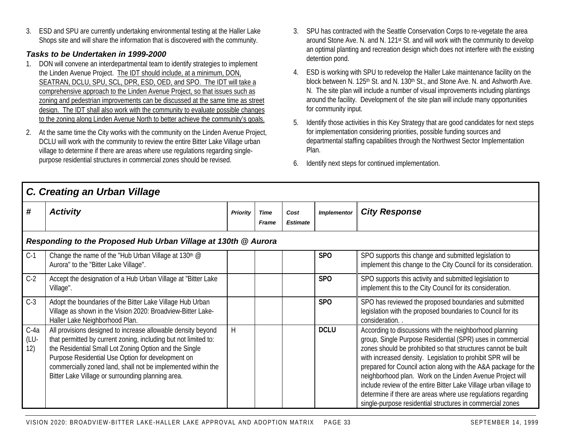3. ESD and SPU are currently undertaking environmental testing at the Haller Lake Shops site and will share the information that is discovered with the community.

- 1. DON will convene an interdepartmental team to identify strategies to implement the Linden Avenue Project. The IDT should include, at a minimum, DON, SEATRAN, DCLU, SPU, SCL, DPR, ESD, OED, and SPO. The IDT will take a comprehensive approach to the Linden Avenue Project, so that issues such as zoning and pedestrian improvements can be discussed at the same time as street design. The IDT shall also work with the community to evaluate possible changes to the zoning along Linden Avenue North to better achieve the community's goals.
- 2. At the same time the City works with the community on the Linden Avenue Project, DCLU will work with the community to review the entire Bitter Lake Village urban village to determine if there are areas where use regulations regarding singlepurpose residential structures in commercial zones should be revised.
- 3. SPU has contracted with the Seattle Conservation Corps to re-vegetate the area around Stone Ave. N. and N. 121st St. and will work with the community to develop an optimal planting and recreation design which does not interfere with the existing detention pond.
- 4. ESD is working with SPU to redevelop the Haller Lake maintenance facility on the block between N. 125<sup>th</sup> St. and N. 130<sup>th</sup> St., and Stone Ave. N. and Ashworth Ave. N. The site plan will include a number of visual improvements including plantings around the facility. Development of the site plan will include many opportunities for community input.
- 5. Identify those activities in this Key Strategy that are good candidates for next steps for implementation considering priorities, possible funding sources and departmental staffing capabilities through the Northwest Sector Implementation Plan.
- 6. Identify next steps for continued implementation.

| C. Creating an Urban Village                                   |                                                                                                                                                                                                                                                                                                                                                                     |                 |                      |                         |             |                                                                                                                                                                                                                                                                                                                                                                                                                                                                                                                                                                                        |  |  |
|----------------------------------------------------------------|---------------------------------------------------------------------------------------------------------------------------------------------------------------------------------------------------------------------------------------------------------------------------------------------------------------------------------------------------------------------|-----------------|----------------------|-------------------------|-------------|----------------------------------------------------------------------------------------------------------------------------------------------------------------------------------------------------------------------------------------------------------------------------------------------------------------------------------------------------------------------------------------------------------------------------------------------------------------------------------------------------------------------------------------------------------------------------------------|--|--|
| #                                                              | <b>Activity</b>                                                                                                                                                                                                                                                                                                                                                     | <b>Priority</b> | Time<br><b>Frame</b> | Cost<br><b>Estimate</b> | Implementor | <b>City Response</b>                                                                                                                                                                                                                                                                                                                                                                                                                                                                                                                                                                   |  |  |
| Responding to the Proposed Hub Urban Village at 130th @ Aurora |                                                                                                                                                                                                                                                                                                                                                                     |                 |                      |                         |             |                                                                                                                                                                                                                                                                                                                                                                                                                                                                                                                                                                                        |  |  |
| $C-1$                                                          | Change the name of the "Hub Urban Village at 130th @<br>Aurora" to the "Bitter Lake Village".                                                                                                                                                                                                                                                                       |                 |                      |                         | <b>SPO</b>  | SPO supports this change and submitted legislation to<br>implement this change to the City Council for its consideration.                                                                                                                                                                                                                                                                                                                                                                                                                                                              |  |  |
| $C-2$                                                          | Accept the designation of a Hub Urban Village at "Bitter Lake"<br>Village".                                                                                                                                                                                                                                                                                         |                 |                      |                         | <b>SPO</b>  | SPO supports this activity and submitted legislation to<br>implement this to the City Council for its consideration.                                                                                                                                                                                                                                                                                                                                                                                                                                                                   |  |  |
| $C-3$                                                          | Adopt the boundaries of the Bitter Lake Village Hub Urban<br>Village as shown in the Vision 2020: Broadview-Bitter Lake-<br>Haller Lake Neighborhood Plan.                                                                                                                                                                                                          |                 |                      |                         | <b>SPO</b>  | SPO has reviewed the proposed boundaries and submitted<br>legislation with the proposed boundaries to Council for its<br>consideration.                                                                                                                                                                                                                                                                                                                                                                                                                                                |  |  |
| $C-4a$<br>(LU-<br>12)                                          | All provisions designed to increase allowable density beyond<br>that permitted by current zoning, including but not limited to:<br>the Residential Small Lot Zoning Option and the Single<br>Purpose Residential Use Option for development on<br>commercially zoned land, shall not be implemented within the<br>Bitter Lake Village or surrounding planning area. | H               |                      |                         | <b>DCLU</b> | According to discussions with the neighborhood planning<br>group, Single Purpose Residential (SPR) uses in commercial<br>zones should be prohibited so that structures cannot be built<br>with increased density. Legislation to prohibit SPR will be<br>prepared for Council action along with the A&A package for the<br>neighborhood plan. Work on the Linden Avenue Project will<br>include review of the entire Bitter Lake Village urban village to<br>determine if there are areas where use regulations regarding<br>single-purpose residential structures in commercial zones |  |  |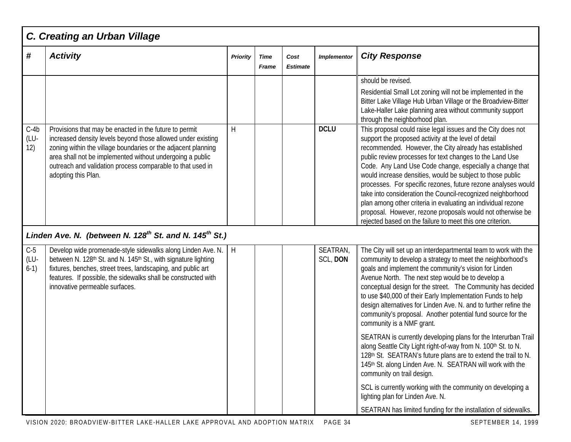|                         | C. Creating an Urban Village                                                                                                                                                                                                                                                                                                              |                 |                      |                         |                      |                                                                                                                                                                                                                                                                                                                                                                                                                                                                                                                                                                                                                                                                                                 |  |  |  |  |
|-------------------------|-------------------------------------------------------------------------------------------------------------------------------------------------------------------------------------------------------------------------------------------------------------------------------------------------------------------------------------------|-----------------|----------------------|-------------------------|----------------------|-------------------------------------------------------------------------------------------------------------------------------------------------------------------------------------------------------------------------------------------------------------------------------------------------------------------------------------------------------------------------------------------------------------------------------------------------------------------------------------------------------------------------------------------------------------------------------------------------------------------------------------------------------------------------------------------------|--|--|--|--|
| #                       | <b>Activity</b>                                                                                                                                                                                                                                                                                                                           | <b>Priority</b> | Time<br><b>Frame</b> | Cost<br><b>Estimate</b> | <b>Implementor</b>   | <b>City Response</b>                                                                                                                                                                                                                                                                                                                                                                                                                                                                                                                                                                                                                                                                            |  |  |  |  |
|                         |                                                                                                                                                                                                                                                                                                                                           |                 |                      |                         |                      | should be revised.<br>Residential Small Lot zoning will not be implemented in the<br>Bitter Lake Village Hub Urban Village or the Broadview-Bitter<br>Lake-Haller Lake planning area without community support<br>through the neighborhood plan.                                                                                                                                                                                                                                                                                                                                                                                                                                                |  |  |  |  |
| $C-4b$<br>(LU-<br>12)   | Provisions that may be enacted in the future to permit<br>increased density levels beyond those allowed under existing<br>zoning within the village boundaries or the adjacent planning<br>area shall not be implemented without undergoing a public<br>outreach and validation process comparable to that used in<br>adopting this Plan. | H               |                      |                         | <b>DCLU</b>          | This proposal could raise legal issues and the City does not<br>support the proposed activity at the level of detail<br>recommended. However, the City already has established<br>public review processes for text changes to the Land Use<br>Code. Any Land Use Code change, especially a change that<br>would increase densities, would be subject to those public<br>processes. For specific rezones, future rezone analyses would<br>take into consideration the Council-recognized neighborhood<br>plan among other criteria in evaluating an individual rezone<br>proposal. However, rezone proposals would not otherwise be<br>rejected based on the failure to meet this one criterion. |  |  |  |  |
|                         | Linden Ave. N. (between N. 128 <sup>th</sup> St. and N. 145 <sup>th</sup> St.)                                                                                                                                                                                                                                                            |                 |                      |                         |                      |                                                                                                                                                                                                                                                                                                                                                                                                                                                                                                                                                                                                                                                                                                 |  |  |  |  |
| $C-5$<br>(LU-<br>$6-1)$ | Develop wide promenade-style sidewalks along Linden Ave. N.<br>between N. 128th St. and N. 145th St., with signature lighting<br>fixtures, benches, street trees, landscaping, and public art<br>features. If possible, the sidewalks shall be constructed with<br>innovative permeable surfaces.                                         | H               |                      |                         | SEATRAN,<br>SCL, DON | The City will set up an interdepartmental team to work with the<br>community to develop a strategy to meet the neighborhood's<br>goals and implement the community's vision for Linden<br>Avenue North. The next step would be to develop a<br>conceptual design for the street. The Community has decided<br>to use \$40,000 of their Early Implementation Funds to help<br>design alternatives for Linden Ave. N. and to further refine the<br>community's proposal. Another potential fund source for the<br>community is a NMF grant.                                                                                                                                                       |  |  |  |  |
|                         |                                                                                                                                                                                                                                                                                                                                           |                 |                      |                         |                      | SEATRAN is currently developing plans for the Interurban Trail<br>along Seattle City Light right-of-way from N. 100th St. to N.<br>128th St. SEATRAN's future plans are to extend the trail to N.<br>145th St. along Linden Ave. N. SEATRAN will work with the<br>community on trail design.                                                                                                                                                                                                                                                                                                                                                                                                    |  |  |  |  |
|                         |                                                                                                                                                                                                                                                                                                                                           |                 |                      |                         |                      | SCL is currently working with the community on developing a<br>lighting plan for Linden Ave. N.                                                                                                                                                                                                                                                                                                                                                                                                                                                                                                                                                                                                 |  |  |  |  |
|                         |                                                                                                                                                                                                                                                                                                                                           |                 |                      |                         |                      | SEATRAN has limited funding for the installation of sidewalks.                                                                                                                                                                                                                                                                                                                                                                                                                                                                                                                                                                                                                                  |  |  |  |  |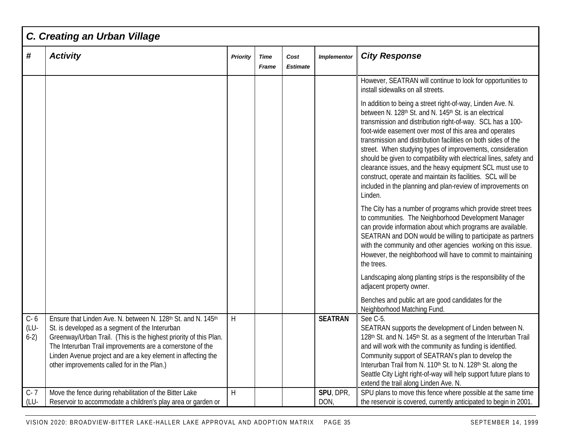|                           | C. Creating an Urban Village                                                                                                                                                                                                                                                                                                                                      |                 |                      |                         |                    |                                                                                                                                                                                                                                                                                                                                                                                                                                                                                                                                                                                                                                                                                 |  |  |  |
|---------------------------|-------------------------------------------------------------------------------------------------------------------------------------------------------------------------------------------------------------------------------------------------------------------------------------------------------------------------------------------------------------------|-----------------|----------------------|-------------------------|--------------------|---------------------------------------------------------------------------------------------------------------------------------------------------------------------------------------------------------------------------------------------------------------------------------------------------------------------------------------------------------------------------------------------------------------------------------------------------------------------------------------------------------------------------------------------------------------------------------------------------------------------------------------------------------------------------------|--|--|--|
| #                         | <b>Activity</b>                                                                                                                                                                                                                                                                                                                                                   | <b>Priority</b> | Time<br><b>Frame</b> | Cost<br><b>Estimate</b> | <b>Implementor</b> | <b>City Response</b>                                                                                                                                                                                                                                                                                                                                                                                                                                                                                                                                                                                                                                                            |  |  |  |
|                           |                                                                                                                                                                                                                                                                                                                                                                   |                 |                      |                         |                    | However, SEATRAN will continue to look for opportunities to<br>install sidewalks on all streets.                                                                                                                                                                                                                                                                                                                                                                                                                                                                                                                                                                                |  |  |  |
|                           |                                                                                                                                                                                                                                                                                                                                                                   |                 |                      |                         |                    | In addition to being a street right-of-way, Linden Ave. N.<br>between N. 128 <sup>th</sup> St. and N. 145 <sup>th</sup> St. is an electrical<br>transmission and distribution right-of-way. SCL has a 100-<br>foot-wide easement over most of this area and operates<br>transmission and distribution facilities on both sides of the<br>street. When studying types of improvements, consideration<br>should be given to compatibility with electrical lines, safety and<br>clearance issues, and the heavy equipment SCL must use to<br>construct, operate and maintain its facilities. SCL will be<br>included in the planning and plan-review of improvements on<br>Linden. |  |  |  |
|                           |                                                                                                                                                                                                                                                                                                                                                                   |                 |                      |                         |                    | The City has a number of programs which provide street trees<br>to communities. The Neighborhood Development Manager<br>can provide information about which programs are available.<br>SEATRAN and DON would be willing to participate as partners<br>with the community and other agencies working on this issue.<br>However, the neighborhood will have to commit to maintaining<br>the trees.                                                                                                                                                                                                                                                                                |  |  |  |
|                           |                                                                                                                                                                                                                                                                                                                                                                   |                 |                      |                         |                    | Landscaping along planting strips is the responsibility of the<br>adjacent property owner.                                                                                                                                                                                                                                                                                                                                                                                                                                                                                                                                                                                      |  |  |  |
|                           |                                                                                                                                                                                                                                                                                                                                                                   |                 |                      |                         |                    | Benches and public art are good candidates for the<br>Neighborhood Matching Fund.                                                                                                                                                                                                                                                                                                                                                                                                                                                                                                                                                                                               |  |  |  |
| $C - 6$<br>(LU-<br>$6-2)$ | Ensure that Linden Ave. N. between N. 128th St. and N. 145th<br>St. is developed as a segment of the Interurban<br>Greenway/Urban Trail. (This is the highest priority of this Plan.<br>The Interurban Trail improvements are a cornerstone of the<br>Linden Avenue project and are a key element in affecting the<br>other improvements called for in the Plan.) | H               |                      |                         | <b>SEATRAN</b>     | See C-5.<br>SEATRAN supports the development of Linden between N.<br>128th St. and N. 145th St. as a segment of the Interurban Trail<br>and will work with the community as funding is identified.<br>Community support of SEATRAN's plan to develop the<br>Interurban Trail from N. 110th St. to N. 128th St. along the<br>Seattle City Light right-of-way will help support future plans to<br>extend the trail along Linden Ave. N.                                                                                                                                                                                                                                          |  |  |  |
| $C - 7$<br>(LU-           | Move the fence during rehabilitation of the Bitter Lake<br>Reservoir to accommodate a children's play area or garden or                                                                                                                                                                                                                                           | H               |                      |                         | SPU, DPR,<br>DON,  | SPU plans to move this fence where possible at the same time<br>the reservoir is covered, currently anticipated to begin in 2001.                                                                                                                                                                                                                                                                                                                                                                                                                                                                                                                                               |  |  |  |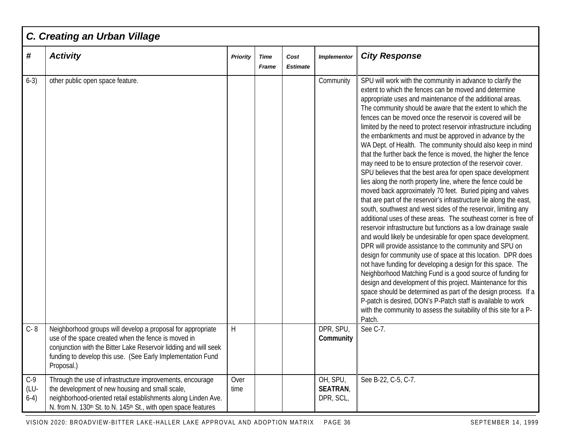|                         | C. Creating an Urban Village                                                                                                                                                                                                                                            |                 |                             |                         |                                   |                                                                                                                                                                                                                                                                                                                                                                                                                                                                                                                                                                                                                                                                                                                                                                                                                                                                                                                                                                                                                                                                                                                                                                                                                                                                                                                                                                                                                                                                                                                                                                                                                                                                                                                               |  |  |  |
|-------------------------|-------------------------------------------------------------------------------------------------------------------------------------------------------------------------------------------------------------------------------------------------------------------------|-----------------|-----------------------------|-------------------------|-----------------------------------|-------------------------------------------------------------------------------------------------------------------------------------------------------------------------------------------------------------------------------------------------------------------------------------------------------------------------------------------------------------------------------------------------------------------------------------------------------------------------------------------------------------------------------------------------------------------------------------------------------------------------------------------------------------------------------------------------------------------------------------------------------------------------------------------------------------------------------------------------------------------------------------------------------------------------------------------------------------------------------------------------------------------------------------------------------------------------------------------------------------------------------------------------------------------------------------------------------------------------------------------------------------------------------------------------------------------------------------------------------------------------------------------------------------------------------------------------------------------------------------------------------------------------------------------------------------------------------------------------------------------------------------------------------------------------------------------------------------------------------|--|--|--|
| #                       | <b>Activity</b>                                                                                                                                                                                                                                                         | <b>Priority</b> | <b>Time</b><br><b>Frame</b> | Cost<br><b>Estimate</b> | <b>Implementor</b>                | <b>City Response</b>                                                                                                                                                                                                                                                                                                                                                                                                                                                                                                                                                                                                                                                                                                                                                                                                                                                                                                                                                                                                                                                                                                                                                                                                                                                                                                                                                                                                                                                                                                                                                                                                                                                                                                          |  |  |  |
| $6-3)$                  | other public open space feature.                                                                                                                                                                                                                                        |                 |                             |                         | Community                         | SPU will work with the community in advance to clarify the<br>extent to which the fences can be moved and determine<br>appropriate uses and maintenance of the additional areas.<br>The community should be aware that the extent to which the<br>fences can be moved once the reservoir is covered will be<br>limited by the need to protect reservoir infrastructure including<br>the embankments and must be approved in advance by the<br>WA Dept. of Health. The community should also keep in mind<br>that the further back the fence is moved, the higher the fence<br>may need to be to ensure protection of the reservoir cover.<br>SPU believes that the best area for open space development<br>lies along the north property line, where the fence could be<br>moved back approximately 70 feet. Buried piping and valves<br>that are part of the reservoir's infrastructure lie along the east,<br>south, southwest and west sides of the reservoir, limiting any<br>additional uses of these areas. The southeast corner is free of<br>reservoir infrastructure but functions as a low drainage swale<br>and would likely be undesirable for open space development.<br>DPR will provide assistance to the community and SPU on<br>design for community use of space at this location. DPR does<br>not have funding for developing a design for this space. The<br>Neighborhood Matching Fund is a good source of funding for<br>design and development of this project. Maintenance for this<br>space should be determined as part of the design process. If a<br>P-patch is desired, DON's P-Patch staff is available to work<br>with the community to assess the suitability of this site for a P-<br>Patch. |  |  |  |
| $C - 8$                 | Neighborhood groups will develop a proposal for appropriate<br>use of the space created when the fence is moved in<br>conjunction with the Bitter Lake Reservoir lidding and will seek<br>funding to develop this use. (See Early Implementation Fund<br>Proposal.)     | $\mathsf{H}$    |                             |                         | DPR, SPU,<br>Community            | See C-7.                                                                                                                                                                                                                                                                                                                                                                                                                                                                                                                                                                                                                                                                                                                                                                                                                                                                                                                                                                                                                                                                                                                                                                                                                                                                                                                                                                                                                                                                                                                                                                                                                                                                                                                      |  |  |  |
| $C-9$<br>(LU-<br>$6-4)$ | Through the use of infrastructure improvements, encourage<br>the development of new housing and small scale,<br>neighborhood-oriented retail establishments along Linden Ave.<br>N. from N. 130 <sup>th</sup> St. to N. 145 <sup>th</sup> St., with open space features | Over<br>time    |                             |                         | OH, SPU,<br>SEATRAN,<br>DPR, SCL, | See B-22, C-5, C-7.                                                                                                                                                                                                                                                                                                                                                                                                                                                                                                                                                                                                                                                                                                                                                                                                                                                                                                                                                                                                                                                                                                                                                                                                                                                                                                                                                                                                                                                                                                                                                                                                                                                                                                           |  |  |  |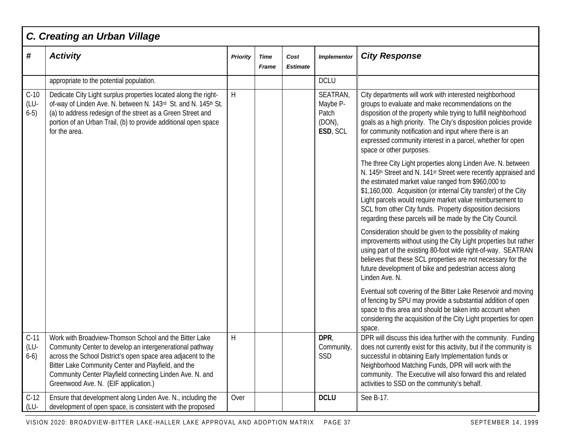|                             | C. Creating an Urban Village                                                                                                                                                                                                                                                                                                                  |                 |                      |                         |                                                    |                                                                                                                                                                                                                                                                                                                                                                                                                                                   |  |  |  |  |
|-----------------------------|-----------------------------------------------------------------------------------------------------------------------------------------------------------------------------------------------------------------------------------------------------------------------------------------------------------------------------------------------|-----------------|----------------------|-------------------------|----------------------------------------------------|---------------------------------------------------------------------------------------------------------------------------------------------------------------------------------------------------------------------------------------------------------------------------------------------------------------------------------------------------------------------------------------------------------------------------------------------------|--|--|--|--|
| #                           | <b>Activity</b>                                                                                                                                                                                                                                                                                                                               | <b>Priority</b> | Time<br><b>Frame</b> | Cost<br><b>Estimate</b> | <b>Implementor</b>                                 | <b>City Response</b>                                                                                                                                                                                                                                                                                                                                                                                                                              |  |  |  |  |
|                             | appropriate to the potential population.                                                                                                                                                                                                                                                                                                      |                 |                      |                         | <b>DCLU</b>                                        |                                                                                                                                                                                                                                                                                                                                                                                                                                                   |  |  |  |  |
| $C-10$<br>(LU-<br>$6-5)$    | Dedicate City Light surplus properties located along the right-<br>of-way of Linden Ave. N. between N. 143rd St. and N. 145th St.<br>(a) to address redesign of the street as a Green Street and<br>portion of an Urban Trail, (b) to provide additional open space<br>for the area.                                                          | H               |                      |                         | SEATRAN,<br>Maybe P-<br>Patch<br>(DON)<br>ESD, SCL | City departments will work with interested neighborhood<br>groups to evaluate and make recommendations on the<br>disposition of the property while trying to fulfill neighborhood<br>goals as a high priority. The City's disposition policies provide<br>for community notification and input where there is an<br>expressed community interest in a parcel, whether for open<br>space or other purposes.                                        |  |  |  |  |
|                             |                                                                                                                                                                                                                                                                                                                                               |                 |                      |                         |                                                    | The three City Light properties along Linden Ave. N. between<br>N. 145th Street and N. 141st Street were recently appraised and<br>the estimated market value ranged from \$960,000 to<br>\$1,160,000. Acquisition (or internal City transfer) of the City<br>Light parcels would require market value reimbursement to<br>SCL from other City funds. Property disposition decisions<br>regarding these parcels will be made by the City Council. |  |  |  |  |
|                             |                                                                                                                                                                                                                                                                                                                                               |                 |                      |                         |                                                    | Consideration should be given to the possibility of making<br>improvements without using the City Light properties but rather<br>using part of the existing 80-foot wide right-of-way. SEATRAN<br>believes that these SCL properties are not necessary for the<br>future development of bike and pedestrian access along<br>Linden Ave. N.                                                                                                        |  |  |  |  |
|                             |                                                                                                                                                                                                                                                                                                                                               |                 |                      |                         |                                                    | Eventual soft covering of the Bitter Lake Reservoir and moving<br>of fencing by SPU may provide a substantial addition of open<br>space to this area and should be taken into account when<br>considering the acquisition of the City Light properties for open<br>space.                                                                                                                                                                         |  |  |  |  |
| $C-11$<br>$(LU -$<br>$6-6)$ | Work with Broadview-Thomson School and the Bitter Lake<br>Community Center to develop an intergenerational pathway<br>across the School District's open space area adjacent to the<br>Bitter Lake Community Center and Playfield, and the<br>Community Center Playfield connecting Linden Ave. N. and<br>Greenwood Ave. N. (EIF application.) | Н               |                      |                         | DPR,<br>Community,<br>SSD                          | DPR will discuss this idea further with the community. Funding<br>does not currently exist for this activity, but if the community is<br>successful in obtaining Early Implementation funds or<br>Neighborhood Matching Funds, DPR will work with the<br>community. The Executive will also forward this and related<br>activities to SSD on the community's behalf.                                                                              |  |  |  |  |
| $C-12$<br>(LU-              | Ensure that development along Linden Ave. N., including the<br>development of open space, is consistent with the proposed                                                                                                                                                                                                                     | Over            |                      |                         | <b>DCLU</b>                                        | See B-17.                                                                                                                                                                                                                                                                                                                                                                                                                                         |  |  |  |  |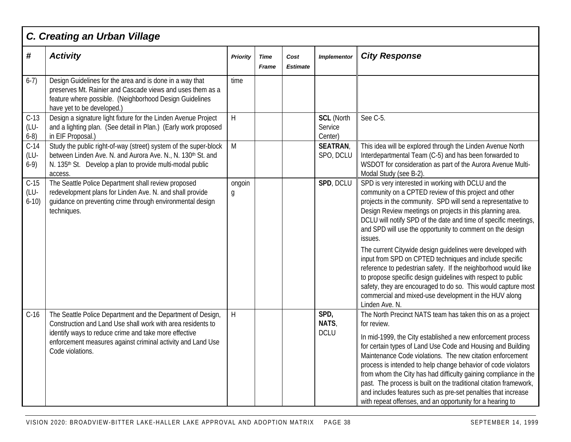|                          | C. Creating an Urban Village                                                                                                                                                                                                                                           |                 |               |                         |                                         |                                                                                                                                                                                                                                                                                                                                                                                                                                                                                                                                                                                                                                                                                                                                                                                             |  |  |  |  |
|--------------------------|------------------------------------------------------------------------------------------------------------------------------------------------------------------------------------------------------------------------------------------------------------------------|-----------------|---------------|-------------------------|-----------------------------------------|---------------------------------------------------------------------------------------------------------------------------------------------------------------------------------------------------------------------------------------------------------------------------------------------------------------------------------------------------------------------------------------------------------------------------------------------------------------------------------------------------------------------------------------------------------------------------------------------------------------------------------------------------------------------------------------------------------------------------------------------------------------------------------------------|--|--|--|--|
| #                        | <b>Activity</b>                                                                                                                                                                                                                                                        | <b>Priority</b> | Time<br>Frame | Cost<br><b>Estimate</b> | <b>Implementor</b>                      | <b>City Response</b>                                                                                                                                                                                                                                                                                                                                                                                                                                                                                                                                                                                                                                                                                                                                                                        |  |  |  |  |
| $6-7)$                   | Design Guidelines for the area and is done in a way that<br>preserves Mt. Rainier and Cascade views and uses them as a<br>feature where possible. (Neighborhood Design Guidelines<br>have yet to be developed.)                                                        | time            |               |                         |                                         |                                                                                                                                                                                                                                                                                                                                                                                                                                                                                                                                                                                                                                                                                                                                                                                             |  |  |  |  |
| $C-13$<br>(LU-<br>$6-8)$ | Design a signature light fixture for the Linden Avenue Project<br>and a lighting plan. (See detail in Plan.) (Early work proposed<br>in EIF Proposal.)                                                                                                                 | H               |               |                         | <b>SCL (North</b><br>Service<br>Center) | See C-5.                                                                                                                                                                                                                                                                                                                                                                                                                                                                                                                                                                                                                                                                                                                                                                                    |  |  |  |  |
| $C-14$<br>(LU-<br>$6-9)$ | Study the public right-of-way (street) system of the super-block<br>between Linden Ave. N. and Aurora Ave. N., N. 130th St. and<br>N. 135 <sup>th</sup> St. Develop a plan to provide multi-modal public<br>access.                                                    | M               |               |                         | <b>SEATRAN</b><br>SPO, DCLU             | This idea will be explored through the Linden Avenue North<br>Interdepartmental Team (C-5) and has been forwarded to<br>WSDOT for consideration as part of the Aurora Avenue Multi-<br>Modal Study (see B-2).                                                                                                                                                                                                                                                                                                                                                                                                                                                                                                                                                                               |  |  |  |  |
| $C-15$<br>(LU-<br>$6-10$ | The Seattle Police Department shall review proposed<br>redevelopment plans for Linden Ave. N. and shall provide<br>guidance on preventing crime through environmental design<br>techniques.                                                                            | ongoin<br>g     |               |                         | SPD, DCLU                               | SPD is very interested in working with DCLU and the<br>community on a CPTED review of this project and other<br>projects in the community. SPD will send a representative to<br>Design Review meetings on projects in this planning area.<br>DCLU will notify SPD of the date and time of specific meetings,<br>and SPD will use the opportunity to comment on the design<br>issues.<br>The current Citywide design guidelines were developed with<br>input from SPD on CPTED techniques and include specific<br>reference to pedestrian safety. If the neighborhood would like<br>to propose specific design guidelines with respect to public<br>safety, they are encouraged to do so. This would capture most<br>commercial and mixed-use development in the HUV along<br>Linden Ave. N. |  |  |  |  |
| $C-16$                   | The Seattle Police Department and the Department of Design,<br>Construction and Land Use shall work with area residents to<br>identify ways to reduce crime and take more effective<br>enforcement measures against criminal activity and Land Use<br>Code violations. | H               |               |                         | SPD,<br>NATS,<br><b>DCLU</b>            | The North Precinct NATS team has taken this on as a project<br>for review.<br>In mid-1999, the City established a new enforcement process<br>for certain types of Land Use Code and Housing and Building<br>Maintenance Code violations. The new citation enforcement<br>process is intended to help change behavior of code violators<br>from whom the City has had difficulty gaining compliance in the<br>past. The process is built on the traditional citation framework,<br>and includes features such as pre-set penalties that increase<br>with repeat offenses, and an opportunity for a hearing to                                                                                                                                                                                |  |  |  |  |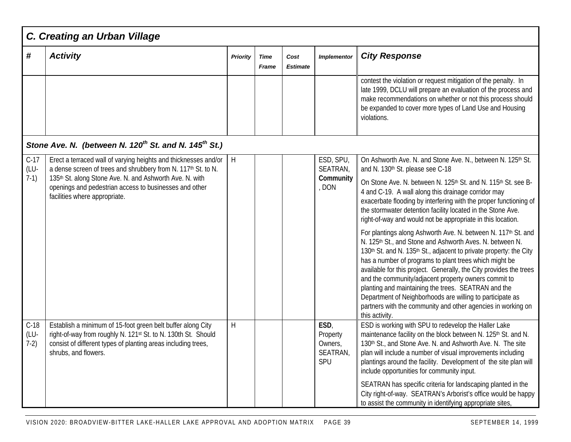|                          | C. Creating an Urban Village                                                                                                                                                                                                                                                                       |                 |                             |                         |                                                       |                                                                                                                                                                                                                                                                                                                                                                                                                                                                                                                                                                                                                                                                                                                                                                                                                                                                                                                                                                                                                                                                                         |  |  |  |  |
|--------------------------|----------------------------------------------------------------------------------------------------------------------------------------------------------------------------------------------------------------------------------------------------------------------------------------------------|-----------------|-----------------------------|-------------------------|-------------------------------------------------------|-----------------------------------------------------------------------------------------------------------------------------------------------------------------------------------------------------------------------------------------------------------------------------------------------------------------------------------------------------------------------------------------------------------------------------------------------------------------------------------------------------------------------------------------------------------------------------------------------------------------------------------------------------------------------------------------------------------------------------------------------------------------------------------------------------------------------------------------------------------------------------------------------------------------------------------------------------------------------------------------------------------------------------------------------------------------------------------------|--|--|--|--|
| #                        | <b>Activity</b>                                                                                                                                                                                                                                                                                    | <b>Priority</b> | <b>Time</b><br><b>Frame</b> | Cost<br><b>Estimate</b> | <b>Implementor</b>                                    | <b>City Response</b>                                                                                                                                                                                                                                                                                                                                                                                                                                                                                                                                                                                                                                                                                                                                                                                                                                                                                                                                                                                                                                                                    |  |  |  |  |
|                          |                                                                                                                                                                                                                                                                                                    |                 |                             |                         |                                                       | contest the violation or request mitigation of the penalty. In<br>late 1999, DCLU will prepare an evaluation of the process and<br>make recommendations on whether or not this process should<br>be expanded to cover more types of Land Use and Housing<br>violations.                                                                                                                                                                                                                                                                                                                                                                                                                                                                                                                                                                                                                                                                                                                                                                                                                 |  |  |  |  |
|                          | Stone Ave. N. (between N. 120 <sup>th</sup> St. and N. 145 <sup>th</sup> St.)                                                                                                                                                                                                                      |                 |                             |                         |                                                       |                                                                                                                                                                                                                                                                                                                                                                                                                                                                                                                                                                                                                                                                                                                                                                                                                                                                                                                                                                                                                                                                                         |  |  |  |  |
| $C-17$<br>(LU-<br>$7-1)$ | Erect a terraced wall of varying heights and thicknesses and/or<br>a dense screen of trees and shrubbery from N. 117 <sup>th</sup> St. to N.<br>135th St. along Stone Ave. N. and Ashworth Ave. N. with<br>openings and pedestrian access to businesses and other<br>facilities where appropriate. | H               |                             |                         | ESD, SPU,<br>SEATRAN,<br>Community<br>, DON           | On Ashworth Ave. N. and Stone Ave. N., between N. 125th St.<br>and N. 130 <sup>th</sup> St. please see C-18<br>On Stone Ave. N. between N. 125 <sup>th</sup> St. and N. 115 <sup>th</sup> St. see B-<br>4 and C-19. A wall along this drainage corridor may<br>exacerbate flooding by interfering with the proper functioning of<br>the stormwater detention facility located in the Stone Ave.<br>right-of-way and would not be appropriate in this location.<br>For plantings along Ashworth Ave. N. between N. 117th St. and<br>N. 125th St., and Stone and Ashworth Aves. N. between N.<br>130 <sup>th</sup> St. and N. 135 <sup>th</sup> St., adjacent to private property: the City<br>has a number of programs to plant trees which might be<br>available for this project. Generally, the City provides the trees<br>and the community/adjacent property owners commit to<br>planting and maintaining the trees. SEATRAN and the<br>Department of Neighborhoods are willing to participate as<br>partners with the community and other agencies in working on<br>this activity. |  |  |  |  |
| $C-18$<br>(LU-<br>$7-2)$ | Establish a minimum of 15-foot green belt buffer along City<br>right-of-way from roughly N. 121st St. to N. 130th St. Should<br>consist of different types of planting areas including trees,<br>shrubs, and flowers.                                                                              | H               |                             |                         | ESD,<br>Property<br>Owners,<br>SEATRAN,<br><b>SPU</b> | ESD is working with SPU to redevelop the Haller Lake<br>maintenance facility on the block between N. 125 <sup>th</sup> St. and N.<br>130th St., and Stone Ave. N. and Ashworth Ave. N. The site<br>plan will include a number of visual improvements including<br>plantings around the facility. Development of the site plan will<br>include opportunities for community input.<br>SEATRAN has specific criteria for landscaping planted in the<br>City right-of-way. SEATRAN's Arborist's office would be happy<br>to assist the community in identifying appropriate sites,                                                                                                                                                                                                                                                                                                                                                                                                                                                                                                          |  |  |  |  |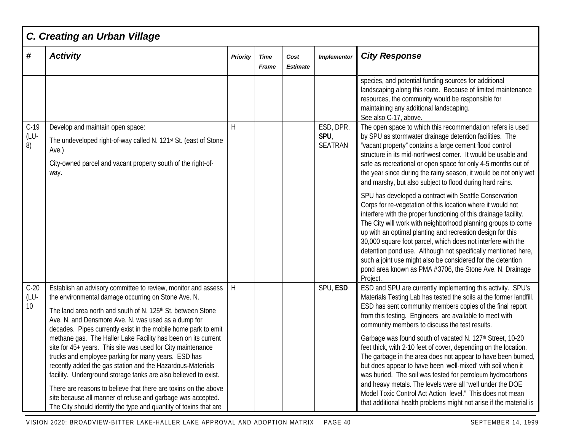|                      | C. Creating an Urban Village                                                                                                                                                                                                                                                                                                                                                                                                                                                                                                                                                                                                                                                                                                                                                                                                                |                 |                      |                         |                                     |                                                                                                                                                                                                                                                                                                                                                                                                                                                                                                                                                                                                                                                                                                                                                                                                                                                                                                                                                                                                                                                       |  |  |  |  |
|----------------------|---------------------------------------------------------------------------------------------------------------------------------------------------------------------------------------------------------------------------------------------------------------------------------------------------------------------------------------------------------------------------------------------------------------------------------------------------------------------------------------------------------------------------------------------------------------------------------------------------------------------------------------------------------------------------------------------------------------------------------------------------------------------------------------------------------------------------------------------|-----------------|----------------------|-------------------------|-------------------------------------|-------------------------------------------------------------------------------------------------------------------------------------------------------------------------------------------------------------------------------------------------------------------------------------------------------------------------------------------------------------------------------------------------------------------------------------------------------------------------------------------------------------------------------------------------------------------------------------------------------------------------------------------------------------------------------------------------------------------------------------------------------------------------------------------------------------------------------------------------------------------------------------------------------------------------------------------------------------------------------------------------------------------------------------------------------|--|--|--|--|
| $\boldsymbol{\#}$    | <b>Activity</b>                                                                                                                                                                                                                                                                                                                                                                                                                                                                                                                                                                                                                                                                                                                                                                                                                             | <b>Priority</b> | Time<br><b>Frame</b> | Cost<br><b>Estimate</b> | <b>Implementor</b>                  | <b>City Response</b>                                                                                                                                                                                                                                                                                                                                                                                                                                                                                                                                                                                                                                                                                                                                                                                                                                                                                                                                                                                                                                  |  |  |  |  |
|                      |                                                                                                                                                                                                                                                                                                                                                                                                                                                                                                                                                                                                                                                                                                                                                                                                                                             |                 |                      |                         |                                     | species, and potential funding sources for additional<br>landscaping along this route. Because of limited maintenance<br>resources, the community would be responsible for<br>maintaining any additional landscaping.<br>See also C-17, above.                                                                                                                                                                                                                                                                                                                                                                                                                                                                                                                                                                                                                                                                                                                                                                                                        |  |  |  |  |
| $C-19$<br>(LU-<br>8) | Develop and maintain open space:<br>The undeveloped right-of-way called N. 121st St. (east of Stone<br>Ave.)<br>City-owned parcel and vacant property south of the right-of-<br>way.                                                                                                                                                                                                                                                                                                                                                                                                                                                                                                                                                                                                                                                        | H               |                      |                         | ESD, DPR,<br>SPU,<br><b>SEATRAN</b> | The open space to which this recommendation refers is used<br>by SPU as stormwater drainage detention facilities. The<br>'vacant property" contains a large cement flood control<br>structure in its mid-northwest corner. It would be usable and<br>safe as recreational or open space for only 4-5 months out of<br>the year since during the rainy season, it would be not only wet<br>and marshy, but also subject to flood during hard rains.<br>SPU has developed a contract with Seattle Conservation<br>Corps for re-vegetation of this location where it would not<br>interfere with the proper functioning of this drainage facility.<br>The City will work with neighborhood planning groups to come<br>up with an optimal planting and recreation design for this<br>30,000 square foot parcel, which does not interfere with the<br>detention pond use. Although not specifically mentioned here,<br>such a joint use might also be considered for the detention<br>pond area known as PMA #3706, the Stone Ave. N. Drainage<br>Project. |  |  |  |  |
| $C-20$<br>(LU-<br>10 | Establish an advisory committee to review, monitor and assess<br>the environmental damage occurring on Stone Ave. N.<br>The land area north and south of N. 125th St. between Stone<br>Ave. N. and Densmore Ave. N. was used as a dump for<br>decades. Pipes currently exist in the mobile home park to emit<br>methane gas. The Haller Lake Facility has been on its current<br>site for 45+ years. This site was used for City maintenance<br>trucks and employee parking for many years. ESD has<br>recently added the gas station and the Hazardous-Materials<br>facility. Underground storage tanks are also believed to exist.<br>There are reasons to believe that there are toxins on the above<br>site because all manner of refuse and garbage was accepted.<br>The City should identify the type and quantity of toxins that are | H               |                      |                         | SPU, ESD                            | ESD and SPU are currently implementing this activity. SPU's<br>Materials Testing Lab has tested the soils at the former landfill.<br>ESD has sent community members copies of the final report<br>from this testing. Engineers are available to meet with<br>community members to discuss the test results.<br>Garbage was found south of vacated N. 127th Street, 10-20<br>feet thick, with 2-10 feet of cover, depending on the location.<br>The garbage in the area does not appear to have been burned,<br>but does appear to have been 'well-mixed' with soil when it<br>was buried. The soil was tested for petroleum hydrocarbons<br>and heavy metals. The levels were all "well under the DOE<br>Model Toxic Control Act Action level." This does not mean<br>that additional health problems might not arise if the material is                                                                                                                                                                                                              |  |  |  |  |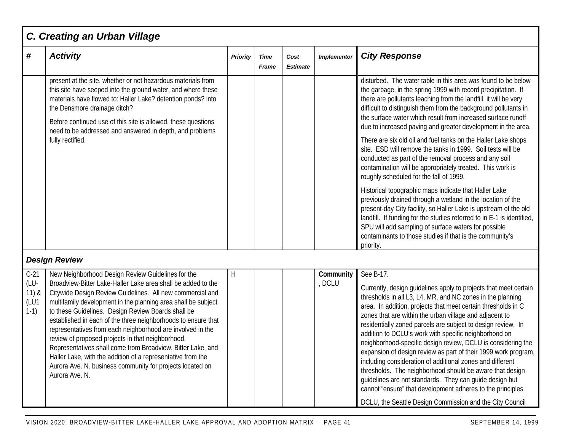|                                              | C. Creating an Urban Village                                                                                                                                                                                                                                                                                                                                                                                                                                                                                                                                                                                                                                                                           |                 |                             |                         |                     |                                                                                                                                                                                                                                                                                                                                                                                                                                                                                                                                                                                                                                                                                                                                                                                                                                                   |  |  |  |  |
|----------------------------------------------|--------------------------------------------------------------------------------------------------------------------------------------------------------------------------------------------------------------------------------------------------------------------------------------------------------------------------------------------------------------------------------------------------------------------------------------------------------------------------------------------------------------------------------------------------------------------------------------------------------------------------------------------------------------------------------------------------------|-----------------|-----------------------------|-------------------------|---------------------|---------------------------------------------------------------------------------------------------------------------------------------------------------------------------------------------------------------------------------------------------------------------------------------------------------------------------------------------------------------------------------------------------------------------------------------------------------------------------------------------------------------------------------------------------------------------------------------------------------------------------------------------------------------------------------------------------------------------------------------------------------------------------------------------------------------------------------------------------|--|--|--|--|
| #                                            | <b>Activity</b>                                                                                                                                                                                                                                                                                                                                                                                                                                                                                                                                                                                                                                                                                        | <b>Priority</b> | <b>Time</b><br><b>Frame</b> | Cost<br><b>Estimate</b> | <b>Implementor</b>  | <b>City Response</b>                                                                                                                                                                                                                                                                                                                                                                                                                                                                                                                                                                                                                                                                                                                                                                                                                              |  |  |  |  |
|                                              | present at the site, whether or not hazardous materials from<br>this site have seeped into the ground water, and where these<br>materials have flowed to: Haller Lake? detention ponds? into<br>the Densmore drainage ditch?<br>Before continued use of this site is allowed, these questions<br>need to be addressed and answered in depth, and problems<br>fully rectified.                                                                                                                                                                                                                                                                                                                          |                 |                             |                         |                     | disturbed. The water table in this area was found to be below<br>the garbage, in the spring 1999 with record precipitation. If<br>there are pollutants leaching from the landfill, it will be very<br>difficult to distinguish them from the background pollutants in<br>the surface water which result from increased surface runoff<br>due to increased paving and greater development in the area.                                                                                                                                                                                                                                                                                                                                                                                                                                             |  |  |  |  |
|                                              |                                                                                                                                                                                                                                                                                                                                                                                                                                                                                                                                                                                                                                                                                                        |                 |                             |                         |                     | There are six old oil and fuel tanks on the Haller Lake shops<br>site. ESD will remove the tanks in 1999. Soil tests will be<br>conducted as part of the removal process and any soil<br>contamination will be appropriately treated. This work is<br>roughly scheduled for the fall of 1999.                                                                                                                                                                                                                                                                                                                                                                                                                                                                                                                                                     |  |  |  |  |
|                                              |                                                                                                                                                                                                                                                                                                                                                                                                                                                                                                                                                                                                                                                                                                        |                 |                             |                         |                     | Historical topographic maps indicate that Haller Lake<br>previously drained through a wetland in the location of the<br>present-day City facility, so Haller Lake is upstream of the old<br>landfill. If funding for the studies referred to in E-1 is identified,<br>SPU will add sampling of surface waters for possible<br>contaminants to those studies if that is the community's<br>priority.                                                                                                                                                                                                                                                                                                                                                                                                                                               |  |  |  |  |
|                                              | <b>Design Review</b>                                                                                                                                                                                                                                                                                                                                                                                                                                                                                                                                                                                                                                                                                   |                 |                             |                         |                     |                                                                                                                                                                                                                                                                                                                                                                                                                                                                                                                                                                                                                                                                                                                                                                                                                                                   |  |  |  |  |
| $C-21$<br>(LU-<br>$11)$ &<br>(LU1)<br>$1-1)$ | New Neighborhood Design Review Guidelines for the<br>Broadview-Bitter Lake-Haller Lake area shall be added to the<br>Citywide Design Review Guidelines. All new commercial and<br>multifamily development in the planning area shall be subject<br>to these Guidelines. Design Review Boards shall be<br>established in each of the three neighborhoods to ensure that<br>representatives from each neighborhood are involved in the<br>review of proposed projects in that neighborhood.<br>Representatives shall come from Broadview, Bitter Lake, and<br>Haller Lake, with the addition of a representative from the<br>Aurora Ave. N. business community for projects located on<br>Aurora Ave. N. | H               |                             |                         | Community<br>, DCLU | See B-17.<br>Currently, design guidelines apply to projects that meet certain<br>thresholds in all L3, L4, MR, and NC zones in the planning<br>area. In addition, projects that meet certain thresholds in C<br>zones that are within the urban village and adjacent to<br>residentially zoned parcels are subject to design review. In<br>addition to DCLU's work with specific neighborhood on<br>neighborhood-specific design review, DCLU is considering the<br>expansion of design review as part of their 1999 work program,<br>including consideration of additional zones and different<br>thresholds. The neighborhood should be aware that design<br>guidelines are not standards. They can guide design but<br>cannot "ensure" that development adheres to the principles.<br>DCLU, the Seattle Design Commission and the City Council |  |  |  |  |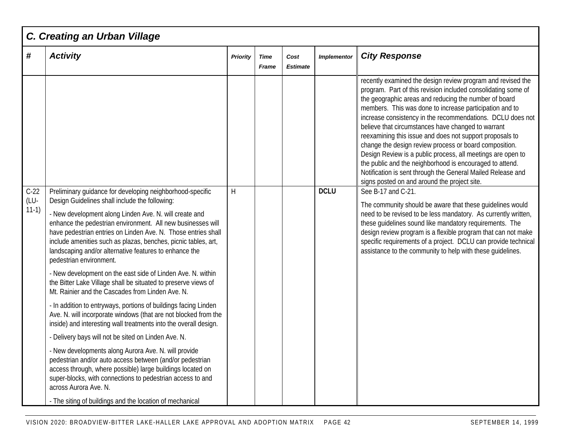|                           | C. Creating an Urban Village                                                                                                                                                                                                                                                                                                                                                                                                                                                                                                                                                                                                                                                                                                                                                                                                                                                                                                                                                                                                                                                                                                                                       |                 |                             |                         |                    |                                                                                                                                                                                                                                                                                                                                                                                                                                                                                                                                                                                                                                                                                                                                      |  |  |  |  |
|---------------------------|--------------------------------------------------------------------------------------------------------------------------------------------------------------------------------------------------------------------------------------------------------------------------------------------------------------------------------------------------------------------------------------------------------------------------------------------------------------------------------------------------------------------------------------------------------------------------------------------------------------------------------------------------------------------------------------------------------------------------------------------------------------------------------------------------------------------------------------------------------------------------------------------------------------------------------------------------------------------------------------------------------------------------------------------------------------------------------------------------------------------------------------------------------------------|-----------------|-----------------------------|-------------------------|--------------------|--------------------------------------------------------------------------------------------------------------------------------------------------------------------------------------------------------------------------------------------------------------------------------------------------------------------------------------------------------------------------------------------------------------------------------------------------------------------------------------------------------------------------------------------------------------------------------------------------------------------------------------------------------------------------------------------------------------------------------------|--|--|--|--|
| #                         | <b>Activity</b>                                                                                                                                                                                                                                                                                                                                                                                                                                                                                                                                                                                                                                                                                                                                                                                                                                                                                                                                                                                                                                                                                                                                                    | <b>Priority</b> | <b>Time</b><br><b>Frame</b> | Cost<br><b>Estimate</b> | <b>Implementor</b> | <b>City Response</b>                                                                                                                                                                                                                                                                                                                                                                                                                                                                                                                                                                                                                                                                                                                 |  |  |  |  |
|                           |                                                                                                                                                                                                                                                                                                                                                                                                                                                                                                                                                                                                                                                                                                                                                                                                                                                                                                                                                                                                                                                                                                                                                                    |                 |                             |                         |                    | recently examined the design review program and revised the<br>program. Part of this revision included consolidating some of<br>the geographic areas and reducing the number of board<br>members. This was done to increase participation and to<br>increase consistency in the recommendations. DCLU does not<br>believe that circumstances have changed to warrant<br>reexamining this issue and does not support proposals to<br>change the design review process or board composition.<br>Design Review is a public process, all meetings are open to<br>the public and the neighborhood is encouraged to attend.<br>Notification is sent through the General Mailed Release and<br>signs posted on and around the project site. |  |  |  |  |
| $C-22$<br>(LU-<br>$11-1)$ | Preliminary guidance for developing neighborhood-specific<br>Design Guidelines shall include the following:<br>- New development along Linden Ave. N. will create and<br>enhance the pedestrian environment. All new businesses will<br>have pedestrian entries on Linden Ave. N. Those entries shall<br>include amenities such as plazas, benches, picnic tables, art,<br>landscaping and/or alternative features to enhance the<br>pedestrian environment.<br>- New development on the east side of Linden Ave. N. within<br>the Bitter Lake Village shall be situated to preserve views of<br>Mt. Rainier and the Cascades from Linden Ave. N.<br>- In addition to entryways, portions of buildings facing Linden<br>Ave. N. will incorporate windows (that are not blocked from the<br>inside) and interesting wall treatments into the overall design.<br>- Delivery bays will not be sited on Linden Ave. N.<br>- New developments along Aurora Ave. N. will provide<br>pedestrian and/or auto access between (and/or pedestrian<br>access through, where possible) large buildings located on<br>super-blocks, with connections to pedestrian access to and | $\mathsf{H}$    |                             |                         | <b>DCLU</b>        | See B-17 and C-21.<br>The community should be aware that these guidelines would<br>need to be revised to be less mandatory. As currently written,<br>these guidelines sound like mandatory requirements. The<br>design review program is a flexible program that can not make<br>specific requirements of a project. DCLU can provide technical<br>assistance to the community to help with these guidelines.                                                                                                                                                                                                                                                                                                                        |  |  |  |  |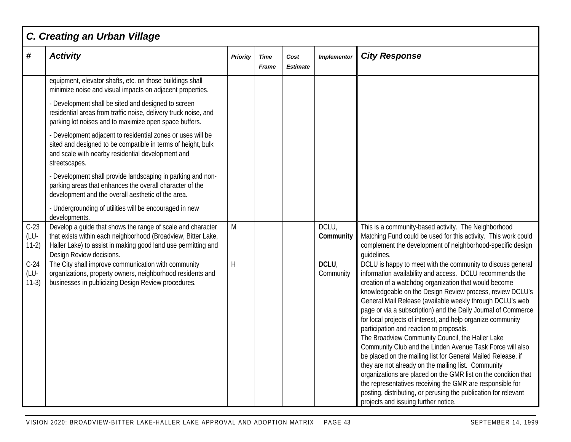|                           | C. Creating an Urban Village                                                                                                                                                                                              |                 |               |                         |                    |                                                                                                                                                                                                                                                                                                                                                                                                                                                                                                                                                                                                                                                                                                                                                                                                                                                                                                                                                                          |  |  |  |
|---------------------------|---------------------------------------------------------------------------------------------------------------------------------------------------------------------------------------------------------------------------|-----------------|---------------|-------------------------|--------------------|--------------------------------------------------------------------------------------------------------------------------------------------------------------------------------------------------------------------------------------------------------------------------------------------------------------------------------------------------------------------------------------------------------------------------------------------------------------------------------------------------------------------------------------------------------------------------------------------------------------------------------------------------------------------------------------------------------------------------------------------------------------------------------------------------------------------------------------------------------------------------------------------------------------------------------------------------------------------------|--|--|--|
| #                         | <b>Activity</b>                                                                                                                                                                                                           | <b>Priority</b> | Time<br>Frame | Cost<br><b>Estimate</b> | <b>Implementor</b> | <b>City Response</b>                                                                                                                                                                                                                                                                                                                                                                                                                                                                                                                                                                                                                                                                                                                                                                                                                                                                                                                                                     |  |  |  |
|                           | equipment, elevator shafts, etc. on those buildings shall<br>minimize noise and visual impacts on adjacent properties.                                                                                                    |                 |               |                         |                    |                                                                                                                                                                                                                                                                                                                                                                                                                                                                                                                                                                                                                                                                                                                                                                                                                                                                                                                                                                          |  |  |  |
|                           | - Development shall be sited and designed to screen<br>residential areas from traffic noise, delivery truck noise, and<br>parking lot noises and to maximize open space buffers.                                          |                 |               |                         |                    |                                                                                                                                                                                                                                                                                                                                                                                                                                                                                                                                                                                                                                                                                                                                                                                                                                                                                                                                                                          |  |  |  |
|                           | - Development adjacent to residential zones or uses will be<br>sited and designed to be compatible in terms of height, bulk<br>and scale with nearby residential development and<br>streetscapes.                         |                 |               |                         |                    |                                                                                                                                                                                                                                                                                                                                                                                                                                                                                                                                                                                                                                                                                                                                                                                                                                                                                                                                                                          |  |  |  |
|                           | - Development shall provide landscaping in parking and non-<br>parking areas that enhances the overall character of the<br>development and the overall aesthetic of the area.                                             |                 |               |                         |                    |                                                                                                                                                                                                                                                                                                                                                                                                                                                                                                                                                                                                                                                                                                                                                                                                                                                                                                                                                                          |  |  |  |
|                           | - Undergrounding of utilities will be encouraged in new<br>developments.                                                                                                                                                  |                 |               |                         |                    |                                                                                                                                                                                                                                                                                                                                                                                                                                                                                                                                                                                                                                                                                                                                                                                                                                                                                                                                                                          |  |  |  |
| $C-23$<br>(LU-<br>$11-2)$ | Develop a guide that shows the range of scale and character<br>that exists within each neighborhood (Broadview, Bitter Lake,<br>Haller Lake) to assist in making good land use permitting and<br>Design Review decisions. | M               |               |                         | DCLU,<br>Community | This is a community-based activity. The Neighborhood<br>Matching Fund could be used for this activity. This work could<br>complement the development of neighborhood-specific design<br>quidelines.                                                                                                                                                                                                                                                                                                                                                                                                                                                                                                                                                                                                                                                                                                                                                                      |  |  |  |
| $C-24$<br>(LU-<br>$11-3)$ | The City shall improve communication with community<br>organizations, property owners, neighborhood residents and<br>businesses in publicizing Design Review procedures.                                                  | $\sf H$         |               |                         | DCLU,<br>Community | DCLU is happy to meet with the community to discuss general<br>information availability and access. DCLU recommends the<br>creation of a watchdog organization that would become<br>knowledgeable on the Design Review process, review DCLU's<br>General Mail Release (available weekly through DCLU's web<br>page or via a subscription) and the Daily Journal of Commerce<br>for local projects of interest, and help organize community<br>participation and reaction to proposals.<br>The Broadview Community Council, the Haller Lake<br>Community Club and the Linden Avenue Task Force will also<br>be placed on the mailing list for General Mailed Release, if<br>they are not already on the mailing list. Community<br>organizations are placed on the GMR list on the condition that<br>the representatives receiving the GMR are responsible for<br>posting, distributing, or perusing the publication for relevant<br>projects and issuing further notice. |  |  |  |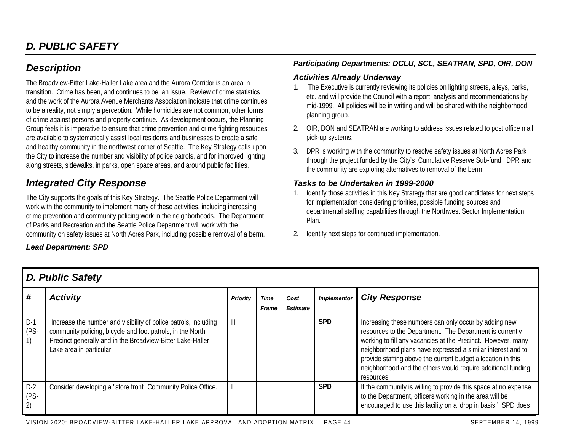## *Description*

The Broadview-Bitter Lake-Haller Lake area and the Aurora Corridor is an area in transition. Crime has been, and continues to be, an issue. Review of crime statistics and the work of the Aurora Avenue Merchants Association indicate that crime continues to be a reality, not simply a perception. While homicides are not common, other forms of crime against persons and property continue. As development occurs, the Planning Group feels it is imperative to ensure that crime prevention and crime fighting resources are available to systematically assist local residents and businesses to create a safe and healthy community in the northwest corner of Seattle. The Key Strategy calls upon the City to increase the number and visibility of police patrols, and for improved lighting along streets, sidewalks, in parks, open space areas, and around public facilities.

# *Integrated City Response*

The City supports the goals of this Key Strategy. The Seattle Police Department will work with the community to implement many of these activities, including increasing crime prevention and community policing work in the neighborhoods. The Department of Parks and Recreation and the Seattle Police Department will work with the community on safety issues at North Acres Park, including possible removal of a berm.

### *Lead Department: SPD*

### *Participating Departments: DCLU, SCL, SEATRAN, SPD, OIR, DON*

#### *Activities Already Underway*

- 1. The Executive is currently reviewing its policies on lighting streets, alleys, parks, etc. and will provide the Council with a report, analysis and recommendations by mid-1999. All policies will be in writing and will be shared with the neighborhood planning group.
- 2. OIR, DON and SEATRAN are working to address issues related to post office mail pick-up systems.
- 3. DPR is working with the community to resolve safety issues at North Acres Park through the project funded by the City's Cumulative Reserve Sub-fund. DPR and the community are exploring alternatives to removal of the berm.

- 1. Identify those activities in this Key Strategy that are good candidates for next steps for implementation considering priorities, possible funding sources and departmental staffing capabilities through the Northwest Sector Implementation Plan.
- 2. Identify next steps for continued implementation.

|                     | <b>D. Public Safety</b>                                                                                                                                                                                                 |          |                      |                         |                    |                                                                                                                                                                                                                                                                                                                                                                                                |  |  |  |  |
|---------------------|-------------------------------------------------------------------------------------------------------------------------------------------------------------------------------------------------------------------------|----------|----------------------|-------------------------|--------------------|------------------------------------------------------------------------------------------------------------------------------------------------------------------------------------------------------------------------------------------------------------------------------------------------------------------------------------------------------------------------------------------------|--|--|--|--|
| #                   | <b>Activity</b>                                                                                                                                                                                                         | Priority | Time<br><b>Frame</b> | Cost<br><b>Estimate</b> | <b>Implementor</b> | <b>City Response</b>                                                                                                                                                                                                                                                                                                                                                                           |  |  |  |  |
| $D-1$<br>(PS-       | Increase the number and visibility of police patrols, including<br>community policing, bicycle and foot patrols, in the North<br>Precinct generally and in the Broadview-Bitter Lake-Haller<br>Lake area in particular. | H        |                      |                         | <b>SPD</b>         | Increasing these numbers can only occur by adding new<br>resources to the Department. The Department is currently<br>working to fill any vacancies at the Precinct. However, many<br>neighborhood plans have expressed a similar interest and to<br>provide staffing above the current budget allocation in this<br>neighborhood and the others would require additional funding<br>resources. |  |  |  |  |
| $D-2$<br>(PS-<br>2) | Consider developing a "store front" Community Police Office.                                                                                                                                                            |          |                      |                         | <b>SPD</b>         | If the community is willing to provide this space at no expense<br>to the Department, officers working in the area will be<br>encouraged to use this facility on a 'drop in basis.' SPD does                                                                                                                                                                                                   |  |  |  |  |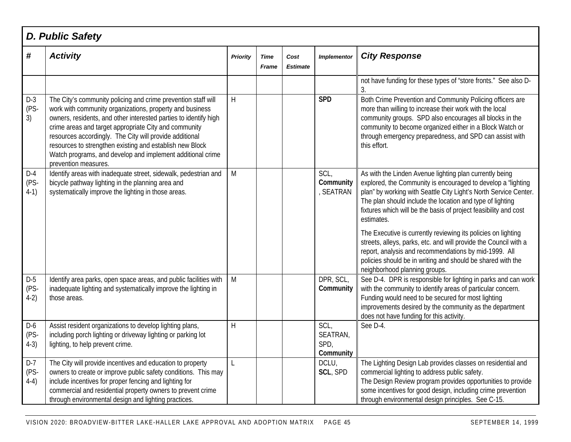|                         | <b>D. Public Safety</b>                                                                                                                                                                                                                                                                                                                                                                                                                                             |                 |                             |                         |                                       |                                                                                                                                                                                                                                                                                                                                            |  |  |  |  |
|-------------------------|---------------------------------------------------------------------------------------------------------------------------------------------------------------------------------------------------------------------------------------------------------------------------------------------------------------------------------------------------------------------------------------------------------------------------------------------------------------------|-----------------|-----------------------------|-------------------------|---------------------------------------|--------------------------------------------------------------------------------------------------------------------------------------------------------------------------------------------------------------------------------------------------------------------------------------------------------------------------------------------|--|--|--|--|
| #                       | <b>Activity</b>                                                                                                                                                                                                                                                                                                                                                                                                                                                     | <b>Priority</b> | <b>Time</b><br><b>Frame</b> | Cost<br><b>Estimate</b> | <b>Implementor</b>                    | <b>City Response</b>                                                                                                                                                                                                                                                                                                                       |  |  |  |  |
|                         |                                                                                                                                                                                                                                                                                                                                                                                                                                                                     |                 |                             |                         |                                       | not have funding for these types of "store fronts." See also D-<br>3.                                                                                                                                                                                                                                                                      |  |  |  |  |
| $D-3$<br>(PS-<br>3)     | The City's community policing and crime prevention staff will<br>work with community organizations, property and business<br>owners, residents, and other interested parties to identify high<br>crime areas and target appropriate City and community<br>resources accordingly. The City will provide additional<br>resources to strengthen existing and establish new Block<br>Watch programs, and develop and implement additional crime<br>prevention measures. | H               |                             |                         | <b>SPD</b>                            | Both Crime Prevention and Community Policing officers are<br>more than willing to increase their work with the local<br>community groups. SPD also encourages all blocks in the<br>community to become organized either in a Block Watch or<br>through emergency preparedness, and SPD can assist with<br>this effort.                     |  |  |  |  |
| $D-4$<br>(PS-<br>$4-1)$ | Identify areas with inadequate street, sidewalk, pedestrian and<br>bicycle pathway lighting in the planning area and<br>systematically improve the lighting in those areas.                                                                                                                                                                                                                                                                                         | M               |                             |                         | SCL,<br>Community<br>, SEATRAN        | As with the Linden Avenue lighting plan currently being<br>explored, the Community is encouraged to develop a 'lighting<br>plan" by working with Seattle City Light's North Service Center.<br>The plan should include the location and type of lighting<br>fixtures which will be the basis of project feasibility and cost<br>estimates. |  |  |  |  |
|                         |                                                                                                                                                                                                                                                                                                                                                                                                                                                                     |                 |                             |                         |                                       | The Executive is currently reviewing its policies on lighting<br>streets, alleys, parks, etc. and will provide the Council with a<br>report, analysis and recommendations by mid-1999. All<br>policies should be in writing and should be shared with the<br>neighborhood planning groups.                                                 |  |  |  |  |
| $D-5$<br>(PS-<br>$4-2)$ | Identify area parks, open space areas, and public facilities with<br>inadequate lighting and systematically improve the lighting in<br>those areas.                                                                                                                                                                                                                                                                                                                 | M               |                             |                         | DPR, SCL,<br>Community                | See D-4. DPR is responsible for lighting in parks and can work<br>with the community to identify areas of particular concern.<br>Funding would need to be secured for most lighting<br>improvements desired by the community as the department<br>does not have funding for this activity.                                                 |  |  |  |  |
| D-6<br>(PS-<br>$4-3)$   | Assist resident organizations to develop lighting plans,<br>including porch lighting or driveway lighting or parking lot<br>lighting, to help prevent crime.                                                                                                                                                                                                                                                                                                        | H               |                             |                         | SCL,<br>SEATRAN,<br>SPD,<br>Community | See D-4.                                                                                                                                                                                                                                                                                                                                   |  |  |  |  |
| $D-7$<br>(PS-<br>$4-4)$ | The City will provide incentives and education to property<br>owners to create or improve public safety conditions. This may<br>include incentives for proper fencing and lighting for<br>commercial and residential property owners to prevent crime<br>through environmental design and lighting practices.                                                                                                                                                       | $\mathsf{L}$    |                             |                         | DCLU,<br>SCL, SPD                     | The Lighting Design Lab provides classes on residential and<br>commercial lighting to address public safety.<br>The Design Review program provides opportunities to provide<br>some incentives for good design, including crime prevention<br>through environmental design principles. See C-15.                                           |  |  |  |  |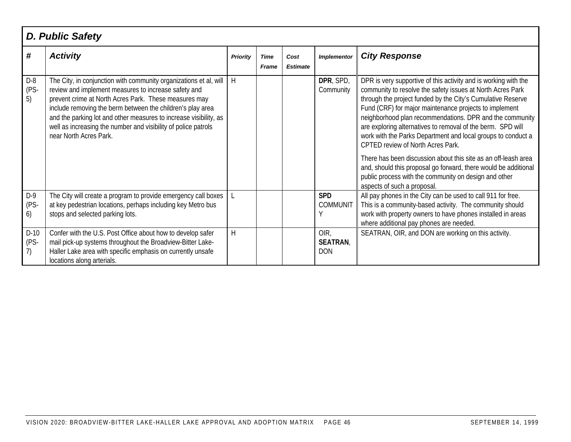|                      | <b>D. Public Safety</b>                                                                                                                                                                                                                                                                                                                                                                                           |                 |                      |                         |                                     |                                                                                                                                                                                                                                                                                                                                                                                                                                                                                                                                                                                                                                                                                                                            |  |  |  |
|----------------------|-------------------------------------------------------------------------------------------------------------------------------------------------------------------------------------------------------------------------------------------------------------------------------------------------------------------------------------------------------------------------------------------------------------------|-----------------|----------------------|-------------------------|-------------------------------------|----------------------------------------------------------------------------------------------------------------------------------------------------------------------------------------------------------------------------------------------------------------------------------------------------------------------------------------------------------------------------------------------------------------------------------------------------------------------------------------------------------------------------------------------------------------------------------------------------------------------------------------------------------------------------------------------------------------------------|--|--|--|
| #                    | <b>Activity</b>                                                                                                                                                                                                                                                                                                                                                                                                   | <b>Priority</b> | <b>Time</b><br>Frame | Cost<br><b>Estimate</b> | <b>Implementor</b>                  | <b>City Response</b>                                                                                                                                                                                                                                                                                                                                                                                                                                                                                                                                                                                                                                                                                                       |  |  |  |
| $D-8$<br>(PS-<br>5)  | The City, in conjunction with community organizations et al, will<br>review and implement measures to increase safety and<br>prevent crime at North Acres Park. These measures may<br>include removing the berm between the children's play area<br>and the parking lot and other measures to increase visibility, as<br>well as increasing the number and visibility of police patrols<br>near North Acres Park. | Iн              |                      |                         | DPR, SPD,<br>Community              | DPR is very supportive of this activity and is working with the<br>community to resolve the safety issues at North Acres Park<br>through the project funded by the City's Cumulative Reserve<br>Fund (CRF) for major maintenance projects to implement<br>neighborhood plan recommendations. DPR and the community<br>are exploring alternatives to removal of the berm. SPD will<br>work with the Parks Department and local groups to conduct a<br><b>CPTED review of North Acres Park.</b><br>There has been discussion about this site as an off-leash area<br>and, should this proposal go forward, there would be additional<br>public process with the community on design and other<br>aspects of such a proposal. |  |  |  |
| $D-9$<br>(PS-<br>6)  | The City will create a program to provide emergency call boxes<br>at key pedestrian locations, perhaps including key Metro bus<br>stops and selected parking lots.                                                                                                                                                                                                                                                |                 |                      |                         | <b>SPD</b><br>COMMUNIT              | All pay phones in the City can be used to call 911 for free.<br>This is a community-based activity. The community should<br>work with property owners to have phones installed in areas<br>where additional pay phones are needed.                                                                                                                                                                                                                                                                                                                                                                                                                                                                                         |  |  |  |
| $D-10$<br>(PS-<br>7) | Confer with the U.S. Post Office about how to develop safer<br>mail pick-up systems throughout the Broadview-Bitter Lake-<br>Haller Lake area with specific emphasis on currently unsafe<br>locations along arterials.                                                                                                                                                                                            | H               |                      |                         | OIR<br><b>SEATRAN</b><br><b>DON</b> | SEATRAN, OIR, and DON are working on this activity.                                                                                                                                                                                                                                                                                                                                                                                                                                                                                                                                                                                                                                                                        |  |  |  |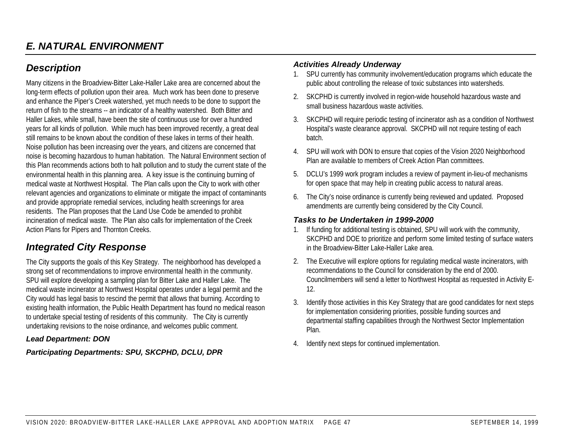# *E. NATURAL ENVIRONMENT*

## *Description*

Many citizens in the Broadview-Bitter Lake-Haller Lake area are concerned about the long-term effects of pollution upon their area. Much work has been done to preserve and enhance the Piper's Creek watershed, yet much needs to be done to support the return of fish to the streams -- an indicator of a healthy watershed. Both Bitter and Haller Lakes, while small, have been the site of continuous use for over a hundred years for all kinds of pollution. While much has been improved recently, a great deal still remains to be known about the condition of these lakes in terms of their health. Noise pollution has been increasing over the years, and citizens are concerned that noise is becoming hazardous to human habitation. The Natural Environment section of this Plan recommends actions both to halt pollution and to study the current state of the environmental health in this planning area. A key issue is the continuing burning of medical waste at Northwest Hospital. The Plan calls upon the City to work with other relevant agencies and organizations to eliminate or mitigate the impact of contaminants and provide appropriate remedial services, including health screenings for area residents. The Plan proposes that the Land Use Code be amended to prohibit incineration of medical waste. The Plan also calls for implementation of the Creek Action Plans for Pipers and Thornton Creeks.

# *Integrated City Response*

The City supports the goals of this Key Strategy. The neighborhood has developed a strong set of recommendations to improve environmental health in the community. SPU will explore developing a sampling plan for Bitter Lake and Haller Lake. The medical waste incinerator at Northwest Hospital operates under a legal permit and the City would has legal basis to rescind the permit that allows that burning. According to existing health information, the Public Health Department has found no medical reason to undertake special testing of residents of this community. The City is currently undertaking revisions to the noise ordinance, and welcomes public comment.

### *Lead Department: DON*

### *Participating Departments: SPU, SKCPHD, DCLU, DPR*

### *Activities Already Underway*

- 1. SPU currently has community involvement/education programs which educate the public about controlling the release of toxic substances into watersheds.
- 2. SKCPHD is currently involved in region-wide household hazardous waste and small business hazardous waste activities.
- 3. SKCPHD will require periodic testing of incinerator ash as a condition of Northwest Hospital's waste clearance approval. SKCPHD will not require testing of each batch.
- 4. SPU will work with DON to ensure that copies of the Vision 2020 Neighborhood Plan are available to members of Creek Action Plan committees.
- 5. DCLU's 1999 work program includes a review of payment in-lieu-of mechanisms for open space that may help in creating public access to natural areas.
- 6. The City's noise ordinance is currently being reviewed and updated. Proposed amendments are currently being considered by the City Council.

- 1. If funding for additional testing is obtained, SPU will work with the community, SKCPHD and DOE to prioritize and perform some limited testing of surface waters in the Broadview-Bitter Lake-Haller Lake area.
- 2. The Executive will explore options for regulating medical waste incinerators, with recommendations to the Council for consideration by the end of 2000. Councilmembers will send a letter to Northwest Hospital as requested in Activity E-12.
- 3. Identify those activities in this Key Strategy that are good candidates for next steps for implementation considering priorities, possible funding sources and departmental staffing capabilities through the Northwest Sector Implementation Plan.
- Identify next steps for continued implementation.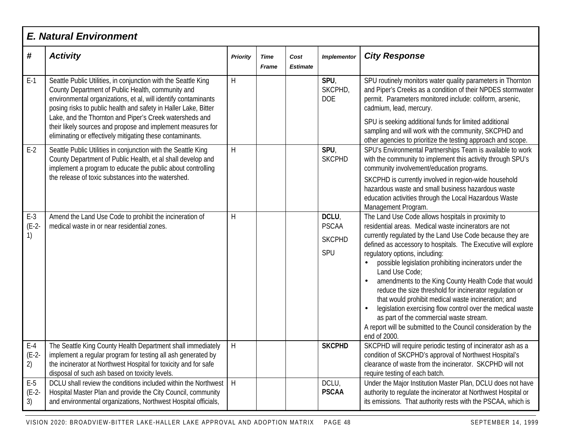|                         | <b>E. Natural Environment</b>                                                                                                                                                                                                                                                                                                                                                                                                                   |                 |               |                         |                                               |                                                                                                                                                                                                                                                                                                                                                                                                                                                                                                                                                                                                                                                                                                                                                         |  |  |  |
|-------------------------|-------------------------------------------------------------------------------------------------------------------------------------------------------------------------------------------------------------------------------------------------------------------------------------------------------------------------------------------------------------------------------------------------------------------------------------------------|-----------------|---------------|-------------------------|-----------------------------------------------|---------------------------------------------------------------------------------------------------------------------------------------------------------------------------------------------------------------------------------------------------------------------------------------------------------------------------------------------------------------------------------------------------------------------------------------------------------------------------------------------------------------------------------------------------------------------------------------------------------------------------------------------------------------------------------------------------------------------------------------------------------|--|--|--|
| #                       | <b>Activity</b>                                                                                                                                                                                                                                                                                                                                                                                                                                 | <b>Priority</b> | Time<br>Frame | Cost<br><b>Estimate</b> | Implementor                                   | <b>City Response</b>                                                                                                                                                                                                                                                                                                                                                                                                                                                                                                                                                                                                                                                                                                                                    |  |  |  |
| $E-1$                   | Seattle Public Utilities, in conjunction with the Seattle King<br>County Department of Public Health, community and<br>environmental organizations, et al, will identify contaminants<br>posing risks to public health and safety in Haller Lake, Bitter<br>Lake, and the Thornton and Piper's Creek watersheds and<br>their likely sources and propose and implement measures for<br>eliminating or effectively mitigating these contaminants. | H               |               |                         | SPU,<br>SKCPHD,<br><b>DOE</b>                 | SPU routinely monitors water quality parameters in Thornton<br>and Piper's Creeks as a condition of their NPDES stormwater<br>permit. Parameters monitored include: coliform, arsenic,<br>cadmium, lead, mercury.<br>SPU is seeking additional funds for limited additional<br>sampling and will work with the community, SKCPHD and<br>other agencies to prioritize the testing approach and scope.                                                                                                                                                                                                                                                                                                                                                    |  |  |  |
| $E-2$                   | Seattle Public Utilities in conjunction with the Seattle King<br>County Department of Public Health, et al shall develop and<br>implement a program to educate the public about controlling<br>the release of toxic substances into the watershed.                                                                                                                                                                                              | H               |               |                         | SPU,<br><b>SKCPHD</b>                         | SPU's Environmental Partnerships Team is available to work<br>with the community to implement this activity through SPU's<br>community involvement/education programs.<br>SKCPHD is currently involved in region-wide household<br>hazardous waste and small business hazardous waste<br>education activities through the Local Hazardous Waste<br>Management Program.                                                                                                                                                                                                                                                                                                                                                                                  |  |  |  |
| $E-3$<br>$(E-2 -$<br>1) | Amend the Land Use Code to prohibit the incineration of<br>medical waste in or near residential zones.                                                                                                                                                                                                                                                                                                                                          | H               |               |                         | DCLU,<br><b>PSCAA</b><br><b>SKCPHD</b><br>SPU | The Land Use Code allows hospitals in proximity to<br>residential areas. Medical waste incinerators are not<br>currently regulated by the Land Use Code because they are<br>defined as accessory to hospitals. The Executive will explore<br>regulatory options, including:<br>possible legislation prohibiting incinerators under the<br>$\bullet$<br>Land Use Code;<br>amendments to the King County Health Code that would<br>$\bullet$<br>reduce the size threshold for incinerator regulation or<br>that would prohibit medical waste incineration; and<br>legislation exercising flow control over the medical waste<br>as part of the commercial waste stream.<br>A report will be submitted to the Council consideration by the<br>end of 2000. |  |  |  |
| $E-4$<br>$(E-2-$<br>2)  | The Seattle King County Health Department shall immediately<br>implement a regular program for testing all ash generated by<br>the incinerator at Northwest Hospital for toxicity and for safe<br>disposal of such ash based on toxicity levels.                                                                                                                                                                                                | H               |               |                         | <b>SKCPHD</b>                                 | SKCPHD will require periodic testing of incinerator ash as a<br>condition of SKCPHD's approval of Northwest Hospital's<br>clearance of waste from the incinerator. SKCPHD will not<br>require testing of each batch.                                                                                                                                                                                                                                                                                                                                                                                                                                                                                                                                    |  |  |  |
| $E-5$<br>$(E-2 -$<br>3) | DCLU shall review the conditions included within the Northwest<br>Hospital Master Plan and provide the City Council, community<br>and environmental organizations, Northwest Hospital officials,                                                                                                                                                                                                                                                | H               |               |                         | DCLU,<br><b>PSCAA</b>                         | Under the Major Institution Master Plan, DCLU does not have<br>authority to regulate the incinerator at Northwest Hospital or<br>its emissions. That authority rests with the PSCAA, which is                                                                                                                                                                                                                                                                                                                                                                                                                                                                                                                                                           |  |  |  |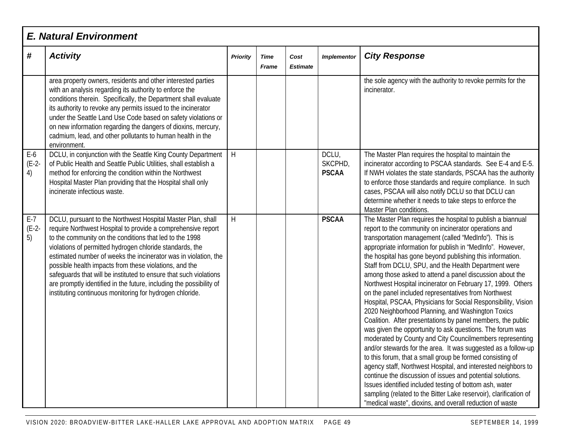|                         | <b>E. Natural Environment</b>                                                                                                                                                                                                                                                                                                                                                                                                                                                                                                                                                           |                 |                      |                         |                                  |                                                                                                                                                                                                                                                                                                                                                                                                                                                                                                                                                                                                                                                                                                                                                                                                                                                                                                                                                                                                                                                                                                                                                                                                                                                                                                                            |  |  |  |
|-------------------------|-----------------------------------------------------------------------------------------------------------------------------------------------------------------------------------------------------------------------------------------------------------------------------------------------------------------------------------------------------------------------------------------------------------------------------------------------------------------------------------------------------------------------------------------------------------------------------------------|-----------------|----------------------|-------------------------|----------------------------------|----------------------------------------------------------------------------------------------------------------------------------------------------------------------------------------------------------------------------------------------------------------------------------------------------------------------------------------------------------------------------------------------------------------------------------------------------------------------------------------------------------------------------------------------------------------------------------------------------------------------------------------------------------------------------------------------------------------------------------------------------------------------------------------------------------------------------------------------------------------------------------------------------------------------------------------------------------------------------------------------------------------------------------------------------------------------------------------------------------------------------------------------------------------------------------------------------------------------------------------------------------------------------------------------------------------------------|--|--|--|
| #                       | <b>Activity</b>                                                                                                                                                                                                                                                                                                                                                                                                                                                                                                                                                                         | <b>Priority</b> | Time<br><b>Frame</b> | Cost<br><b>Estimate</b> | <b>Implementor</b>               | <b>City Response</b>                                                                                                                                                                                                                                                                                                                                                                                                                                                                                                                                                                                                                                                                                                                                                                                                                                                                                                                                                                                                                                                                                                                                                                                                                                                                                                       |  |  |  |
|                         | area property owners, residents and other interested parties<br>with an analysis regarding its authority to enforce the<br>conditions therein. Specifically, the Department shall evaluate<br>its authority to revoke any permits issued to the incinerator<br>under the Seattle Land Use Code based on safety violations or<br>on new information regarding the dangers of dioxins, mercury,<br>cadmium, lead, and other pollutants to human health in the<br>environment.                                                                                                             |                 |                      |                         |                                  | the sole agency with the authority to revoke permits for the<br>incinerator.                                                                                                                                                                                                                                                                                                                                                                                                                                                                                                                                                                                                                                                                                                                                                                                                                                                                                                                                                                                                                                                                                                                                                                                                                                               |  |  |  |
| $E-6$<br>$(E-2 -$<br>4) | DCLU, in conjunction with the Seattle King County Department<br>of Public Health and Seattle Public Utilities, shall establish a<br>method for enforcing the condition within the Northwest<br>Hospital Master Plan providing that the Hospital shall only<br>incinerate infectious waste.                                                                                                                                                                                                                                                                                              | H               |                      |                         | DCLU,<br>SKCPHD,<br><b>PSCAA</b> | The Master Plan requires the hospital to maintain the<br>incinerator according to PSCAA standards. See E-4 and E-5.<br>If NWH violates the state standards, PSCAA has the authority<br>to enforce those standards and require compliance. In such<br>cases, PSCAA will also notify DCLU so that DCLU can<br>determine whether it needs to take steps to enforce the<br>Master Plan conditions.                                                                                                                                                                                                                                                                                                                                                                                                                                                                                                                                                                                                                                                                                                                                                                                                                                                                                                                             |  |  |  |
| $E-7$<br>$(E-2 -$<br>5) | DCLU, pursuant to the Northwest Hospital Master Plan, shall<br>require Northwest Hospital to provide a comprehensive report<br>to the community on the conditions that led to the 1998<br>violations of permitted hydrogen chloride standards, the<br>estimated number of weeks the incinerator was in violation, the<br>possible health impacts from these violations, and the<br>safeguards that will be instituted to ensure that such violations<br>are promptly identified in the future, including the possibility of<br>instituting continuous monitoring for hydrogen chloride. | $\mathsf{H}$    |                      |                         | <b>PSCAA</b>                     | The Master Plan requires the hospital to publish a biannual<br>report to the community on incinerator operations and<br>transportation management (called 'MedInfo'). This is<br>appropriate information for publish in 'MedInfo". However,<br>the hospital has gone beyond publishing this information.<br>Staff from DCLU, SPU, and the Health Department were<br>among those asked to attend a panel discussion about the<br>Northwest Hospital incinerator on February 17, 1999. Others<br>on the panel included representatives from Northwest<br>Hospital, PSCAA, Physicians for Social Responsibility, Vision<br>2020 Neighborhood Planning, and Washington Toxics<br>Coalition. After presentations by panel members, the public<br>was given the opportunity to ask questions. The forum was<br>moderated by County and City Councilmembers representing<br>and/or stewards for the area. It was suggested as a follow-up<br>to this forum, that a small group be formed consisting of<br>agency staff, Northwest Hospital, and interested neighbors to<br>continue the discussion of issues and potential solutions.<br>Issues identified included testing of bottom ash, water<br>sampling (related to the Bitter Lake reservoir), clarification of<br>"medical waste", dioxins, and overall reduction of waste |  |  |  |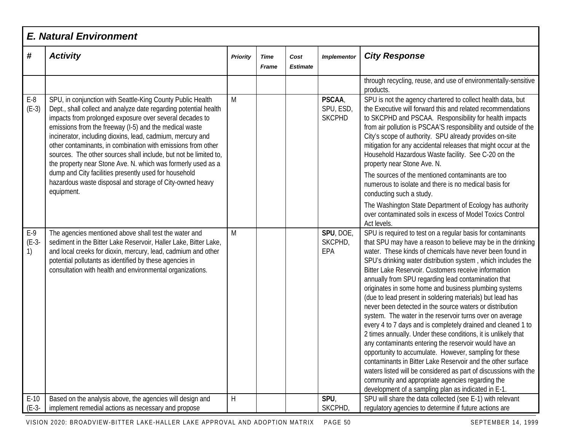|                         | <b>E. Natural Environment</b>                                                                                                                                                                                                                                                                                                                                                                                                                                                                                         |                 |               |                         |                                      |                                                                                                                                                                                                                                                                                                                                                                                                                                                                                                                                                                                                                                                                                                                                                                                                                                                                                                                                                                                                                                                                                                                        |  |  |  |  |
|-------------------------|-----------------------------------------------------------------------------------------------------------------------------------------------------------------------------------------------------------------------------------------------------------------------------------------------------------------------------------------------------------------------------------------------------------------------------------------------------------------------------------------------------------------------|-----------------|---------------|-------------------------|--------------------------------------|------------------------------------------------------------------------------------------------------------------------------------------------------------------------------------------------------------------------------------------------------------------------------------------------------------------------------------------------------------------------------------------------------------------------------------------------------------------------------------------------------------------------------------------------------------------------------------------------------------------------------------------------------------------------------------------------------------------------------------------------------------------------------------------------------------------------------------------------------------------------------------------------------------------------------------------------------------------------------------------------------------------------------------------------------------------------------------------------------------------------|--|--|--|--|
| #                       | <b>Activity</b>                                                                                                                                                                                                                                                                                                                                                                                                                                                                                                       | <b>Priority</b> | Time<br>Frame | Cost<br><b>Estimate</b> | Implementor                          | <b>City Response</b>                                                                                                                                                                                                                                                                                                                                                                                                                                                                                                                                                                                                                                                                                                                                                                                                                                                                                                                                                                                                                                                                                                   |  |  |  |  |
|                         |                                                                                                                                                                                                                                                                                                                                                                                                                                                                                                                       |                 |               |                         |                                      | through recycling, reuse, and use of environmentally-sensitive<br>products.                                                                                                                                                                                                                                                                                                                                                                                                                                                                                                                                                                                                                                                                                                                                                                                                                                                                                                                                                                                                                                            |  |  |  |  |
| $E-8$<br>$(E-3)$        | SPU, in conjunction with Seattle-King County Public Health<br>Dept., shall collect and analyze date regarding potential health<br>impacts from prolonged exposure over several decades to<br>emissions from the freeway (I-5) and the medical waste<br>incinerator, including dioxins, lead, cadmium, mercury and<br>other contaminants, in combination with emissions from other<br>sources. The other sources shall include, but not be limited to,<br>the property near Stone Ave. N. which was formerly used as a | M               |               |                         | PSCAA,<br>SPU, ESD,<br><b>SKCPHD</b> | SPU is not the agency chartered to collect health data, but<br>the Executive will forward this and related recommendations<br>to SKCPHD and PSCAA. Responsibility for health impacts<br>from air pollution is PSCAA'S responsibility and outside of the<br>City's scope of authority. SPU already provides on-site<br>mitigation for any accidental releases that might occur at the<br>Household Hazardous Waste facility. See C-20 on the<br>property near Stone Ave. N.                                                                                                                                                                                                                                                                                                                                                                                                                                                                                                                                                                                                                                             |  |  |  |  |
|                         | dump and City facilities presently used for household<br>hazardous waste disposal and storage of City-owned heavy<br>equipment.                                                                                                                                                                                                                                                                                                                                                                                       |                 |               |                         |                                      | The sources of the mentioned contaminants are too<br>numerous to isolate and there is no medical basis for<br>conducting such a study.                                                                                                                                                                                                                                                                                                                                                                                                                                                                                                                                                                                                                                                                                                                                                                                                                                                                                                                                                                                 |  |  |  |  |
|                         |                                                                                                                                                                                                                                                                                                                                                                                                                                                                                                                       |                 |               |                         |                                      | The Washington State Department of Ecology has authority<br>over contaminated soils in excess of Model Toxics Control<br>Act levels.                                                                                                                                                                                                                                                                                                                                                                                                                                                                                                                                                                                                                                                                                                                                                                                                                                                                                                                                                                                   |  |  |  |  |
| $E-9$<br>$(E-3 -$<br>1) | The agencies mentioned above shall test the water and<br>sediment in the Bitter Lake Reservoir, Haller Lake, Bitter Lake,<br>and local creeks for dioxin, mercury, lead, cadmium and other<br>potential pollutants as identified by these agencies in<br>consultation with health and environmental organizations.                                                                                                                                                                                                    | M               |               |                         | SPU, DOE,<br>SKCPHD,<br>EPA          | SPU is required to test on a regular basis for contaminants<br>that SPU may have a reason to believe may be in the drinking<br>water. These kinds of chemicals have never been found in<br>SPU's drinking water distribution system, which includes the<br>Bitter Lake Reservoir. Customers receive information<br>annually from SPU regarding lead contamination that<br>originates in some home and business plumbing systems<br>(due to lead present in soldering materials) but lead has<br>never been detected in the source waters or distribution<br>system. The water in the reservoir turns over on average<br>every 4 to 7 days and is completely drained and cleaned 1 to<br>2 times annually. Under these conditions, it is unlikely that<br>any contaminants entering the reservoir would have an<br>opportunity to accumulate. However, sampling for these<br>contaminants in Bitter Lake Reservoir and the other surface<br>waters listed will be considered as part of discussions with the<br>community and appropriate agencies regarding the<br>development of a sampling plan as indicated in E-1. |  |  |  |  |
| $E-10$<br>$(E-3 -$      | Based on the analysis above, the agencies will design and<br>implement remedial actions as necessary and propose                                                                                                                                                                                                                                                                                                                                                                                                      | H               |               |                         | SPU,<br>SKCPHD,                      | SPU will share the data collected (see E-1) with relevant<br>regulatory agencies to determine if future actions are                                                                                                                                                                                                                                                                                                                                                                                                                                                                                                                                                                                                                                                                                                                                                                                                                                                                                                                                                                                                    |  |  |  |  |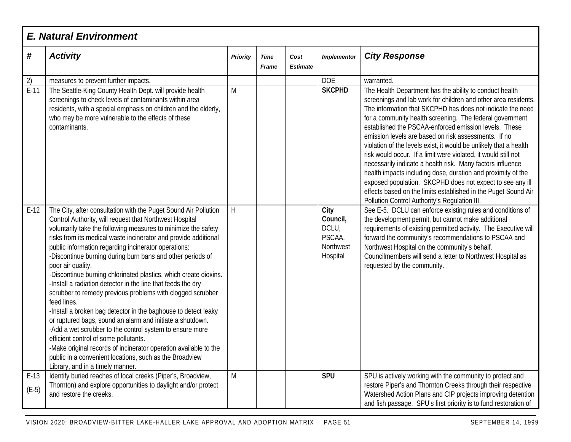|            | <b>E. Natural Environment</b>                                                                                                                                                                                                                                                                                                                                                                                                                                                                                                                                                                                                                                                                                                                                                                                                                                                                                                                                                                                                      |                 |                      |                         |                                                              |                                                                                                                                                                                                                                                                                                                                                                                                                                                                                                                                                                                                                                                                                                                                                                                                                           |  |  |  |  |
|------------|------------------------------------------------------------------------------------------------------------------------------------------------------------------------------------------------------------------------------------------------------------------------------------------------------------------------------------------------------------------------------------------------------------------------------------------------------------------------------------------------------------------------------------------------------------------------------------------------------------------------------------------------------------------------------------------------------------------------------------------------------------------------------------------------------------------------------------------------------------------------------------------------------------------------------------------------------------------------------------------------------------------------------------|-----------------|----------------------|-------------------------|--------------------------------------------------------------|---------------------------------------------------------------------------------------------------------------------------------------------------------------------------------------------------------------------------------------------------------------------------------------------------------------------------------------------------------------------------------------------------------------------------------------------------------------------------------------------------------------------------------------------------------------------------------------------------------------------------------------------------------------------------------------------------------------------------------------------------------------------------------------------------------------------------|--|--|--|--|
| $\pmb{\#}$ | <b>Activity</b>                                                                                                                                                                                                                                                                                                                                                                                                                                                                                                                                                                                                                                                                                                                                                                                                                                                                                                                                                                                                                    | <b>Priority</b> | <b>Time</b><br>Frame | Cost<br><b>Estimate</b> | <b>Implementor</b>                                           | <b>City Response</b>                                                                                                                                                                                                                                                                                                                                                                                                                                                                                                                                                                                                                                                                                                                                                                                                      |  |  |  |  |
| 2)         | measures to prevent further impacts.                                                                                                                                                                                                                                                                                                                                                                                                                                                                                                                                                                                                                                                                                                                                                                                                                                                                                                                                                                                               |                 |                      |                         | <b>DOE</b>                                                   | warranted.                                                                                                                                                                                                                                                                                                                                                                                                                                                                                                                                                                                                                                                                                                                                                                                                                |  |  |  |  |
| $E-11$     | The Seattle-King County Health Dept. will provide health<br>screenings to check levels of contaminants within area<br>residents, with a special emphasis on children and the elderly,<br>who may be more vulnerable to the effects of these<br>contaminants.                                                                                                                                                                                                                                                                                                                                                                                                                                                                                                                                                                                                                                                                                                                                                                       | M               |                      |                         | <b>SKCPHD</b>                                                | The Health Department has the ability to conduct health<br>screenings and lab work for children and other area residents.<br>The information that SKCPHD has does not indicate the need<br>for a community health screening. The federal government<br>established the PSCAA-enforced emission levels. These<br>emission levels are based on risk assessments. If no<br>violation of the levels exist, it would be unlikely that a health<br>risk would occur. If a limit were violated, it would still not<br>necessarily indicate a health risk. Many factors influence<br>health impacts including dose, duration and proximity of the<br>exposed population. SKCPHD does not expect to see any ill<br>effects based on the limits established in the Puget Sound Air<br>Pollution Control Authority's Regulation III. |  |  |  |  |
| $E-12$     | The City, after consultation with the Puget Sound Air Pollution<br>Control Authority, will request that Northwest Hospital<br>voluntarily take the following measures to minimize the safety<br>risks from its medical waste incinerator and provide additional<br>public information regarding incinerator operations:<br>-Discontinue burning during burn bans and other periods of<br>poor air quality.<br>-Discontinue burning chlorinated plastics, which create dioxins.<br>-Install a radiation detector in the line that feeds the dry<br>scrubber to remedy previous problems with clogged scrubber<br>feed lines.<br>-Install a broken bag detector in the baghouse to detect leaky<br>or ruptured bags, sound an alarm and initiate a shutdown.<br>-Add a wet scrubber to the control system to ensure more<br>efficient control of some pollutants.<br>-Make original records of incinerator operation available to the<br>public in a convenient locations, such as the Broadview<br>Library, and in a timely manner. | H               |                      |                         | City<br>Council,<br>DCLU,<br>PSCAA.<br>Northwest<br>Hospital | See E-5. DCLU can enforce existing rules and conditions of<br>the development permit, but cannot make additional<br>requirements of existing permitted activity. The Executive will<br>forward the community's recommendations to PSCAA and<br>Northwest Hospital on the community's behalf.<br>Councilmembers will send a letter to Northwest Hospital as<br>requested by the community.                                                                                                                                                                                                                                                                                                                                                                                                                                 |  |  |  |  |
| $E-13$     | Identify buried reaches of local creeks (Piper's, Broadview,                                                                                                                                                                                                                                                                                                                                                                                                                                                                                                                                                                                                                                                                                                                                                                                                                                                                                                                                                                       | M               |                      |                         | <b>SPU</b>                                                   | SPU is actively working with the community to protect and                                                                                                                                                                                                                                                                                                                                                                                                                                                                                                                                                                                                                                                                                                                                                                 |  |  |  |  |
| $(E-5)$    | Thornton) and explore opportunities to daylight and/or protect<br>and restore the creeks.                                                                                                                                                                                                                                                                                                                                                                                                                                                                                                                                                                                                                                                                                                                                                                                                                                                                                                                                          |                 |                      |                         |                                                              | restore Piper's and Thornton Creeks through their respective<br>Watershed Action Plans and CIP projects improving detention<br>and fish passage. SPU's first priority is to fund restoration of                                                                                                                                                                                                                                                                                                                                                                                                                                                                                                                                                                                                                           |  |  |  |  |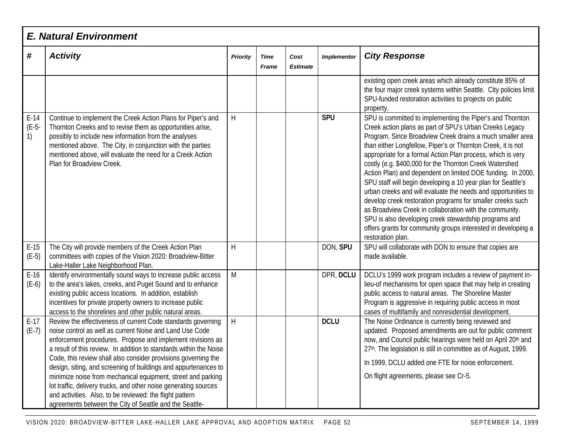|                          | <b>E. Natural Environment</b>                                                                                                                                                                                                                                                                                                                                                                                                                                                                                                                                                                                                                                |                 |                             |                         |                    |                                                                                                                                                                                                                                                                                                                                                                                                                                                                                                                                                                                                                                                                                                                                                                                                                                                     |  |  |  |  |
|--------------------------|--------------------------------------------------------------------------------------------------------------------------------------------------------------------------------------------------------------------------------------------------------------------------------------------------------------------------------------------------------------------------------------------------------------------------------------------------------------------------------------------------------------------------------------------------------------------------------------------------------------------------------------------------------------|-----------------|-----------------------------|-------------------------|--------------------|-----------------------------------------------------------------------------------------------------------------------------------------------------------------------------------------------------------------------------------------------------------------------------------------------------------------------------------------------------------------------------------------------------------------------------------------------------------------------------------------------------------------------------------------------------------------------------------------------------------------------------------------------------------------------------------------------------------------------------------------------------------------------------------------------------------------------------------------------------|--|--|--|--|
| #                        | <b>Activity</b>                                                                                                                                                                                                                                                                                                                                                                                                                                                                                                                                                                                                                                              | <b>Priority</b> | <b>Time</b><br><b>Frame</b> | Cost<br><b>Estimate</b> | <b>Implementor</b> | <b>City Response</b>                                                                                                                                                                                                                                                                                                                                                                                                                                                                                                                                                                                                                                                                                                                                                                                                                                |  |  |  |  |
|                          |                                                                                                                                                                                                                                                                                                                                                                                                                                                                                                                                                                                                                                                              |                 |                             |                         |                    | existing open creek areas which already constitute 85% of<br>the four major creek systems within Seattle. City policies limit<br>SPU-funded restoration activities to projects on public<br>property.                                                                                                                                                                                                                                                                                                                                                                                                                                                                                                                                                                                                                                               |  |  |  |  |
| $E-14$<br>$(E-5 -$<br>1) | Continue to implement the Creek Action Plans for Piper's and<br>Thornton Creeks and to revise them as opportunities arise,<br>possibly to include new information from the analyses<br>mentioned above. The City, in conjunction with the parties<br>mentioned above, will evaluate the need for a Creek Action<br>Plan for Broadview Creek.                                                                                                                                                                                                                                                                                                                 | H               |                             |                         | <b>SPU</b>         | SPU is committed to implementing the Piper's and Thornton<br>Creek action plans as part of SPU's Urban Creeks Legacy<br>Program. Since Broadview Creek drains a much smaller area<br>than either Longfellow, Piper's or Thornton Creek, it is not<br>appropriate for a formal Action Plan process, which is very<br>costly (e.g. \$400,000 for the Thornton Creek Watershed<br>Action Plan) and dependent on limited DOE funding. In 2000,<br>SPU staff will begin developing a 10 year plan for Seattle's<br>urban creeks and will evaluate the needs and opportunities to<br>develop creek restoration programs for smaller creeks such<br>as Broadview Creek in collaboration with the community.<br>SPU is also developing creek stewardship programs and<br>offers grants for community groups interested in developing a<br>restoration plan. |  |  |  |  |
| $E-15$<br>$(E-5)$        | The City will provide members of the Creek Action Plan<br>committees with copies of the Vision 2020: Broadview-Bitter<br>Lake-Haller Lake Neighborhood Plan.                                                                                                                                                                                                                                                                                                                                                                                                                                                                                                 | H               |                             |                         | DON, SPU           | SPU will collaborate with DON to ensure that copies are<br>made available.                                                                                                                                                                                                                                                                                                                                                                                                                                                                                                                                                                                                                                                                                                                                                                          |  |  |  |  |
| $E-16$<br>$(E-6)$        | Identify environmentally sound ways to increase public access<br>to the area's lakes, creeks, and Puget Sound and to enhance<br>existing public access locations. In addition, establish<br>incentives for private property owners to increase public<br>access to the shorelines and other public natural areas.                                                                                                                                                                                                                                                                                                                                            | M               |                             |                         | DPR, DCLU          | DCLU's 1999 work program includes a review of payment in-<br>lieu-of mechanisms for open space that may help in creating<br>public access to natural areas. The Shoreline Master<br>Program is aggressive in requiring public access in most<br>cases of multifamily and nonresidential development.                                                                                                                                                                                                                                                                                                                                                                                                                                                                                                                                                |  |  |  |  |
| $E-17$<br>$(E-7)$        | Review the effectiveness of current Code standards governing<br>noise control as well as current Noise and Land Use Code<br>enforcement procedures. Propose and implement revisions as<br>a result of this review. In addition to standards within the Noise<br>Code, this review shall also consider provisions governing the<br>design, siting, and screening of buildings and appurtenances to<br>minimize noise from mechanical equipment, street and parking<br>lot traffic, delivery trucks, and other noise generating sources<br>and activities. Also, to be reviewed: the flight pattern<br>agreements between the City of Seattle and the Seattle- | H               |                             |                         | <b>DCLU</b>        | The Noise Ordinance is currently being reviewed and<br>updated. Proposed amendments are out for public comment<br>now, and Council public hearings were held on April 20th and<br>27th. The legislation is still in committee as of August, 1999.<br>In 1999, DCLU added one FTE for noise enforcement.<br>On flight agreements, please see Cr-5.                                                                                                                                                                                                                                                                                                                                                                                                                                                                                                   |  |  |  |  |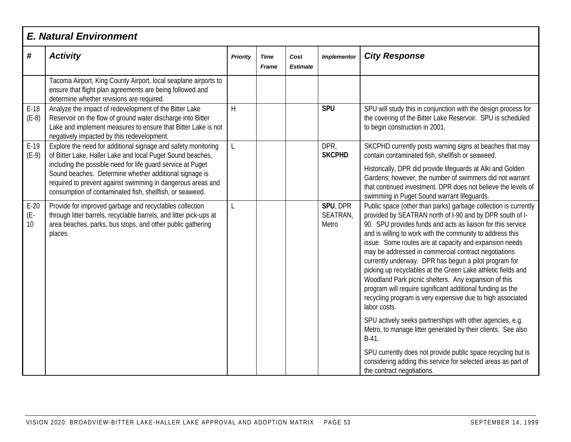|                        | <b>E. Natural Environment</b>                                                                                                                                                                                                                                                                                                                                                   |                 |                             |                         |                               |                                                                                                                                                                                                                                                                                                                                                                                                                                                                                                                                                                                                                                                                                                                                                                     |  |  |  |  |  |
|------------------------|---------------------------------------------------------------------------------------------------------------------------------------------------------------------------------------------------------------------------------------------------------------------------------------------------------------------------------------------------------------------------------|-----------------|-----------------------------|-------------------------|-------------------------------|---------------------------------------------------------------------------------------------------------------------------------------------------------------------------------------------------------------------------------------------------------------------------------------------------------------------------------------------------------------------------------------------------------------------------------------------------------------------------------------------------------------------------------------------------------------------------------------------------------------------------------------------------------------------------------------------------------------------------------------------------------------------|--|--|--|--|--|
| #                      | <b>Activity</b>                                                                                                                                                                                                                                                                                                                                                                 | <b>Priority</b> | <b>Time</b><br><b>Frame</b> | Cost<br><b>Estimate</b> | Implementor                   | <b>City Response</b>                                                                                                                                                                                                                                                                                                                                                                                                                                                                                                                                                                                                                                                                                                                                                |  |  |  |  |  |
|                        | Tacoma Airport, King County Airport, local seaplane airports to<br>ensure that flight plan agreements are being followed and<br>determine whether revisions are required.                                                                                                                                                                                                       |                 |                             |                         |                               |                                                                                                                                                                                                                                                                                                                                                                                                                                                                                                                                                                                                                                                                                                                                                                     |  |  |  |  |  |
| $E-18$<br>$(E-8)$      | Analyze the impact of redevelopment of the Bitter Lake<br>Reservoir on the flow of ground water discharge into Bitter<br>Lake and implement measures to ensure that Bitter Lake is not<br>negatively impacted by this redevelopment.                                                                                                                                            | H               |                             |                         | SPU                           | SPU will study this in conjunction with the design process for<br>the covering of the Bitter Lake Reservoir. SPU is scheduled<br>to begin construction in 2001.                                                                                                                                                                                                                                                                                                                                                                                                                                                                                                                                                                                                     |  |  |  |  |  |
| $E-19$<br>$(E-9)$      | Explore the need for additional signage and safety monitoring<br>of Bitter Lake, Haller Lake and local Puget Sound beaches,<br>including the possible need for life guard service at Puget<br>Sound beaches. Determine whether additional signage is<br>required to prevent against swimming in dangerous areas and<br>consumption of contaminated fish, shellfish, or seaweed. | L               |                             |                         | DPR,<br><b>SKCPHD</b>         | SKCPHD currently posts warning signs at beaches that may<br>contain contaminated fish, shellfish or seaweed.<br>Historically, DPR did provide lifeguards at Alki and Golden<br>Gardens; however, the number of swimmers did not warrant<br>that continued investment. DPR does not believe the levels of<br>swimming in Puget Sound warrant lifeguards.                                                                                                                                                                                                                                                                                                                                                                                                             |  |  |  |  |  |
| $E-20$<br>$(E -$<br>10 | Provide for improved garbage and recyclables collection<br>through litter barrels, recyclable barrels, and litter pick-ups at<br>area beaches, parks, bus stops, and other public gathering<br>places.                                                                                                                                                                          | L               |                             |                         | SPU, DPR<br>SEATRAN,<br>Metro | Public space (other than parks) garbage collection is currently<br>provided by SEATRAN north of I-90 and by DPR south of I-<br>90. SPU provides funds and acts as liaison for this service<br>and is willing to work with the community to address this<br>issue. Some routes are at capacity and expansion needs<br>may be addressed in commercial contract negotiations<br>currently underway. DPR has begun a pilot program for<br>picking up recyclables at the Green Lake athletic fields and<br>Woodland Park picnic shelters. Any expansion of this<br>program will require significant additional funding as the<br>recycling program is very expensive due to high associated<br>labor costs.<br>SPU actively seeks partnerships with other agencies, e.g. |  |  |  |  |  |
|                        |                                                                                                                                                                                                                                                                                                                                                                                 |                 |                             |                         |                               | Metro, to manage litter generated by their clients. See also<br>$B-41$ .                                                                                                                                                                                                                                                                                                                                                                                                                                                                                                                                                                                                                                                                                            |  |  |  |  |  |
|                        |                                                                                                                                                                                                                                                                                                                                                                                 |                 |                             |                         |                               | SPU currently does not provide public space recycling but is<br>considering adding this service for selected areas as part of<br>the contract negotiations.                                                                                                                                                                                                                                                                                                                                                                                                                                                                                                                                                                                                         |  |  |  |  |  |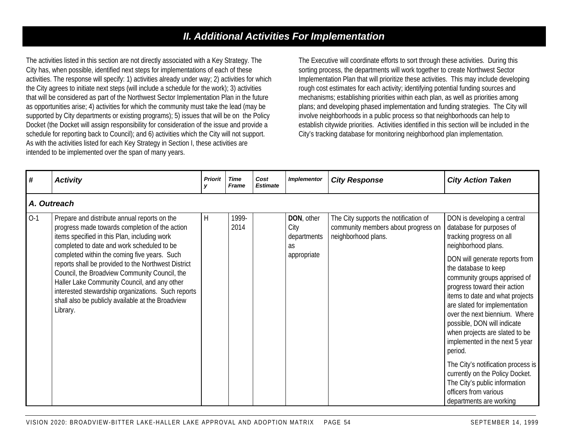The activities listed in this section are not directly associated with a Key Strategy. The City has, when possible, identified next steps for implementations of each of these activities. The response will specify: 1) activities already under way; 2) activities for which the City agrees to initiate next steps (will include a schedule for the work); 3) activities that will be considered as part of the Northwest Sector Implementation Plan in the future as opportunities arise; 4) activities for which the community must take the lead (may be supported by City departments or existing programs); 5) issues that will be on the Policy Docket (the Docket will assign responsibility for consideration of the issue and provide a schedule for reporting back to Council); and 6) activities which the City will not support. As with the activities listed for each Key Strategy in Section I, these activities are intended to be implemented over the span of many years.

The Executive will coordinate efforts to sort through these activities. During this sorting process, the departments will work together to create Northwest Sector Implementation Plan that will prioritize these activities. This may include developing rough cost estimates for each activity; identifying potential funding sources and mechanisms; establishing priorities within each plan, as well as priorities among plans; and developing phased implementation and funding strategies. The City will involve neighborhoods in a public process so that neighborhoods can help to establish citywide priorities. Activities identified in this section will be included in the City's tracking database for monitoring neighborhood plan implementation.

| #     | <b>Activity</b>                                                                                                                                                                                                                                                                                                                                                                                                                                                                                                             | <b>Priorit</b><br>y | <b>Time</b><br>Frame | Cost<br><b>Estimate</b> | <b>Implementor</b>                                            | <b>City Response</b>                                                                                | <b>City Action Taken</b>                                                                                                                                                                                                                                                                                                                                                                                                                                                                                                                                                                                              |  |  |  |  |  |  |
|-------|-----------------------------------------------------------------------------------------------------------------------------------------------------------------------------------------------------------------------------------------------------------------------------------------------------------------------------------------------------------------------------------------------------------------------------------------------------------------------------------------------------------------------------|---------------------|----------------------|-------------------------|---------------------------------------------------------------|-----------------------------------------------------------------------------------------------------|-----------------------------------------------------------------------------------------------------------------------------------------------------------------------------------------------------------------------------------------------------------------------------------------------------------------------------------------------------------------------------------------------------------------------------------------------------------------------------------------------------------------------------------------------------------------------------------------------------------------------|--|--|--|--|--|--|
|       | A. Outreach                                                                                                                                                                                                                                                                                                                                                                                                                                                                                                                 |                     |                      |                         |                                                               |                                                                                                     |                                                                                                                                                                                                                                                                                                                                                                                                                                                                                                                                                                                                                       |  |  |  |  |  |  |
| $O-1$ | Prepare and distribute annual reports on the<br>progress made towards completion of the action<br>items specified in this Plan, including work<br>completed to date and work scheduled to be<br>completed within the coming five years. Such<br>reports shall be provided to the Northwest District<br>Council, the Broadview Community Council, the<br>Haller Lake Community Council, and any other<br>interested stewardship organizations. Such reports<br>shall also be publicly available at the Broadview<br>Library. | H                   | 1999-<br>2014        |                         | DON, other<br>City<br>departments<br><b>as</b><br>appropriate | The City supports the notification of<br>community members about progress on<br>neighborhood plans. | DON is developing a central<br>database for purposes of<br>tracking progress on all<br>neighborhood plans.<br>DON will generate reports from<br>the database to keep<br>community groups apprised of<br>progress toward their action<br>items to date and what projects<br>are slated for implementation<br>over the next biennium. Where<br>possible, DON will indicate<br>when projects are slated to be<br>implemented in the next 5 year<br>period.<br>The City's notification process is<br>currently on the Policy Docket.<br>The City's public information<br>officers from various<br>departments are working |  |  |  |  |  |  |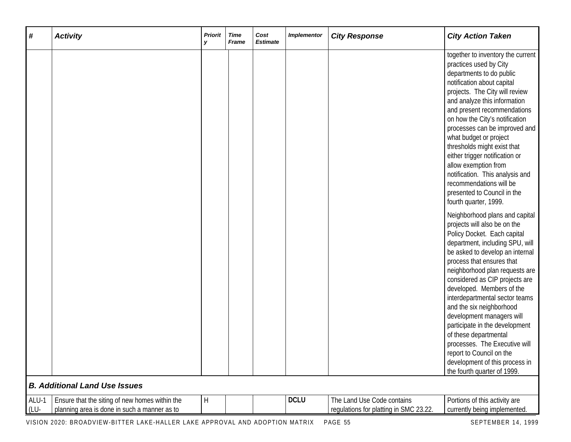| #                | <b>Activity</b>                                                                                | <b>Priorit</b><br>у | Time<br>Frame | Cost<br><b>Estimate</b> | <b>Implementor</b> | <b>City Response</b>                                                 | <b>City Action Taken</b>                                                                                                                                                                                                                                                                                                                                                                                                                                                                                                                                                              |
|------------------|------------------------------------------------------------------------------------------------|---------------------|---------------|-------------------------|--------------------|----------------------------------------------------------------------|---------------------------------------------------------------------------------------------------------------------------------------------------------------------------------------------------------------------------------------------------------------------------------------------------------------------------------------------------------------------------------------------------------------------------------------------------------------------------------------------------------------------------------------------------------------------------------------|
|                  |                                                                                                |                     |               |                         |                    |                                                                      | together to inventory the current<br>practices used by City<br>departments to do public<br>notification about capital<br>projects. The City will review<br>and analyze this information<br>and present recommendations<br>on how the City's notification<br>processes can be improved and<br>what budget or project<br>thresholds might exist that<br>either trigger notification or<br>allow exemption from<br>notification. This analysis and<br>recommendations will be<br>presented to Council in the<br>fourth quarter, 1999.                                                    |
|                  |                                                                                                |                     |               |                         |                    |                                                                      | Neighborhood plans and capital<br>projects will also be on the<br>Policy Docket. Each capital<br>department, including SPU, will<br>be asked to develop an internal<br>process that ensures that<br>neighborhood plan requests are<br>considered as CIP projects are<br>developed. Members of the<br>interdepartmental sector teams<br>and the six neighborhood<br>development managers will<br>participate in the development<br>of these departmental<br>processes. The Executive will<br>report to Council on the<br>development of this process in<br>the fourth quarter of 1999. |
|                  | <b>B. Additional Land Use Issues</b>                                                           |                     |               |                         |                    |                                                                      |                                                                                                                                                                                                                                                                                                                                                                                                                                                                                                                                                                                       |
| ALU-1<br>$(LU -$ | Ensure that the siting of new homes within the<br>planning area is done in such a manner as to | H                   |               |                         | <b>DCLU</b>        | The Land Use Code contains<br>regulations for platting in SMC 23.22. | Portions of this activity are<br>currently being implemented.                                                                                                                                                                                                                                                                                                                                                                                                                                                                                                                         |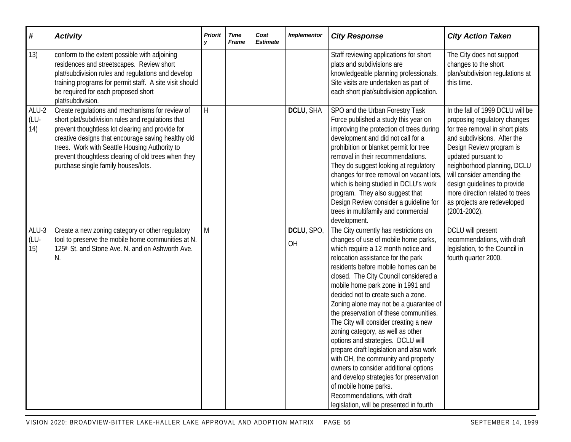| $\#$                    | <b>Activity</b>                                                                                                                                                                                                                                                                                                                                               | <b>Priorit</b><br>y | Time<br><b>Frame</b> | Cost<br><b>Estimate</b> | <b>Implementor</b> | <b>City Response</b>                                                                                                                                                                                                                                                                                                                                                                                                                                                                                                                                                                                                                                                                                                                                                                                     | <b>City Action Taken</b>                                                                                                                                                                                                                                                                                                                                                  |
|-------------------------|---------------------------------------------------------------------------------------------------------------------------------------------------------------------------------------------------------------------------------------------------------------------------------------------------------------------------------------------------------------|---------------------|----------------------|-------------------------|--------------------|----------------------------------------------------------------------------------------------------------------------------------------------------------------------------------------------------------------------------------------------------------------------------------------------------------------------------------------------------------------------------------------------------------------------------------------------------------------------------------------------------------------------------------------------------------------------------------------------------------------------------------------------------------------------------------------------------------------------------------------------------------------------------------------------------------|---------------------------------------------------------------------------------------------------------------------------------------------------------------------------------------------------------------------------------------------------------------------------------------------------------------------------------------------------------------------------|
| 13)                     | conform to the extent possible with adjoining<br>residences and streetscapes. Review short<br>plat/subdivision rules and regulations and develop<br>training programs for permit staff. A site visit should<br>be required for each proposed short<br>plat/subdivision.                                                                                       |                     |                      |                         |                    | Staff reviewing applications for short<br>plats and subdivisions are<br>knowledgeable planning professionals.<br>Site visits are undertaken as part of<br>each short plat/subdivision application.                                                                                                                                                                                                                                                                                                                                                                                                                                                                                                                                                                                                       | The City does not support<br>changes to the short<br>plan/subdivision regulations at<br>this time.                                                                                                                                                                                                                                                                        |
| ALU-2<br>$(LU -$<br>14) | Create regulations and mechanisms for review of<br>short plat/subdivision rules and regulations that<br>prevent thoughtless lot clearing and provide for<br>creative designs that encourage saving healthy old<br>trees. Work with Seattle Housing Authority to<br>prevent thoughtless clearing of old trees when they<br>purchase single family houses/lots. | H                   |                      |                         | DCLU, SHA          | SPO and the Urban Forestry Task<br>Force published a study this year on<br>improving the protection of trees during<br>development and did not call for a<br>prohibition or blanket permit for tree<br>removal in their recommendations.<br>They do suggest looking at regulatory<br>changes for tree removal on vacant lots,<br>which is being studied in DCLU's work<br>program. They also suggest that<br>Design Review consider a guideline for<br>trees in multifamily and commercial<br>development.                                                                                                                                                                                                                                                                                               | In the fall of 1999 DCLU will be<br>proposing regulatory changes<br>for tree removal in short plats<br>and subdivisions. After the<br>Design Review program is<br>updated pursuant to<br>neighborhood planning, DCLU<br>will consider amending the<br>design guidelines to provide<br>more direction related to trees<br>as projects are redeveloped<br>$(2001 - 2002)$ . |
| ALU-3<br>(LU-<br>15)    | Create a new zoning category or other regulatory<br>tool to preserve the mobile home communities at N.<br>125th St. and Stone Ave. N. and on Ashworth Ave.<br>N.                                                                                                                                                                                              | M                   |                      |                         | DCLU, SPO,<br>OH   | The City currently has restrictions on<br>changes of use of mobile home parks,<br>which require a 12 month notice and<br>relocation assistance for the park<br>residents before mobile homes can be<br>closed. The City Council considered a<br>mobile home park zone in 1991 and<br>decided not to create such a zone.<br>Zoning alone may not be a guarantee of<br>the preservation of these communities.<br>The City will consider creating a new<br>zoning category, as well as other<br>options and strategies. DCLU will<br>prepare draft legislation and also work<br>with OH, the community and property<br>owners to consider additional options<br>and develop strategies for preservation<br>of mobile home parks.<br>Recommendations, with draft<br>legislation, will be presented in fourth | DCLU will present<br>recommendations, with draft<br>legislation, to the Council in<br>fourth quarter 2000.                                                                                                                                                                                                                                                                |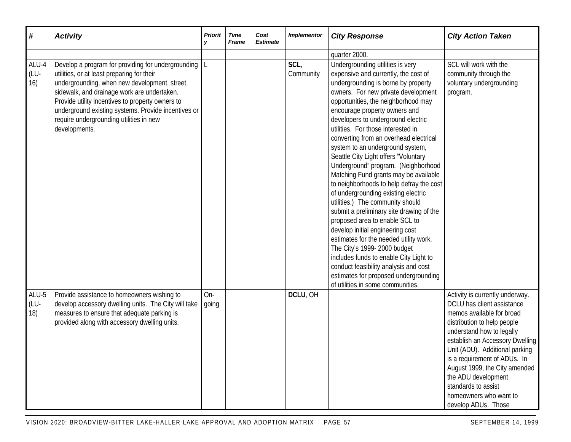| $\#$                 | <b>Activity</b>                                                                                                                                                                                                                                                                                                                                                               | <b>Priorit</b><br>y | Time<br>Frame | Cost<br><b>Estimate</b> | <b>Implementor</b> | <b>City Response</b>                                                                                                                                                                                                                                                                                                                                                                                                                                                                                                                                                                                                                                                                                                                                                                                                                                                                                                                                                                                | <b>City Action Taken</b>                                                                                                                                                                                                                                                                                                                                                                    |
|----------------------|-------------------------------------------------------------------------------------------------------------------------------------------------------------------------------------------------------------------------------------------------------------------------------------------------------------------------------------------------------------------------------|---------------------|---------------|-------------------------|--------------------|-----------------------------------------------------------------------------------------------------------------------------------------------------------------------------------------------------------------------------------------------------------------------------------------------------------------------------------------------------------------------------------------------------------------------------------------------------------------------------------------------------------------------------------------------------------------------------------------------------------------------------------------------------------------------------------------------------------------------------------------------------------------------------------------------------------------------------------------------------------------------------------------------------------------------------------------------------------------------------------------------------|---------------------------------------------------------------------------------------------------------------------------------------------------------------------------------------------------------------------------------------------------------------------------------------------------------------------------------------------------------------------------------------------|
|                      |                                                                                                                                                                                                                                                                                                                                                                               |                     |               |                         |                    | quarter 2000.                                                                                                                                                                                                                                                                                                                                                                                                                                                                                                                                                                                                                                                                                                                                                                                                                                                                                                                                                                                       |                                                                                                                                                                                                                                                                                                                                                                                             |
| ALU-4<br>(LU-<br>16) | Develop a program for providing for undergrounding $ L $<br>utilities, or at least preparing for their<br>undergrounding, when new development, street,<br>sidewalk, and drainage work are undertaken.<br>Provide utility incentives to property owners to<br>underground existing systems. Provide incentives or<br>require undergrounding utilities in new<br>developments. |                     |               |                         | SCL,<br>Community  | Undergrounding utilities is very<br>expensive and currently, the cost of<br>undergrounding is borne by property<br>owners. For new private development<br>opportunities, the neighborhood may<br>encourage property owners and<br>developers to underground electric<br>utilities. For those interested in<br>converting from an overhead electrical<br>system to an underground system,<br>Seattle City Light offers 'Voluntary<br>Underground" program. (Neighborhood<br>Matching Fund grants may be available<br>to neighborhoods to help defray the cost<br>of undergrounding existing electric<br>utilities.) The community should<br>submit a preliminary site drawing of the<br>proposed area to enable SCL to<br>develop initial engineering cost<br>estimates for the needed utility work.<br>The City's 1999-2000 budget<br>includes funds to enable City Light to<br>conduct feasibility analysis and cost<br>estimates for proposed undergrounding<br>of utilities in some communities. | SCL will work with the<br>community through the<br>voluntary undergrounding<br>program.                                                                                                                                                                                                                                                                                                     |
| ALU-5<br>(LU-<br>18) | Provide assistance to homeowners wishing to<br>develop accessory dwelling units. The City will take<br>measures to ensure that adequate parking is<br>provided along with accessory dwelling units.                                                                                                                                                                           | On-<br>going        |               |                         | DCLU, OH           |                                                                                                                                                                                                                                                                                                                                                                                                                                                                                                                                                                                                                                                                                                                                                                                                                                                                                                                                                                                                     | Activity is currently underway.<br>DCLU has client assistance<br>memos available for broad<br>distribution to help people<br>understand how to legally<br>establish an Accessory Dwelling<br>Unit (ADU). Additional parking<br>is a requirement of ADUs. In<br>August 1999, the City amended<br>the ADU development<br>standards to assist<br>homeowners who want to<br>develop ADUs. Those |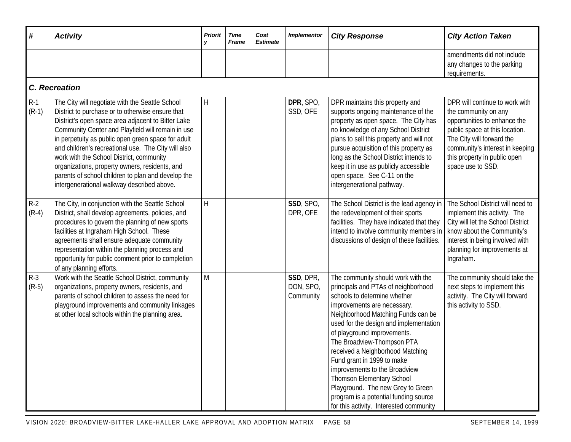| #                | <b>Activity</b>                                                                                                                                                                                                                                                                                                                                                                                                                                                                                                               | <b>Priorit</b><br>y | <b>Time</b><br><b>Frame</b> | Cost<br><b>Estimate</b> | <b>Implementor</b>                  | <b>City Response</b>                                                                                                                                                                                                                                                                                                                                                                                                                                                                                                                                  | <b>City Action Taken</b>                                                                                                                                                                                                                      |
|------------------|-------------------------------------------------------------------------------------------------------------------------------------------------------------------------------------------------------------------------------------------------------------------------------------------------------------------------------------------------------------------------------------------------------------------------------------------------------------------------------------------------------------------------------|---------------------|-----------------------------|-------------------------|-------------------------------------|-------------------------------------------------------------------------------------------------------------------------------------------------------------------------------------------------------------------------------------------------------------------------------------------------------------------------------------------------------------------------------------------------------------------------------------------------------------------------------------------------------------------------------------------------------|-----------------------------------------------------------------------------------------------------------------------------------------------------------------------------------------------------------------------------------------------|
|                  |                                                                                                                                                                                                                                                                                                                                                                                                                                                                                                                               |                     |                             |                         |                                     |                                                                                                                                                                                                                                                                                                                                                                                                                                                                                                                                                       | amendments did not include<br>any changes to the parking<br>requirements.                                                                                                                                                                     |
|                  | C. Recreation                                                                                                                                                                                                                                                                                                                                                                                                                                                                                                                 |                     |                             |                         |                                     |                                                                                                                                                                                                                                                                                                                                                                                                                                                                                                                                                       |                                                                                                                                                                                                                                               |
| $R-1$<br>$(R-1)$ | The City will negotiate with the Seattle School<br>District to purchase or to otherwise ensure that<br>District's open space area adjacent to Bitter Lake<br>Community Center and Playfield will remain in use<br>in perpetuity as public open green space for adult<br>and children's recreational use. The City will also<br>work with the School District, community<br>organizations, property owners, residents, and<br>parents of school children to plan and develop the<br>intergenerational walkway described above. | H                   |                             |                         | DPR, SPO,<br>SSD, OFE               | DPR maintains this property and<br>supports ongoing maintenance of the<br>property as open space. The City has<br>no knowledge of any School District<br>plans to sell this property and will not<br>pursue acquisition of this property as<br>long as the School District intends to<br>keep it in use as publicly accessible<br>open space. See C-11 on the<br>intergenerational pathway.                                                                                                                                                           | DPR will continue to work with<br>the community on any<br>opportunities to enhance the<br>public space at this location.<br>The City will forward the<br>community's interest in keeping<br>this property in public open<br>space use to SSD. |
| $R-2$<br>$(R-4)$ | The City, in conjunction with the Seattle School<br>District, shall develop agreements, policies, and<br>procedures to govern the planning of new sports<br>facilities at Ingraham High School. These<br>agreements shall ensure adequate community<br>representation within the planning process and<br>opportunity for public comment prior to completion<br>of any planning efforts.                                                                                                                                       | H                   |                             |                         | SSD, SPO,<br>DPR, OFE               | The School District is the lead agency in<br>the redevelopment of their sports<br>facilities. They have indicated that they<br>intend to involve community members in<br>discussions of design of these facilities.                                                                                                                                                                                                                                                                                                                                   | The School District will need to<br>implement this activity. The<br>City will let the School District<br>know about the Community's<br>interest in being involved with<br>planning for improvements at<br>Ingraham.                           |
| $R-3$<br>$(R-5)$ | Work with the Seattle School District, community<br>organizations, property owners, residents, and<br>parents of school children to assess the need for<br>playground improvements and community linkages<br>at other local schools within the planning area.                                                                                                                                                                                                                                                                 | M                   |                             |                         | SSD, DPR,<br>DON, SPO,<br>Community | The community should work with the<br>principals and PTAs of neighborhood<br>schools to determine whether<br>improvements are necessary.<br>Neighborhood Matching Funds can be<br>used for the design and implementation<br>of playground improvements.<br>The Broadview-Thompson PTA<br>received a Neighborhood Matching<br>Fund grant in 1999 to make<br>improvements to the Broadview<br><b>Thomson Elementary School</b><br>Playground. The new Grey to Green<br>program is a potential funding source<br>for this activity. Interested community | The community should take the<br>next steps to implement this<br>activity. The City will forward<br>this activity to SSD.                                                                                                                     |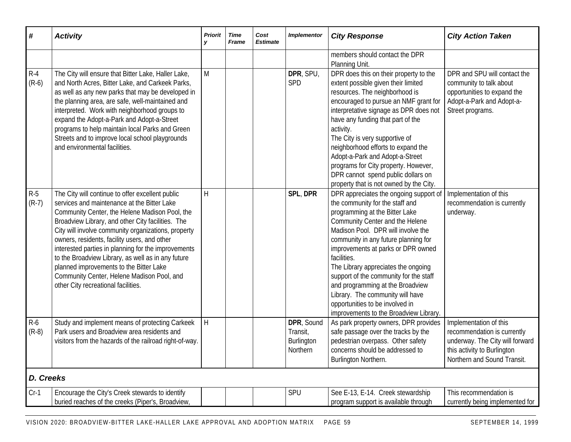| $\pmb{\#}$       | <b>Activity</b>                                                                                                                                                                                                                                                                                                                                                                                                                                                                                                                                            | <b>Priorit</b><br>У | <b>Time</b><br><b>Frame</b> | Cost<br><b>Estimate</b> | <b>Implementor</b>                               | <b>City Response</b>                                                                                                                                                                                                                                                                                                                                                                                                                                                                                                    | <b>City Action Taken</b>                                                                                                                               |
|------------------|------------------------------------------------------------------------------------------------------------------------------------------------------------------------------------------------------------------------------------------------------------------------------------------------------------------------------------------------------------------------------------------------------------------------------------------------------------------------------------------------------------------------------------------------------------|---------------------|-----------------------------|-------------------------|--------------------------------------------------|-------------------------------------------------------------------------------------------------------------------------------------------------------------------------------------------------------------------------------------------------------------------------------------------------------------------------------------------------------------------------------------------------------------------------------------------------------------------------------------------------------------------------|--------------------------------------------------------------------------------------------------------------------------------------------------------|
|                  |                                                                                                                                                                                                                                                                                                                                                                                                                                                                                                                                                            |                     |                             |                         |                                                  | members should contact the DPR<br>Planning Unit.                                                                                                                                                                                                                                                                                                                                                                                                                                                                        |                                                                                                                                                        |
| $R-4$<br>$(R-6)$ | The City will ensure that Bitter Lake, Haller Lake,<br>and North Acres, Bitter Lake, and Carkeek Parks,<br>as well as any new parks that may be developed in<br>the planning area, are safe, well-maintained and<br>interpreted. Work with neighborhood groups to<br>expand the Adopt-a-Park and Adopt-a-Street<br>programs to help maintain local Parks and Green<br>Streets and to improve local school playgrounds<br>and environmental facilities.                                                                                                     | M                   |                             |                         | DPR, SPU,<br>SPD                                 | DPR does this on their property to the<br>extent possible given their limited<br>resources. The neighborhood is<br>encouraged to pursue an NMF grant for<br>interpretative signage as DPR does not<br>have any funding that part of the<br>activity.<br>The City is very supportive of<br>neighborhood efforts to expand the<br>Adopt-a-Park and Adopt-a-Street<br>programs for City property. However,<br>DPR cannot spend public dollars on<br>property that is not owned by the City.                                | DPR and SPU will contact the<br>community to talk about<br>opportunities to expand the<br>Adopt-a-Park and Adopt-a-<br>Street programs.                |
| $R-5$<br>$(R-7)$ | The City will continue to offer excellent public<br>services and maintenance at the Bitter Lake<br>Community Center, the Helene Madison Pool, the<br>Broadview Library, and other City facilities. The<br>City will involve community organizations, property<br>owners, residents, facility users, and other<br>interested parties in planning for the improvements<br>to the Broadview Library, as well as in any future<br>planned improvements to the Bitter Lake<br>Community Center, Helene Madison Pool, and<br>other City recreational facilities. | H                   |                             |                         | SPL, DPR                                         | DPR appreciates the ongoing support of<br>the community for the staff and<br>programming at the Bitter Lake<br>Community Center and the Helene<br>Madison Pool. DPR will involve the<br>community in any future planning for<br>improvements at parks or DPR owned<br>facilities.<br>The Library appreciates the ongoing<br>support of the community for the staff<br>and programming at the Broadview<br>Library. The community will have<br>opportunities to be involved in<br>improvements to the Broadview Library. | Implementation of this<br>recommendation is currently<br>underway.                                                                                     |
| $R-6$<br>$(R-8)$ | Study and implement means of protecting Carkeek<br>Park users and Broadview area residents and<br>visitors from the hazards of the railroad right-of-way.                                                                                                                                                                                                                                                                                                                                                                                                  | H                   |                             |                         | DPR, Sound<br>Transit,<br>Burlington<br>Northern | As park property owners, DPR provides<br>safe passage over the tracks by the<br>pedestrian overpass. Other safety<br>concerns should be addressed to<br>Burlington Northern.                                                                                                                                                                                                                                                                                                                                            | Implementation of this<br>recommendation is currently<br>underway. The City will forward<br>this activity to Burlington<br>Northern and Sound Transit. |
| D. Creeks        |                                                                                                                                                                                                                                                                                                                                                                                                                                                                                                                                                            |                     |                             |                         |                                                  |                                                                                                                                                                                                                                                                                                                                                                                                                                                                                                                         |                                                                                                                                                        |
| $Cr-1$           | Encourage the City's Creek stewards to identify<br>buried reaches of the creeks (Piper's, Broadview,                                                                                                                                                                                                                                                                                                                                                                                                                                                       |                     |                             |                         | SPU                                              | See E-13, E-14. Creek stewardship<br>program support is available through                                                                                                                                                                                                                                                                                                                                                                                                                                               | This recommendation is<br>currently being implemented for                                                                                              |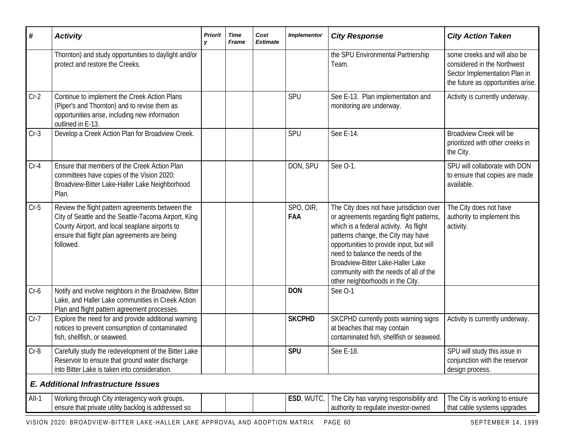| #       | <b>Activity</b>                                                                                                                                                                                                         | <b>Priorit</b><br>V | Time<br><b>Frame</b> | Cost<br><b>Estimate</b> | <b>Implementor</b> | <b>City Response</b>                                                                                                                                                                                                                                                                                                                                                    | <b>City Action Taken</b>                                                                                                           |
|---------|-------------------------------------------------------------------------------------------------------------------------------------------------------------------------------------------------------------------------|---------------------|----------------------|-------------------------|--------------------|-------------------------------------------------------------------------------------------------------------------------------------------------------------------------------------------------------------------------------------------------------------------------------------------------------------------------------------------------------------------------|------------------------------------------------------------------------------------------------------------------------------------|
|         | Thornton) and study opportunities to daylight and/or<br>protect and restore the Creeks.                                                                                                                                 |                     |                      |                         |                    | the SPU Environmental Partnership<br>Team.                                                                                                                                                                                                                                                                                                                              | some creeks and will also be<br>considered in the Northwest<br>Sector Implementation Plan in<br>the future as opportunities arise. |
| $Cr-2$  | Continue to implement the Creek Action Plans<br>(Piper's and Thornton) and to revise them as<br>opportunities arise, including new information<br>outlined in E-13.                                                     |                     |                      |                         | SPU                | See E-13. Plan implementation and<br>monitoring are underway.                                                                                                                                                                                                                                                                                                           | Activity is currently underway.                                                                                                    |
| $Cr-3$  | Develop a Creek Action Plan for Broadview Creek.                                                                                                                                                                        |                     |                      |                         | SPU                | See E-14.                                                                                                                                                                                                                                                                                                                                                               | Broadview Creek will be<br>prioritized with other creeks in<br>the City.                                                           |
| $Cr-4$  | Ensure that members of the Creek Action Plan<br>committees have copies of the Vision 2020:<br>Broadview-Bitter Lake-Haller Lake Neighborhood<br>Plan.                                                                   |                     |                      |                         | DON, SPU           | See 0-1.                                                                                                                                                                                                                                                                                                                                                                | SPU will collaborate with DON<br>to ensure that copies are made<br>available.                                                      |
| $Cr-5$  | Review the flight pattern agreements between the<br>City of Seattle and the Seattle-Tacoma Airport, King<br>County Airport, and local seaplane airports to<br>ensure that flight plan agreements are being<br>followed. |                     |                      |                         | SPO, OIR,<br>FAA   | The City does not have jurisdiction over<br>or agreements regarding flight patterns,<br>which is a federal activity. As flight<br>patterns change, the City may have<br>opportunities to provide input, but will<br>need to balance the needs of the<br>Broadview-Bitter Lake-Haller Lake<br>community with the needs of all of the<br>other neighborhoods in the City. | The City does not have<br>authority to implement this<br>activity.                                                                 |
| $Cr-6$  | Notify and involve neighbors in the Broadview, Bitter<br>Lake, and Haller Lake communities in Creek Action<br>Plan and flight pattern agreement processes.                                                              |                     |                      |                         | <b>DON</b>         | See O-1                                                                                                                                                                                                                                                                                                                                                                 |                                                                                                                                    |
| $Cr-7$  | Explore the need for and provide additional warning<br>notices to prevent consumption of contaminated<br>fish, shellfish, or seaweed.                                                                                   |                     |                      |                         | <b>SKCPHD</b>      | SKCPHD currently posts warning signs<br>at beaches that may contain<br>contaminated fish, shellfish or seaweed.                                                                                                                                                                                                                                                         | Activity is currently underway.                                                                                                    |
| $Cr-8$  | Carefully study the redevelopment of the Bitter Lake<br>Reservoir to ensure that ground water discharge<br>into Bitter Lake is taken into consideration.                                                                |                     |                      |                         | <b>SPU</b>         | See E-18.                                                                                                                                                                                                                                                                                                                                                               | SPU will study this issue in<br>conjunction with the reservoir<br>design process.                                                  |
|         | E. Additional Infrastructure Issues                                                                                                                                                                                     |                     |                      |                         |                    |                                                                                                                                                                                                                                                                                                                                                                         |                                                                                                                                    |
| $All-1$ | Working through City interagency work groups,<br>ensure that private utility backlog is addressed so                                                                                                                    |                     |                      |                         | ESD, WUTC,         | The City has varying responsibility and<br>authority to regulate investor-owned                                                                                                                                                                                                                                                                                         | The City is working to ensure<br>that cable systems upgrades                                                                       |